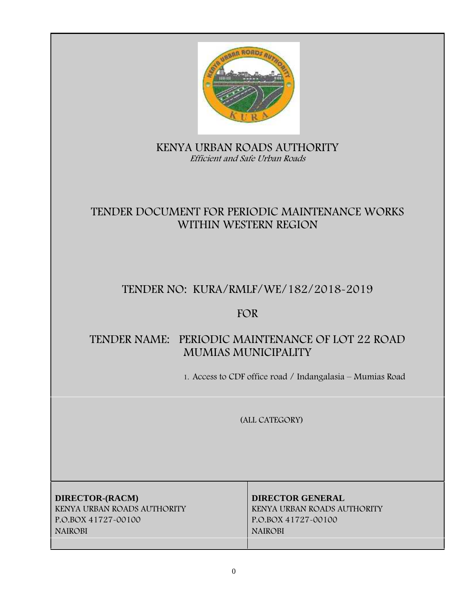

# **KENYA URBAN ROADS AUTHORITY** *Efficient and Safe Urban Roads*

# **TENDER DOCUMENT FOR PERIODIC MAINTENANCE WORKS WITHIN WESTERN REGION**

# **TENDER NO: KURA/RMLF/WE/182/2018-2019**

# **FOR**

# **TENDER NAME: PERIODIC MAINTENANCE OF LOT 22 ROAD MUMIAS MUNICIPALITY**

**1. Access to CDF office road / Indangalasia – Mumias Road**

**(ALL CATEGORY)**

**DIRECTOR-(RACM) DIRECTOR GENERAL KENYA URBAN ROADS AUTHORITY KENYA URBAN ROADS AUTHORITY P.O.BOX 41727-00100 P.O.BOX 41727-00100 NAIROBI NAIROBI**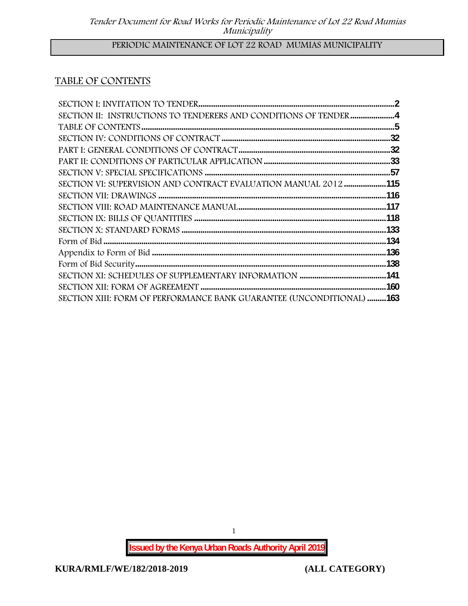# **PERIODIC MAINTENANCE OF LOT 22 ROAD MUMIAS MUNICIPALITY**

# **TABLE OF CONTENTS**

| SECTION II: INSTRUCTIONS TO TENDERERS AND CONDITIONS OF TENDER 4     |  |
|----------------------------------------------------------------------|--|
|                                                                      |  |
|                                                                      |  |
|                                                                      |  |
|                                                                      |  |
|                                                                      |  |
| SECTION VI: SUPERVISION AND CONTRACT EVALUATION MANUAL 2012 115      |  |
|                                                                      |  |
|                                                                      |  |
|                                                                      |  |
|                                                                      |  |
|                                                                      |  |
|                                                                      |  |
|                                                                      |  |
|                                                                      |  |
|                                                                      |  |
| SECTION XIII: FORM OF PERFORMANCE BANK GUARANTEE (UNCONDITIONAL) 163 |  |

1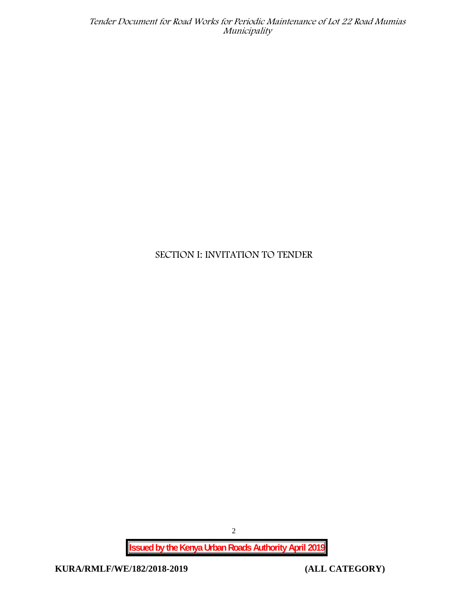# **SECTION I: INVITATION TO TENDER**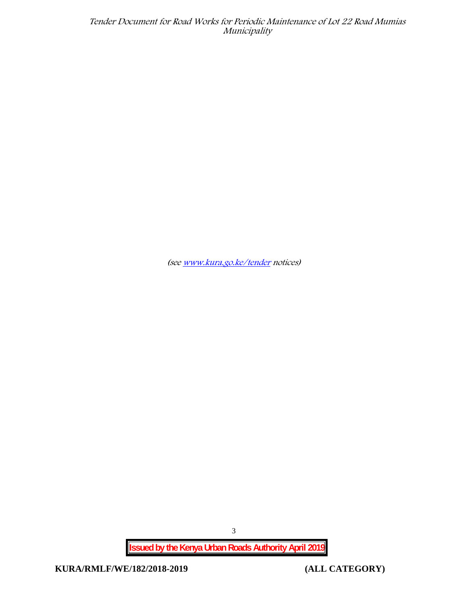*(see www.kura.go.ke/tender notices)*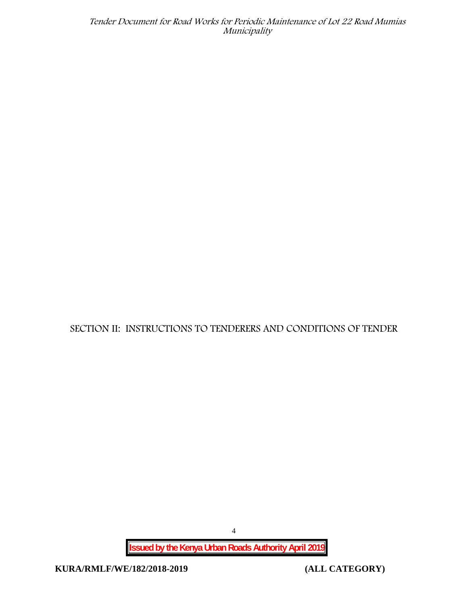**SECTION II: INSTRUCTIONS TO TENDERERS AND CONDITIONS OF TENDER**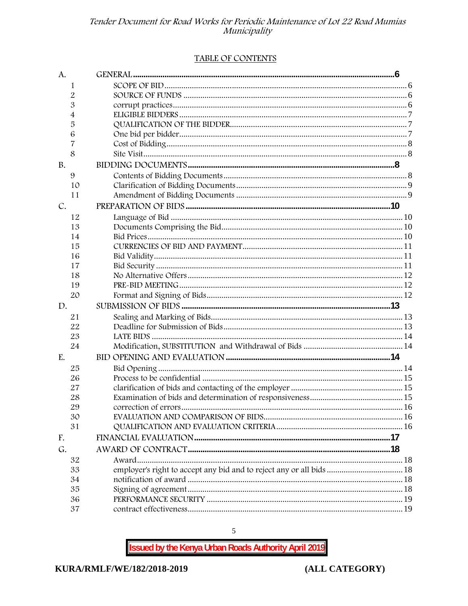#### TABLE OF CONTENTS

| A.            |                                                                      |  |
|---------------|----------------------------------------------------------------------|--|
| 1             |                                                                      |  |
| 2             |                                                                      |  |
| 3             |                                                                      |  |
| 4             |                                                                      |  |
| 5             |                                                                      |  |
| 6             |                                                                      |  |
| 7             |                                                                      |  |
| 8             |                                                                      |  |
| <b>B.</b>     |                                                                      |  |
| 9             |                                                                      |  |
| 10            |                                                                      |  |
| 11            |                                                                      |  |
| $C_{\bullet}$ |                                                                      |  |
| 12            |                                                                      |  |
| 13            |                                                                      |  |
| 14            |                                                                      |  |
| 15            |                                                                      |  |
| 16            |                                                                      |  |
| 17            |                                                                      |  |
| 18            |                                                                      |  |
| 19            |                                                                      |  |
| 20            |                                                                      |  |
| D.            |                                                                      |  |
| 21            |                                                                      |  |
| 22            |                                                                      |  |
| 23            |                                                                      |  |
| 24            |                                                                      |  |
| E.            |                                                                      |  |
| 25            |                                                                      |  |
| 26            |                                                                      |  |
| 27            |                                                                      |  |
| 28            |                                                                      |  |
| 29            |                                                                      |  |
| 30            |                                                                      |  |
| 31            |                                                                      |  |
| F.            |                                                                      |  |
| G.            |                                                                      |  |
| 32            |                                                                      |  |
| 33            | employer's right to accept any bid and to reject any or all bids  18 |  |
| 34            |                                                                      |  |
| 35            |                                                                      |  |
| 36            |                                                                      |  |
| 37            |                                                                      |  |

**Issued by the Kenya Urban Roads Authority April 2019** 

 $\overline{5}$ 

(ALL CATEGORY)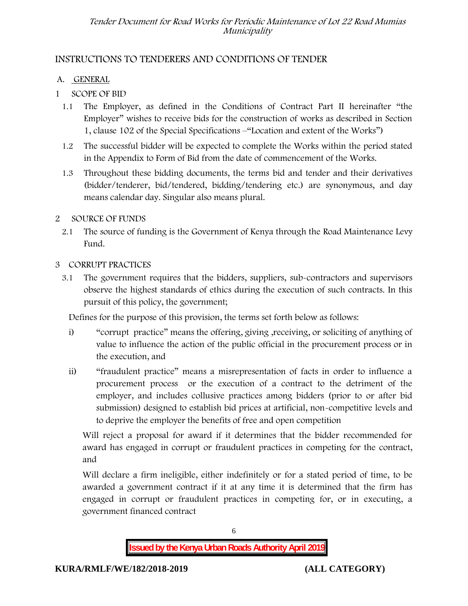# **INSTRUCTIONS TO TENDERERS AND CONDITIONS OF TENDER**

# **A. GENERAL**

- **1 SCOPE OF BID**
	- 1.1 The Employer, as defined in the Conditions of Contract Part II hereinafter "the Employer" wishes to receive bids for the construction of works as described in Section 1, clause 102 of the Special Specifications –"Location and extent of the Works")
	- 1.2 The successful bidder will be expected to complete the Works within the period stated in the Appendix to Form of Bid from the date of commencement of the Works.
	- 1.3 Throughout these bidding documents, the terms bid and tender and their derivatives (bidder/tenderer, bid/tendered, bidding/tendering etc.) are synonymous, and day means calendar day. Singular also means plural.

# **2 SOURCE OF FUNDS**

2.1 The source of funding is the Government of Kenya through the Road Maintenance Levy Fund.

## **3 CORRUPT PRACTICES**

3.1 The government requires that the bidders, suppliers, sub-contractors and supervisors observe the highest standards of ethics during the execution of such contracts. In this pursuit of this policy, the government;

Defines for the purpose of this provision, the terms set forth below as follows:

- i) "corrupt practice" means the offering, giving , receiving, or soliciting of anything of value to influence the action of the public official in the procurement process or in the execution, and
- ii) "fraudulent practice" means a misrepresentation of facts in order to influence a procurement process or the execution of a contract to the detriment of the employer, and includes collusive practices among bidders (prior to or after bid submission) designed to establish bid prices at artificial, non-competitive levels and to deprive the employer the benefits of free and open competition

Will reject a proposal for award if it determines that the bidder recommended for award has engaged in corrupt or fraudulent practices in competing for the contract, and

Will declare a firm ineligible, either indefinitely or for a stated period of time, to be awarded a government contract if it at any time it is determined that the firm has engaged in corrupt or fraudulent practices in competing for, or in executing, a government financed contract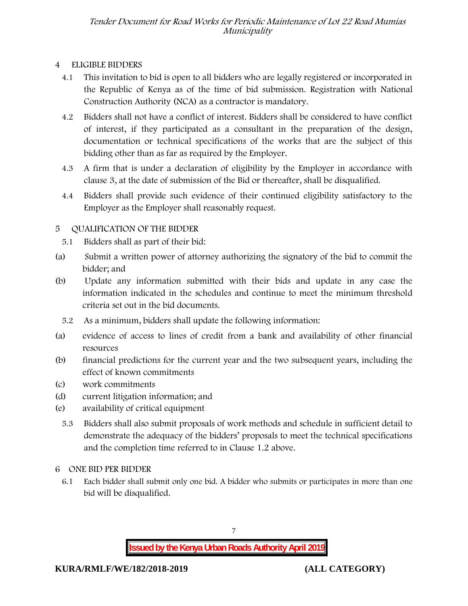## **4 ELIGIBLE BIDDERS**

- 4.1 This invitation to bid is open to all bidders who are legally registered or incorporated in the Republic of Kenya as of the time of bid submission. Registration with National Construction Authority (NCA) as a contractor is mandatory.
- 4.2 Bidders shall not have a conflict of interest. Bidders shall be considered to have conflict of interest, if they participated as a consultant in the preparation of the design, documentation or technical specifications of the works that are the subject of this bidding other than as far as required by the Employer.
- 4.3 A firm that is under a declaration of eligibility by the Employer in accordance with clause 3, at the date of submission of the Bid or thereafter, shall be disqualified.
- 4.4 Bidders shall provide such evidence of their continued eligibility satisfactory to the Employer as the Employer shall reasonably request.

# **5 QUALIFICATION OF THE BIDDER**

- 5.1 Bidders shall as part of their bid:
- (a) Submit a written power of attorney authorizing the signatory of the bid to commit the bidder; and
- (b) Update any information submitted with their bids and update in any case the information indicated in the schedules and continue to meet the minimum threshold criteria set out in the bid documents.
	- 5.2 As a minimum, bidders shall update the following information:
- (a) evidence of access to lines of credit from a bank and availability of other financial resources
- (b) financial predictions for the current year and the two subsequent years, including the effect of known commitments
- (c) work commitments
- (d) current litigation information; and
- (e) availability of critical equipment
	- 5.3 Bidders shall also submit proposals of work methods and schedule in sufficient detail to demonstrate the adequacy of the bidders' proposals to meet the technical specifications and the completion time referred to in Clause 1.2 above.
- **6 ONE BID PER BIDDER**
	- 6.1 Each bidder shall submit only one bid. A bidder who submits or participates in more than one bid will be disqualified.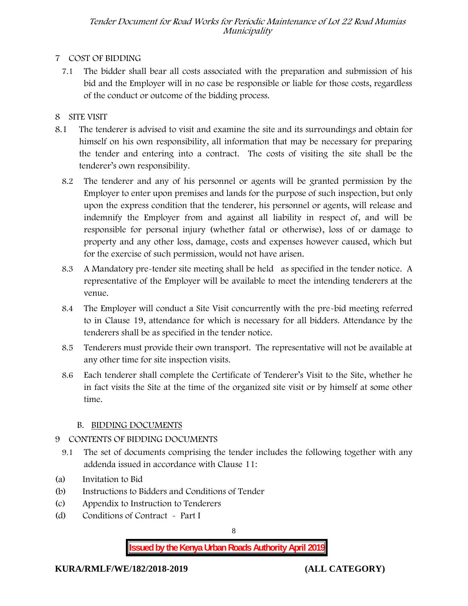## **7 COST OF BIDDING**

7.1 The bidder shall bear all costs associated with the preparation and submission of his bid and the Employer will in no case be responsible or liable for those costs, regardless of the conduct or outcome of the bidding process.

## **8 SITE VISIT**

- 8.1 The tenderer is advised to visit and examine the site and its surroundings and obtain for himself on his own responsibility, all information that may be necessary for preparing the tender and entering into a contract. The costs of visiting the site shall be the tenderer's own responsibility.
	- 8.2 The tenderer and any of his personnel or agents will be granted permission by the Employer to enter upon premises and lands for the purpose of such inspection, but only upon the express condition that the tenderer, his personnel or agents, will release and indemnify the Employer from and against all liability in respect of, and will be responsible for personal injury (whether fatal or otherwise), loss of or damage to property and any other loss, damage, costs and expenses however caused, which but for the exercise of such permission, would not have arisen.
	- 8.3 A Mandatory pre-tender site meeting shall be held as specified in the tender notice. A representative of the Employer will be available to meet the intending tenderers at the venue.
	- 8.4 The Employer will conduct a Site Visit concurrently with the pre-bid meeting referred to in Clause 19, attendance for which is necessary for all bidders. Attendance by the tenderers shall be as specified in the tender notice.
	- 8.5 Tenderers must provide their own transport. The representative will not be available at any other time for site inspection visits.
	- 8.6 Each tenderer shall complete the Certificate of Tenderer's Visit to the Site, whether he in fact visits the Site at the time of the organized site visit or by himself at some other time.

### **B. BIDDING DOCUMENTS**

- **9 CONTENTS OF BIDDING DOCUMENTS**
- 9.1 The set of documents comprising the tender includes the following together with any addenda issued in accordance with Clause 11:
- (a) Invitation to Bid
- (b) Instructions to Bidders and Conditions of Tender
- (c) Appendix to Instruction to Tenderers
- (d) Conditions of Contract Part I

**Issued by the Kenya Urban Roads Authority April 2019**

### **KURA/RMLF/WE/182/2018-2019 (ALL CATEGORY)**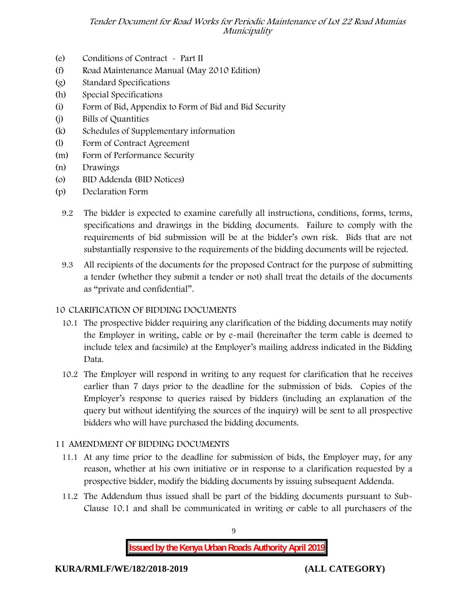- (e) Conditions of Contract Part II
- (f) Road Maintenance Manual (May 2010 Edition)
- (g) Standard Specifications
- (h) Special Specifications
- (i) Form of Bid, Appendix to Form of Bid and Bid Security
- (j) Bills of Quantities
- (k) Schedules of Supplementary information
- (l) Form of Contract Agreement
- (m) Form of Performance Security
- (n) Drawings
- (o) BID Addenda (BID Notices)
- (p) Declaration Form
	- 9.2 The bidder is expected to examine carefully all instructions, conditions, forms, terms, specifications and drawings in the bidding documents. Failure to comply with the requirements of bid submission will be at the bidder's own risk. Bids that are not substantially responsive to the requirements of the bidding documents will be rejected.
	- 9.3 All recipients of the documents for the proposed Contract for the purpose of submitting a tender (whether they submit a tender or not) shall treat the details of the documents as "private and confidential".

### **10 CLARIFICATION OF BIDDING DOCUMENTS**

- 10.1 The prospective bidder requiring any clarification of the bidding documents may notify the Employer in writing, cable or by e-mail (hereinafter the term cable is deemed to include telex and facsimile) at the Employer's mailing address indicated in the Bidding Data.
- 10.2 The Employer will respond in writing to any request for clarification that he receives earlier than 7 days prior to the deadline for the submission of bids. Copies of the Employer's response to queries raised by bidders (including an explanation of the query but without identifying the sources of the inquiry) will be sent to all prospective bidders who will have purchased the bidding documents.

### **11 AMENDMENT OF BIDDING DOCUMENTS**

- 11.1 At any time prior to the deadline for submission of bids, the Employer may, for any reason, whether at his own initiative or in response to a clarification requested by a prospective bidder, modify the bidding documents by issuing subsequent Addenda.
- 11.2 The Addendum thus issued shall be part of the bidding documents pursuant to Sub- Clause 10.1 and shall be communicated in writing or cable to all purchasers of the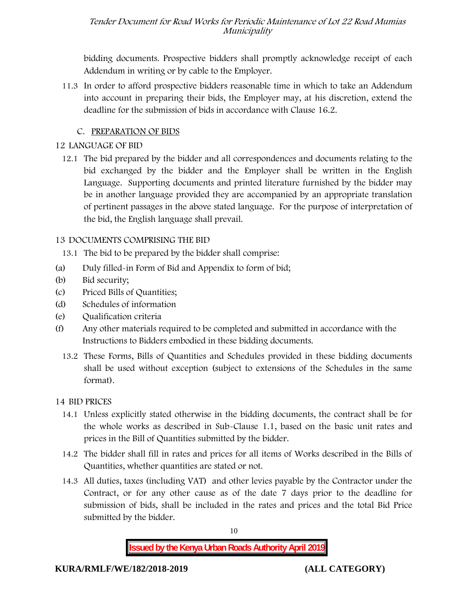bidding documents. Prospective bidders shall promptly acknowledge receipt of each Addendum in writing or by cable to the Employer.

11.3 In order to afford prospective bidders reasonable time in which to take an Addendum into account in preparing their bids, the Employer may, at his discretion, extend the deadline for the submission of bids in accordance with Clause 16.2.

## **C. PREPARATION OF BIDS**

### **12 LANGUAGE OF BID**

12.1 The bid prepared by the bidder and all correspondences and documents relating to the bid exchanged by the bidder and the Employer shall be written in the English Language. Supporting documents and printed literature furnished by the bidder may be in another language provided they are accompanied by an appropriate translation of pertinent passages in the above stated language. For the purpose of interpretation of the bid, the English language shall prevail.

## **13 DOCUMENTS COMPRISING THE BID**

13.1 The bid to be prepared by the bidder shall comprise:

- (a) Duly filled-in Form of Bid and Appendix to form of bid;
- (b) Bid security;
- (c) Priced Bills of Quantities;
- (d) Schedules of information
- (e) Qualification criteria
- (f) Any other materials required to be completed and submitted in accordance with the Instructions to Bidders embodied in these bidding documents.
	- 13.2 These Forms, Bills of Quantities and Schedules provided in these bidding documents shall be used without exception (subject to extensions of the Schedules in the same format).

# **14 BID PRICES**

- 14.1 Unless explicitly stated otherwise in the bidding documents, the contract shall be for the whole works as described in Sub-Clause 1.1, based on the basic unit rates and prices in the Bill of Quantities submitted by the bidder.
- 14.2 The bidder shall fill in rates and prices for all items of Works described in the Bills of Quantities, whether quantities are stated or not.
- 14.3 All duties, taxes (including VAT) and other levies payable by the Contractor under the Contract, or for any other cause as of the date 7 days prior to the deadline for submission of bids, shall be included in the rates and prices and the total Bid Price submitted by the bidder.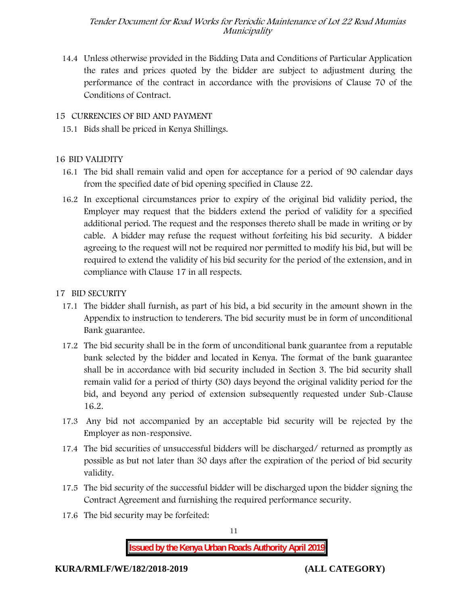14.4 Unless otherwise provided in the Bidding Data and Conditions of Particular Application the rates and prices quoted by the bidder are subject to adjustment during the performance of the contract in accordance with the provisions of Clause 70 of the Conditions of Contract.

### **15 CURRENCIES OF BID AND PAYMENT**

15.1 Bids shall be priced in Kenya Shillings.

#### **16 BID VALIDITY**

- 16.1 The bid shall remain valid and open for acceptance for a period of 90 calendar days from the specified date of bid opening specified in Clause 22.
- 16.2 In exceptional circumstances prior to expiry of the original bid validity period, the Employer may request that the bidders extend the period of validity for a specified additional period. The request and the responses thereto shall be made in writing or by cable. A bidder may refuse the request without forfeiting his bid security. A bidder agreeing to the request will not be required nor permitted to modify his bid, but will be required to extend the validity of his bid security for the period of the extension, and in compliance with Clause 17 in all respects.

#### **17 BID SECURITY**

- **17.1** The bidder shall furnish, as part of his bid, a bid security in the amount shown in the Appendix to instruction to tenderers. **The bid security must be in form of unconditional Bank guarantee.**
- 17.2 The bid security shall be in the form of unconditional bank guarantee from a reputable bank selected by the bidder and located in Kenya. The format of the bank guarantee shall be in accordance with bid security included in Section 3. The bid security shall remain valid for a period of thirty (30) days beyond the original validity period for the bid, and beyond any period of extension subsequently requested under Sub-Clause 16.2.
- 17.3 Any bid not accompanied by an acceptable bid security will be rejected by the Employer as non-responsive.
- 17.4 The bid securities of unsuccessful bidders will be discharged/ returned as promptly as possible as but not later than 30 days after the expiration of the period of bid security validity.
- 17.5 The bid security of the successful bidder will be discharged upon the bidder signing the Contract Agreement and furnishing the required performance security.
- 17.6 The bid security may be forfeited:

11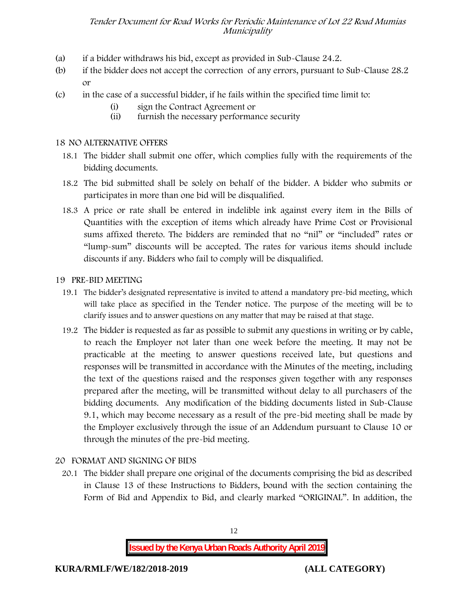- (a) if a bidder withdraws his bid, except as provided in Sub-Clause 24.2.
- (b) if the bidder does not accept the correction of any errors, pursuant to Sub-Clause 28.2 or
- (c) in the case of a successful bidder, if he fails within the specified time limit to:
	- (i) sign the Contract Agreement or
	- (ii) furnish the necessary performance security

#### **18 NO ALTERNATIVE OFFERS**

- 18.1 The bidder shall submit one offer, which complies fully with the requirements of the bidding documents.
- 18.2 The bid submitted shall be solely on behalf of the bidder. A bidder who submits or participates in more than one bid will be disqualified.
- 18.3 A price or rate shall be entered in indelible ink against every item in the Bills of Quantities with the exception of items which already have Prime Cost or Provisional sums affixed thereto. The bidders are reminded that no "nil" or "included" rates or "lump-sum" discounts will be accepted. The rates for various items should include discounts if any. Bidders who fail to comply will be disqualified.

#### **19 PRE-BID MEETING**

- 19.1 The bidder's designated representative is invited to attend a mandatory pre-bid meeting, which will take place as specified in the Tender notice. The purpose of the meeting will be to clarify issues and to answer questions on any matter that may be raised at that stage.
- 19.2 The bidder is requested as far as possible to submit any questions in writing or by cable, to reach the Employer not later than one week before the meeting. It may not be practicable at the meeting to answer questions received late, but questions and responses will be transmitted in accordance with the Minutes of the meeting, including the text of the questions raised and the responses given together with any responses prepared after the meeting, will be transmitted without delay to all purchasers of the bidding documents. Any modification of the bidding documents listed in Sub-Clause 9.1, which may become necessary as a result of the pre-bid meeting shall be made by the Employer exclusively through the issue of an Addendum pursuant to Clause 10 or through the minutes of the pre-bid meeting.

#### **20 FORMAT AND SIGNING OF BIDS**

20.1 The bidder shall prepare one original of the documents comprising the bid as described in Clause 13 of these Instructions to Bidders, bound with the section containing the Form of Bid and Appendix to Bid, and clearly marked "ORIGINAL". In addition, the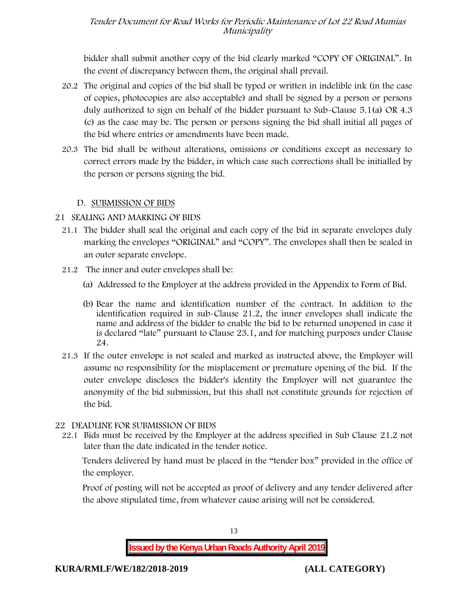bidder shall submit another copy of the bid clearly marked "COPY OF ORIGINAL". In the event of discrepancy between them, the original shall prevail.

- 20.2 The original and copies of the bid shall be typed or written in indelible ink (in the case of copies, photocopies are also acceptable) and shall be signed by a person or persons duly authorized to sign on behalf of the bidder pursuant to Sub-Clause 5.1(a) OR 4.3 (c) as the case may be. The person or persons signing the bid shall initial all pages of the bid where entries or amendments have been made.
- 20.3 The bid shall be without alterations, omissions or conditions except as necessary to correct errors made by the bidder, in which case such corrections shall be initialled by the person or persons signing the bid.

#### **D. SUBMISSION OF BIDS**

### **21 SEALING AND MARKING OF BIDS**

- 21.1 The bidder shall seal the original and each copy of the bid in separate envelopes duly marking the envelopes "ORIGINAL" and "COPY". The envelopes shall then be sealed in an outer separate envelope.
- 21.2 The inner and outer envelopes shall be:
	- (a) Addressed to the Employer at the address provided in the Appendix to Form of Bid.
	- (b) Bear the name and identification number of the contract. In addition to the identification required in sub-Clause 21.2, the inner envelopes shall indicate the name and address of the bidder to enable the bid to be returned unopened in case it is declared "late" pursuant to Clause 23.1, and for matching purposes under Clause 24.
- 21.3 If the outer envelope is not sealed and marked as instructed above, the Employer will assume no responsibility for the misplacement or premature opening of the bid. If the outer envelope discloses the bidder's identity the Employer will not guarantee the anonymity of the bid submission, but this shall not constitute grounds for rejection of the bid.

### **22 DEADLINE FOR SUBMISSION OF BIDS**

22.1 Bids must be received by the Employer at the address specified in Sub Clause 21.2 not later than **the date indicated in the tender notice.**

Tenders delivered by hand must be placed in the "tender box" provided in the office of the employer.

Proof of posting will not be accepted as proof of delivery and any tender delivered after the above stipulated time, from whatever cause arising will not be considered.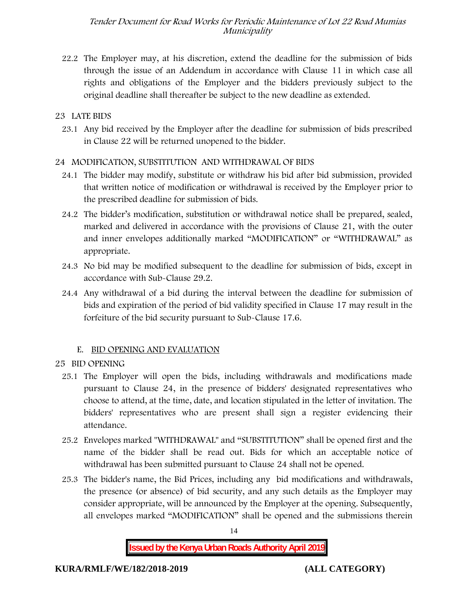22.2 The Employer may, at his discretion, extend the deadline for the submission of bids through the issue of an Addendum in accordance with Clause 11 in which case all rights and obligations of the Employer and the bidders previously subject to the original deadline shall thereafter be subject to the new deadline as extended.

## **23 LATE BIDS**

23.1 Any bid received by the Employer after the deadline for submission of bids prescribed in Clause 22 will be returned unopened to the bidder.

## **24 MODIFICATION, SUBSTITUTION AND WITHDRAWAL OF BIDS**

- 24.1 The bidder may modify, substitute or withdraw his bid after bid submission, provided that written notice of modification or withdrawal is received by the Employer prior to the prescribed deadline for submission of bids.
- 24.2 The bidder's modification, substitution or withdrawal notice shall be prepared, sealed, marked and delivered in accordance with the provisions of Clause 21, with the outer and inner envelopes additionally marked "MODIFICATION" or "WITHDRAWAL" as appropriate.
- 24.3 No bid may be modified subsequent to the deadline for submission of bids, except in accordance with Sub-Clause 29.2.
- 24.4 Any withdrawal of a bid during the interval between the deadline for submission of bids and expiration of the period of bid validity specified in Clause 17 may result in the forfeiture of the bid security pursuant to Sub-Clause 17.6.

### **E. BID OPENING AND EVALUATION**

### **25 BID OPENING**

- 25.1 The Employer will open the bids, including withdrawals and modifications made pursuant to Clause 24, in the presence of bidders' designated representatives who choose to attend, at the time, date, and location stipulated in the letter of invitation. The bidders' representatives who are present shall sign a register evidencing their attendance.
- 25.2 Envelopes marked "WITHDRAWAL" and "SUBSTITUTION" shall be opened first and the name of the bidder shall be read out. Bids for which an acceptable notice of withdrawal has been submitted pursuant to Clause 24 shall not be opened.
- 25.3 The bidder's name, the Bid Prices, including any bid modifications and withdrawals, the presence (or absence) of bid security, and any such details as the Employer may consider appropriate, will be announced by the Employer at the opening. Subsequently, all envelopes marked "MODIFICATION" shall be opened and the submissions therein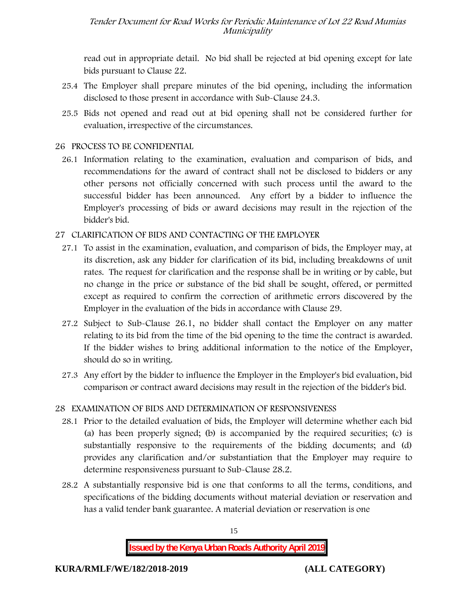read out in appropriate detail. No bid shall be rejected at bid opening except for late bids pursuant to Clause 22.

- 25.4 The Employer shall prepare minutes of the bid opening, including the information disclosed to those present in accordance with Sub-Clause 24.3.
- 25.5 Bids not opened and read out at bid opening shall not be considered further for evaluation, irrespective of the circumstances.

## **26 PROCESS TO BE CONFIDENTIAL**

26.1 Information relating to the examination, evaluation and comparison of bids, and recommendations for the award of contract shall not be disclosed to bidders or any other persons not officially concerned with such process until the award to the successful bidder has been announced. Any effort by a bidder to influence the Employer's processing of bids or award decisions may result in the rejection of the bidder's bid.

## **27 CLARIFICATION OF BIDS AND CONTACTING OF THE EMPLOYER**

- 27.1 To assist in the examination, evaluation, and comparison of bids, the Employer may, at its discretion, ask any bidder for clarification of its bid, including breakdowns of unit rates. The request for clarification and the response shall be in writing or by cable, but no change in the price or substance of the bid shall be sought, offered, or permitted except as required to confirm the correction of arithmetic errors discovered by the Employer in the evaluation of the bids in accordance with Clause 29.
- 27.2 Subject to Sub-Clause 26.1, no bidder shall contact the Employer on any matter relating to its bid from the time of the bid opening to the time the contract is awarded. If the bidder wishes to bring additional information to the notice of the Employer, should do so in writing.
- 27.3 Any effort by the bidder to influence the Employer in the Employer's bid evaluation, bid comparison or contract award decisions may result in the rejection of the bidder's bid.

# **28 EXAMINATION OF BIDS AND DETERMINATION OF RESPONSIVENESS**

- 28.1 Prior to the detailed evaluation of bids, the Employer will determine whether each bid (a) has been properly signed; (b) is accompanied by the required securities; (c) is substantially responsive to the requirements of the bidding documents; and (d) provides any clarification and/or substantiation that the Employer may require to determine responsiveness pursuant to Sub-Clause 28.2.
- 28.2 A substantially responsive bid is one that conforms to all the terms, conditions, and specifications of the bidding documents without material deviation or reservation and has a valid tender bank guarantee. A material deviation or reservation is one

15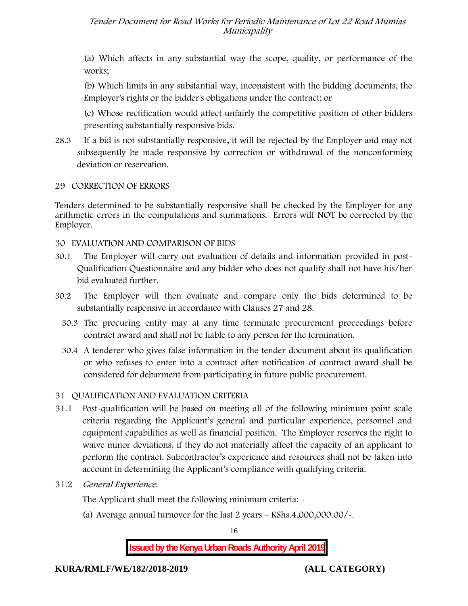(a) Which affects in any substantial way the scope, quality, or performance of the works;

(b) Which limits in any substantial way, inconsistent with the bidding documents, the Employer's rights or the bidder's obligations under the contract; or

(c) Whose rectification would affect unfairly the competitive position of other bidders presenting substantially responsive bids.

28.3 If a bid is not substantially responsive, it will be rejected by the Employer and may not subsequently be made responsive by correction or withdrawal of the nonconforming deviation or reservation.

#### **29 CORRECTION OF ERRORS**

Tenders determined to be substantially responsive shall be checked by the Employer for any arithmetic errors in the computations and summations. Errors will NOT be corrected by the Employer.

#### **30 EVALUATION AND COMPARISON OF BIDS**

- 30.1 The Employer will carry out evaluation of details and information provided in post- Qualification Questionnaire and any bidder who does not qualify shall not have his/her bid evaluated further.
- 30.2 The Employer will then evaluate and compare only the bids determined to be substantially responsive in accordance with Clauses 27 and 28.
	- 30.3 The procuring entity may at any time terminate procurement proceedings before contract award and shall not be liable to any person for the termination.
	- 30.4 A tenderer who gives false information in the tender document about its qualification or who refuses to enter into a contract after notification of contract award shall be considered for debarment from participating in future public procurement.

### **31 QUALIFICATION AND EVALUATION CRITERIA**

- 31.1 Post-qualification will be based on meeting all of the following minimum point scale criteria regarding the Applicant's general and particular experience, personnel and equipment capabilities as well as financial position. The Employer reserves the right to waive minor deviations, if they do not materially affect the capacity of an applicant to perform the contract. Subcontractor's experience and resources shall not be taken into account in determining the Applicant's compliance with qualifying criteria.
- **31.2** *General Experience***.**

The Applicant shall meet the following minimum criteria:  $\sim$ 

(a) Average annual turnover for the last 2 years – **KShs.4,000,000.00/-.**

16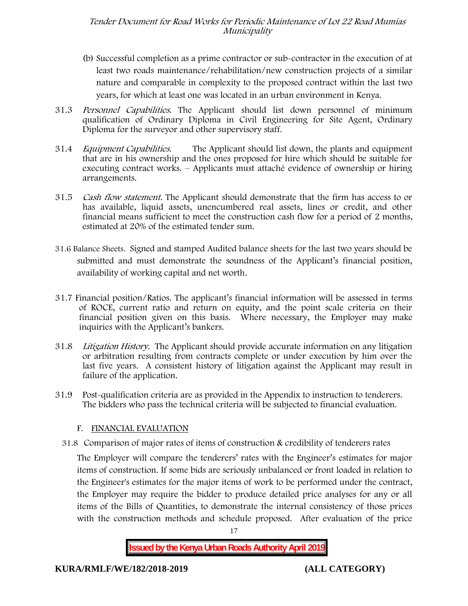- (b) Successful completion as a prime contractor or sub-contractor in the execution of at least two roads maintenance/rehabilitation/new construction projects of a similar nature and comparable in complexity to the proposed contract within the last two years, for which at least one was located in an urban environment in Kenya.
- 31.3 *Personnel Capabilities***.** The Applicant should list down personnel of minimum qualification of Ordinary Diploma in Civil Engineering for Site Agent, Ordinary Diploma for the surveyor and other supervisory staff.
- 31.4 *Equipment Capabilities.* The Applicant should list down, the plants and equipment that are in his ownership and the ones proposed for hire which should be suitable for executing contract works. – Applicants must attaché evidence of ownership or hiring arrangements.
- 31.5 *Cash flow statement.* The Applicant should demonstrate that the firm has access to or has available, liquid assets, unencumbered real assets, lines or credit, and other financial means sufficient to meet the construction cash flow for a period of 2 months, estimated at 20% of the estimated tender sum.
- **31.6 Balance Sheets***.* Signed and stamped Audited balance sheets for the last two years should be submitted and must demonstrate the soundness of the Applicant's financial position, availability of working capital and net worth.
- **31.7 Financial position/Ratios.** The applicant's financial information will be assessed in terms of ROCE, current ratio and return on equity, and the point scale criteria on their financial position given on this basis. Where necessary, the Employer may make inquiries with the Applicant's bankers.
- 31.8 *Litigation History.* The Applicant should provide accurate information on any litigation or arbitration resulting from contracts complete or under execution by him over the last five years. A consistent history of litigation against the Applicant may result in failure of the application.
- 31.9 Post-qualification criteria are as provided in the Appendix to instruction to tenderers. The bidders who pass the technical criteria will be subjected to financial evaluation.

### **F. FINANCIAL EVALUATION**

31.8 Comparison of major rates of items of construction & credibility of tenderers rates

The Employer will compare the tenderers' rates with the Engineer's estimates for major items of construction. If some bids are seriously unbalanced or front loaded in relation to the Engineer's estimates for the major items of work to be performed under the contract, the Employer may require the bidder to produce detailed price analyses for any or all items of the Bills of Quantities, to demonstrate the internal consistency of those prices with the construction methods and schedule proposed. After evaluation of the price

17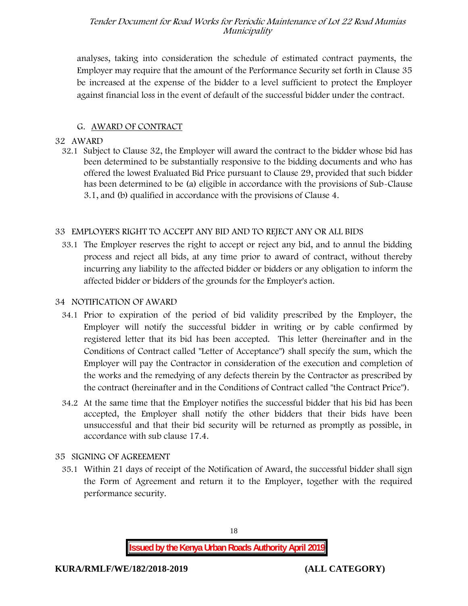analyses, taking into consideration the schedule of estimated contract payments, the Employer may require that the amount of the Performance Security set forth in Clause 35 be increased at the expense of the bidder to a level sufficient to protect the Employer against financial loss in the event of default of the successful bidder under the contract.

## **G. AWARD OF CONTRACT**

### **32 AWARD**

32.1 Subject to Clause 32, the Employer will award the contract to the bidder whose bid has been determined to be substantially responsive to the bidding documents and who has offered the lowest Evaluated Bid Price pursuant to Clause 29, provided that such bidder has been determined to be (a) eligible in accordance with the provisions of Sub-Clause 3.1, and (b) qualified in accordance with the provisions of Clause 4.

## **33 EMPLOYER'S RIGHT TO ACCEPT ANY BID AND TO REJECT ANY OR ALL BIDS**

33.1 The Employer reserves the right to accept or reject any bid, and to annul the bidding process and reject all bids, at any time prior to award of contract, without thereby incurring any liability to the affected bidder or bidders or any obligation to inform the affected bidder or bidders of the grounds for the Employer's action.

#### **34 NOTIFICATION OF AWARD**

- 34.1 Prior to expiration of the period of bid validity prescribed by the Employer, the Employer will notify the successful bidder in writing or by cable confirmed by registered letter that its bid has been accepted. This letter (hereinafter and in the Conditions of Contract called "Letter of Acceptance") shall specify the sum, which the Employer will pay the Contractor in consideration of the execution and completion of the works and the remedying of any defects therein by the Contractor as prescribed by the contract (hereinafter and in the Conditions of Contract called "the Contract Price").
- 34.2 At the same time that the Employer notifies the successful bidder that his bid has been accepted, the Employer shall notify the other bidders that their bids have been unsuccessful and that their bid security will be returned as promptly as possible, in accordance with sub clause 17.4.

### **35 SIGNING OF AGREEMENT**

35.1 Within 21 days of receipt of the Notification of Award, the successful bidder shall sign the Form of Agreement and return it to the Employer, together with the required performance security.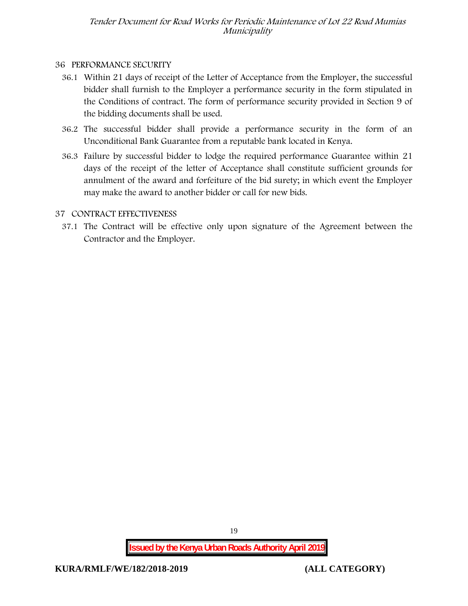## **36 PERFORMANCE SECURITY**

- 36.1 Within 21 days of receipt of the Letter of Acceptance from the Employer, the successful bidder shall furnish to the Employer a performance security in the form stipulated in the Conditions of contract. The form of performance security provided in Section 9 of the bidding documents shall be used.
- 36.2 The successful bidder shall provide a performance security in the form of an Unconditional Bank Guarantee from a reputable bank located in Kenya.
- 36.3 Failure by successful bidder to lodge the required performance Guarantee within 21 days of the receipt of the letter of Acceptance shall constitute sufficient grounds for annulment of the award and forfeiture of the bid surety; in which event the Employer may make the award to another bidder or call for new bids.

## **37 CONTRACT EFFECTIVENESS**

37.1 The Contract will be effective only upon signature of the Agreement between the Contractor and the Employer.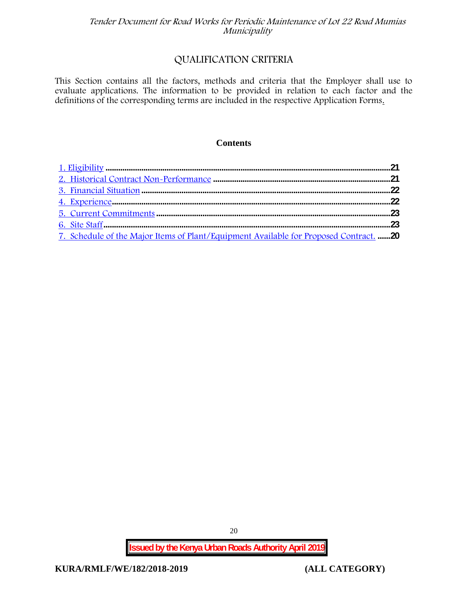## **QUALIFICATION CRITERIA**

This Section contains all the factors, methods and criteria that the Employer shall use to evaluate applications. The information to be provided in relation to each factor and the definitions of the corresponding terms are included in the respective Application Forms.

#### **Contents**

| 7. Schedule of the Major Items of Plant/Equipment Available for Proposed Contract. 20 |  |
|---------------------------------------------------------------------------------------|--|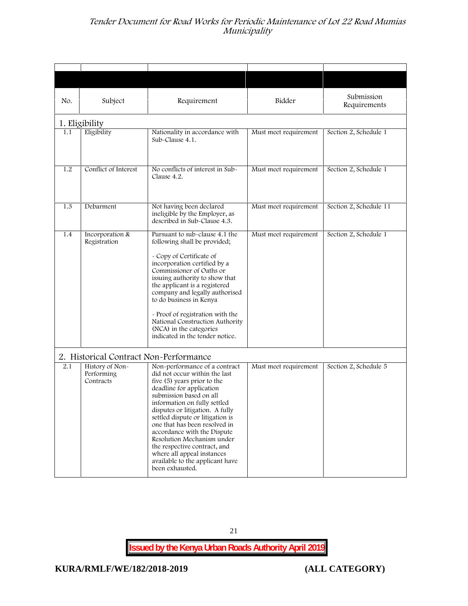| No. | Subject                                    | Requirement                                                                                                                                                                                                                                                                                                                                                                                                                                                                   | Bidder                | Submission<br>Requirements |
|-----|--------------------------------------------|-------------------------------------------------------------------------------------------------------------------------------------------------------------------------------------------------------------------------------------------------------------------------------------------------------------------------------------------------------------------------------------------------------------------------------------------------------------------------------|-----------------------|----------------------------|
|     | 1. Eligibility                             |                                                                                                                                                                                                                                                                                                                                                                                                                                                                               |                       |                            |
| 1.1 | Eligibility                                | Nationality in accordance with<br>Sub-Clause 4.1.                                                                                                                                                                                                                                                                                                                                                                                                                             | Must meet requirement | Section 2, Schedule 1      |
| 1.2 | Conflict of Interest                       | No conflicts of interest in Sub-<br>Clause 4.2.                                                                                                                                                                                                                                                                                                                                                                                                                               | Must meet requirement | Section 2, Schedule 1      |
| 1.3 | Debarment                                  | Not having been declared<br>ineligible by the Employer, as<br>described in Sub-Clause 4.3.                                                                                                                                                                                                                                                                                                                                                                                    | Must meet requirement | Section 2, Schedule 11     |
| 1.4 | Incorporation &<br>Registration            | Pursuant to sub-clause 4.1 the<br>following shall be provided;<br>- Copy of Certificate of<br>incorporation certified by a<br>Commissioner of Oaths or<br>issuing authority to show that<br>the applicant is a registered<br>company and legally authorised<br>to do business in Kenya<br>- Proof of registration with the<br>National Construction Authority<br>(NCA) in the categories<br>indicated in the tender notice.                                                   | Must meet requirement | Section 2, Schedule 1      |
|     | 2. Historical Contract Non-Performance     |                                                                                                                                                                                                                                                                                                                                                                                                                                                                               |                       |                            |
| 2.1 | History of Non-<br>Performing<br>Contracts | Non-performance of a contract<br>did not occur within the last<br>five (5) years prior to the<br>deadline for application<br>submission based on all<br>information on fully settled<br>disputes or litigation. A fully<br>settled dispute or litigation is<br>one that has been resolved in<br>accordance with the Dispute<br>Resolution Mechanism under<br>the respective contract, and<br>where all appeal instances<br>available to the applicant have<br>been exhausted. | Must meet requirement | Section 2, Schedule 5      |

21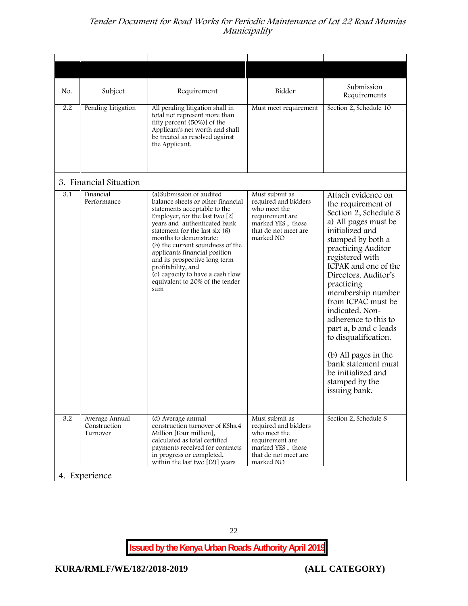| No. | Subject                                    | Requirement                                                                                                                                                                                                                                                                                                                                                                                                                            | Bidder                                                                                                                              | Submission<br>Requirements                                                                                                                                                                                                                                                                                                                                                                                                                                                              |
|-----|--------------------------------------------|----------------------------------------------------------------------------------------------------------------------------------------------------------------------------------------------------------------------------------------------------------------------------------------------------------------------------------------------------------------------------------------------------------------------------------------|-------------------------------------------------------------------------------------------------------------------------------------|-----------------------------------------------------------------------------------------------------------------------------------------------------------------------------------------------------------------------------------------------------------------------------------------------------------------------------------------------------------------------------------------------------------------------------------------------------------------------------------------|
| 2.2 | Pending Litigation                         | All pending litigation shall in<br>total not represent more than<br>fifty percent (50%)] of the<br>Applicant's net worth and shall<br>be treated as resolved against<br>the Applicant.                                                                                                                                                                                                                                                 | Must meet requirement                                                                                                               | Section 2, Schedule 10                                                                                                                                                                                                                                                                                                                                                                                                                                                                  |
|     | 3. Financial Situation                     |                                                                                                                                                                                                                                                                                                                                                                                                                                        |                                                                                                                                     |                                                                                                                                                                                                                                                                                                                                                                                                                                                                                         |
| 3.1 | Financial<br>Performance                   | (a) Submission of audited<br>balance sheets or other financial<br>statements acceptable to the<br>Employer, for the last two [2]<br>years and authenticated bank<br>statement for the last six (6)<br>months to demonstrate:<br>(b) the current soundness of the<br>applicants financial position<br>and its prospective long term<br>profitability, and<br>(c) capacity to have a cash flow<br>equivalent to 20% of the tender<br>sum | Must submit as<br>required and bidders<br>who meet the<br>requirement are<br>marked YES, those<br>that do not meet are<br>marked NO | Attach evidence on<br>the requirement of<br>Section 2, Schedule 8<br>a) All pages must be<br>initialized and<br>stamped by both a<br>practicing Auditor<br>registered with<br>ICPAK and one of the<br>Directors. Auditor's<br>practicing<br>membership number<br>from ICPAC must be<br>indicated. Non-<br>adherence to this to<br>part a, b and c leads<br>to disqualification.<br>(b) All pages in the<br>bank statement must<br>be initialized and<br>stamped by the<br>issuing bank. |
| 3.2 | Average Annual<br>Construction<br>Turnover | (d) Average annual<br>construction turnover of KShs.4<br>Million [Four million],<br>calculated as total certified<br>payments received for contracts<br>in progress or completed,<br>within the last two $[(2)]$ years                                                                                                                                                                                                                 | Must submit as<br>required and bidders<br>who meet the<br>requirement are<br>marked YES, those<br>that do not meet are<br>marked NO | Section 2, Schedule 8                                                                                                                                                                                                                                                                                                                                                                                                                                                                   |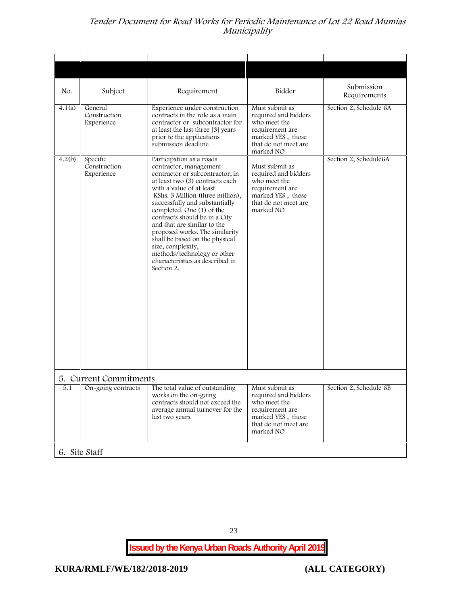| No.    | Subject                                | Requirement                                                                                                                                                                                                                                                                                                                                                                                                                                                                                      | Bidder                                                                                                                              | Submission<br>Requirements |
|--------|----------------------------------------|--------------------------------------------------------------------------------------------------------------------------------------------------------------------------------------------------------------------------------------------------------------------------------------------------------------------------------------------------------------------------------------------------------------------------------------------------------------------------------------------------|-------------------------------------------------------------------------------------------------------------------------------------|----------------------------|
| 4.1(a) | General<br>Construction<br>Experience  | Experience under construction<br>contracts in the role as a main<br>contractor or subcontractor for<br>at least the last three [3] years<br>prior to the applications<br>submission deadline                                                                                                                                                                                                                                                                                                     | Must submit as<br>required and bidders<br>who meet the<br>requirement are<br>marked YES, those<br>that do not meet are<br>marked NO | Section 2, Schedule 6A     |
| 4.2(b) | Specific<br>Construction<br>Experience | Participation as a roads<br>contractor, management<br>contractor or subcontractor, in<br>at least two (3) contracts each<br>with a value of at least<br>KShs. 3 Million (three million),<br>successfully and substantially<br>completed. One (1) of the<br>contracts should be in a City<br>and that are similar to the<br>proposed works. The similarity<br>shall be based on the physical<br>size, complexity,<br>methods/technology or other<br>characteristics as described in<br>Section 2. | Must submit as<br>required and bidders<br>who meet the<br>requirement are<br>marked YES, those<br>that do not meet are<br>marked NO | Section 2, Schedule6A      |
|        | 5. Current Commitments                 |                                                                                                                                                                                                                                                                                                                                                                                                                                                                                                  |                                                                                                                                     |                            |
| 5.1    | On-going contracts                     | The total value of outstanding<br>works on the on-going<br>contracts should not exceed the<br>average annual turnover for the<br>last two years.                                                                                                                                                                                                                                                                                                                                                 | Must submit as<br>required and bidders<br>who meet the<br>requirement are<br>marked YES, those<br>that do not meet are<br>marked NO | Section 2, Schedule 6B     |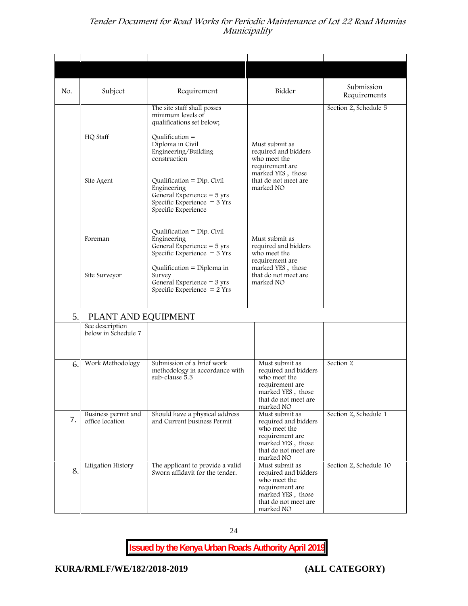| No. | Subject                                | Requirement                                                                                                                                         | Bidder                                                                                                                              | Submission<br>Requirements |
|-----|----------------------------------------|-----------------------------------------------------------------------------------------------------------------------------------------------------|-------------------------------------------------------------------------------------------------------------------------------------|----------------------------|
|     | HQ Staff                               | The site staff shall posses<br>minimum levels of<br>qualifications set below;<br>$Qualification =$<br>Diploma in Civil<br>Engineering/Building      | Must submit as<br>required and bidders                                                                                              | Section 2, Schedule 5      |
|     | Site Agent                             | construction<br>$Qualification = Dip. Civil$<br>Engineering<br>General Experience $=$ 5 yrs<br>Specific Experience $=$ 3 Yrs<br>Specific Experience | who meet the<br>requirement are<br>marked YES, those<br>that do not meet are<br>marked NO                                           |                            |
|     | Foreman                                | Qualification = $Dip$ . Civil<br>Engineering<br>General Experience $=$ 5 yrs<br>Specific Experience $=$ 3 Yrs                                       | Must submit as<br>required and bidders<br>who meet the                                                                              |                            |
|     | Site Surveyor                          | Qualification = Diploma in<br>Survey<br>General Experience $=$ 3 yrs<br>Specific Experience $= 2$ Yrs                                               | requirement are<br>marked YES, those<br>that do not meet are<br>marked NO                                                           |                            |
| 5.  | PLANT AND EQUIPMENT                    |                                                                                                                                                     |                                                                                                                                     |                            |
|     | See description<br>below in Schedule 7 |                                                                                                                                                     |                                                                                                                                     |                            |
| 6.  | Work Methodology                       | Submission of a brief work<br>methodology in accordance with<br>sub-clause 5.3                                                                      | Must submit as<br>required and bidders<br>who meet the<br>requirement are<br>marked YES, those<br>that do not meet are<br>marked NO | Section 2                  |
| 7.  | Business permit and<br>office location | Should have a physical address<br>and Current business Permit                                                                                       | Must submit as<br>required and bidders<br>who meet the<br>requirement are<br>marked YES, those<br>that do not meet are<br>marked NO | Section 2, Schedule 1      |
| 8.  | Litigation History                     | The applicant to provide a valid<br>Sworn affidavit for the tender.                                                                                 | Must submit as<br>required and bidders<br>who meet the<br>requirement are<br>marked YES, those<br>that do not meet are<br>marked NO | Section 2, Schedule 10     |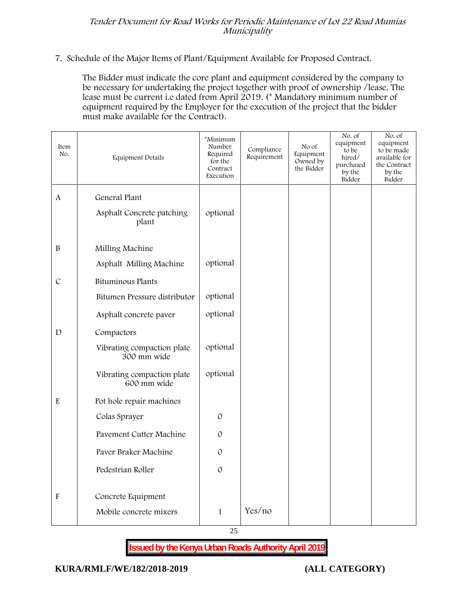#### **7. Schedule of the Major Items of Plant/Equipment Available for Proposed Contract.**

The Bidder must indicate the core plant and equipment considered by the company to be necessary for undertaking the project together with proof of ownership /lease. The lease must be current i.e dated from April 2019. (\* Mandatory minimum number of equipment required by the Employer for the execution of the project that the bidder must make available for the Contract).

| Item<br>No.               | Equipment Details                         | *Minimum<br>Number<br>Required<br>for the<br>Contract<br>Execution | Compliance<br>Requirement | No of<br>Equipment<br>Owned by<br>the Bidder | No. of<br>equipment<br>to be<br>hired/<br>purchased<br>by the<br>Bidder | No. of<br>equipment<br>to be made<br>available for<br>the Contract<br>by the<br>Bidder |
|---------------------------|-------------------------------------------|--------------------------------------------------------------------|---------------------------|----------------------------------------------|-------------------------------------------------------------------------|----------------------------------------------------------------------------------------|
| A                         | General Plant                             |                                                                    |                           |                                              |                                                                         |                                                                                        |
|                           | Asphalt Concrete patching<br>plant        | optional                                                           |                           |                                              |                                                                         |                                                                                        |
| B                         | Milling Machine                           |                                                                    |                           |                                              |                                                                         |                                                                                        |
|                           | Asphalt Milling Machine                   | optional                                                           |                           |                                              |                                                                         |                                                                                        |
| $\mathcal{C}$             | Bituminous Plants                         |                                                                    |                           |                                              |                                                                         |                                                                                        |
|                           | Bitumen Pressure distributor              | optional                                                           |                           |                                              |                                                                         |                                                                                        |
|                           | Asphalt concrete paver                    | optional                                                           |                           |                                              |                                                                         |                                                                                        |
| D                         | Compactors                                |                                                                    |                           |                                              |                                                                         |                                                                                        |
|                           | Vibrating compaction plate<br>300 mm wide | optional                                                           |                           |                                              |                                                                         |                                                                                        |
|                           | Vibrating compaction plate<br>600 mm wide | optional                                                           |                           |                                              |                                                                         |                                                                                        |
| $\rm E$                   | Pot hole repair machines                  |                                                                    |                           |                                              |                                                                         |                                                                                        |
|                           | Colas Sprayer                             | $\mathcal{O}$                                                      |                           |                                              |                                                                         |                                                                                        |
|                           | Pavement Cutter Machine                   | $\mathcal{O}$                                                      |                           |                                              |                                                                         |                                                                                        |
|                           | Paver Braker Machine                      | $\mathcal{O}$                                                      |                           |                                              |                                                                         |                                                                                        |
|                           | Pedestrian Roller                         | $\Omega$                                                           |                           |                                              |                                                                         |                                                                                        |
| $\boldsymbol{\mathrm{F}}$ | Concrete Equipment                        |                                                                    |                           |                                              |                                                                         |                                                                                        |
|                           | Mobile concrete mixers                    | $\mathbf{1}$                                                       | Yes/no                    |                                              |                                                                         |                                                                                        |

25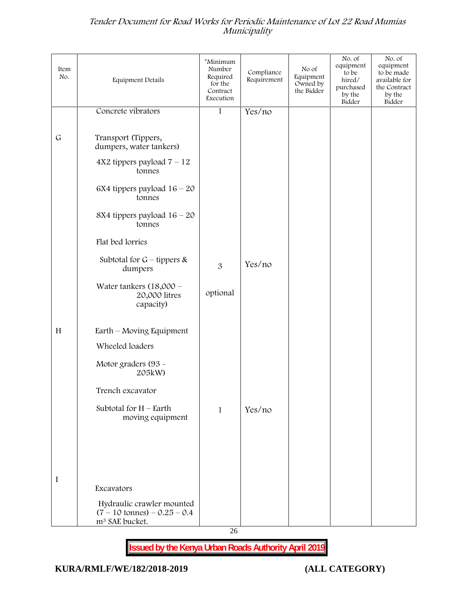| Item<br>No.               | Equipment Details                                                                                 | *Minimum<br>Number<br>Required<br>for the<br>Contract<br>Execution | Compliance<br>Requirement | No of<br>Equipment<br>Owned by<br>the Bidder | No. of<br>equipment<br>to be<br>hired/<br>purchased<br>by the<br>Bidder | No. of<br>equipment<br>to be made<br>available for<br>the Contract<br>by the<br>Bidder |
|---------------------------|---------------------------------------------------------------------------------------------------|--------------------------------------------------------------------|---------------------------|----------------------------------------------|-------------------------------------------------------------------------|----------------------------------------------------------------------------------------|
|                           | Concrete vibrators                                                                                | 1                                                                  | Yes/no                    |                                              |                                                                         |                                                                                        |
| $\mathsf G$               | Transport (Tippers,<br>dumpers, water tankers)<br>$4X2$ tippers payload $7 - 12$<br>tonnes        |                                                                    |                           |                                              |                                                                         |                                                                                        |
|                           | 6X4 tippers payload $16 - 20$<br>tonnes                                                           |                                                                    |                           |                                              |                                                                         |                                                                                        |
|                           | 8X4 tippers payload $16 - 20$<br>tonnes                                                           |                                                                    |                           |                                              |                                                                         |                                                                                        |
|                           | Flat bed lorries                                                                                  |                                                                    |                           |                                              |                                                                         |                                                                                        |
|                           | Subtotal for $G$ – tippers &<br>dumpers                                                           | 3                                                                  | Yes/no                    |                                              |                                                                         |                                                                                        |
|                           | Water tankers $(18,000 -$<br>20,000 litres<br>capacity)                                           | optional                                                           |                           |                                              |                                                                         |                                                                                        |
| $\boldsymbol{\mathrm{H}}$ | Earth - Moving Equipment                                                                          |                                                                    |                           |                                              |                                                                         |                                                                                        |
|                           | Wheeled loaders                                                                                   |                                                                    |                           |                                              |                                                                         |                                                                                        |
|                           | Motor graders (93 -<br>205kW)                                                                     |                                                                    |                           |                                              |                                                                         |                                                                                        |
|                           | Trench excavator                                                                                  |                                                                    |                           |                                              |                                                                         |                                                                                        |
|                           | Subtotal for $H$ – Earth<br>moving equipment                                                      | 1                                                                  | Yes/no                    |                                              |                                                                         |                                                                                        |
|                           |                                                                                                   |                                                                    |                           |                                              |                                                                         |                                                                                        |
|                           |                                                                                                   |                                                                    |                           |                                              |                                                                         |                                                                                        |
| I                         | Excavators                                                                                        |                                                                    |                           |                                              |                                                                         |                                                                                        |
|                           | Hydraulic crawler mounted<br>$(7 - 10 \text{ tonnes}) - 0.25 - 0.4$<br>m <sup>3</sup> SAE bucket. |                                                                    |                           |                                              |                                                                         |                                                                                        |

26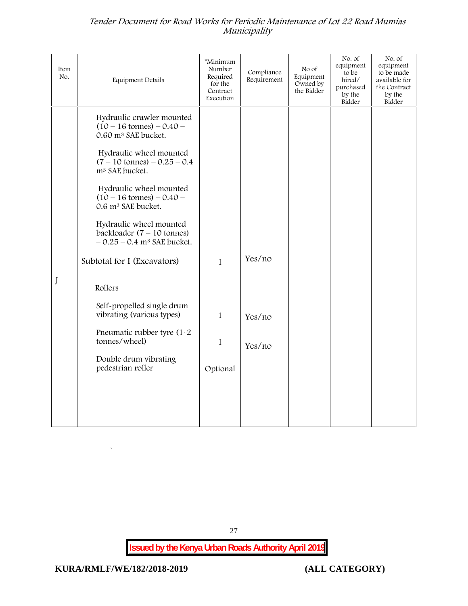| Item<br>No. | Equipment Details                                                                                                                                                                                                                                                                                                                                                                                                                                                                                                                                                                                                           | *Minimum<br>Number<br>Required<br>for the<br>Contract<br>Execution | Compliance<br>Requirement  | No of<br>Equipment<br>Owned by<br>the Bidder | No. of<br>equipment<br>to be<br>hired/<br>purchased<br>by the<br>Bidder | No. of<br>equipment<br>to be made<br>available for<br>the Contract<br>by the<br>Bidder |
|-------------|-----------------------------------------------------------------------------------------------------------------------------------------------------------------------------------------------------------------------------------------------------------------------------------------------------------------------------------------------------------------------------------------------------------------------------------------------------------------------------------------------------------------------------------------------------------------------------------------------------------------------------|--------------------------------------------------------------------|----------------------------|----------------------------------------------|-------------------------------------------------------------------------|----------------------------------------------------------------------------------------|
| J           | Hydraulic crawler mounted<br>$(10 - 16 \text{ tonnes}) - 0.40 -$<br>0.60 m <sup>3</sup> SAE bucket.<br>Hydraulic wheel mounted<br>$(7 - 10 \text{ tonnes}) - 0.25 - 0.4$<br>m <sup>3</sup> SAE bucket.<br>Hydraulic wheel mounted<br>$(10 - 16 \text{ tonnes}) - 0.40 -$<br>0.6 m <sup>3</sup> SAE bucket.<br>Hydraulic wheel mounted<br>backloader $(7 - 10 \text{ tonnes})$<br>$-0.25 - 0.4$ m <sup>3</sup> SAE bucket.<br>Subtotal for I (Excavators)<br>Rollers<br>Self-propelled single drum<br>vibrating (various types)<br>Pneumatic rubber tyre (1-2<br>tonnes/wheel)<br>Double drum vibrating<br>pedestrian roller | $\mathbf{1}$<br>$\mathbf{1}$<br>$\mathbf{1}$<br>Optional           | Yes/no<br>Yes/no<br>Yes/no |                                              |                                                                         |                                                                                        |

27

**Issued by the Kenya Urban Roads Authority April 2019**

 $\ddot{\phantom{a}}$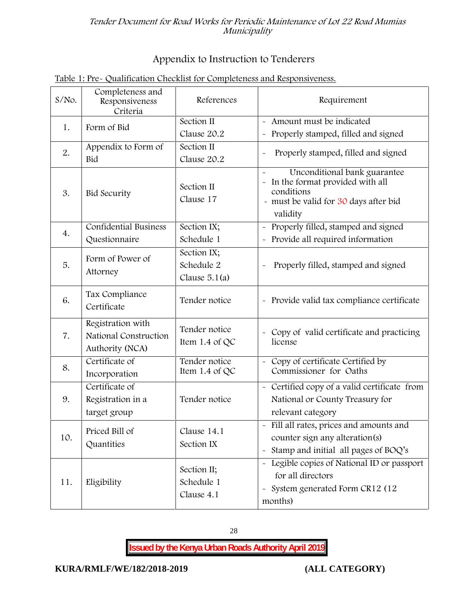# **Appendix to Instruction to Tenderers**

| $S/NO$ . | Completeness and<br>Responsiveness<br>Criteria                | References                                   | Requirement                                                                                                                        |
|----------|---------------------------------------------------------------|----------------------------------------------|------------------------------------------------------------------------------------------------------------------------------------|
| 1.       | Form of Bid                                                   | Section II<br>Clause 20.2                    | Amount must be indicated<br>Properly stamped, filled and signed<br>$\tilde{\phantom{a}}$                                           |
| 2.       | Appendix to Form of<br>Bid                                    | Section II<br>Clause 20.2                    | Properly stamped, filled and signed<br>$\sim$                                                                                      |
| 3.       | <b>Bid Security</b>                                           | Section II<br>Clause 17                      | Unconditional bank guarantee<br>In the format provided with all<br>conditions<br>- must be valid for 30 days after bid<br>validity |
| 4.       | Confidential Business<br>Questionnaire                        | Section IX;<br>Schedule 1                    | Properly filled, stamped and signed<br>Provide all required information                                                            |
| 5.       | Form of Power of<br>Attorney                                  | Section IX;<br>Schedule 2<br>Clause $5.1(a)$ | Properly filled, stamped and signed                                                                                                |
| 6.       | Tax Compliance<br>Certificate                                 | Tender notice                                | - Provide valid tax compliance certificate                                                                                         |
| 7.       | Registration with<br>National Construction<br>Authority (NCA) | Tender notice<br>Item 1.4 of QC              | - Copy of valid certificate and practicing<br>license                                                                              |
| 8.       | Certificate of<br>Incorporation                               | Tender notice<br>Item $1.4$ of QC            | Copy of certificate Certified by<br>Commissioner for Oaths                                                                         |
| 9.       | Certificate of<br>Registration in a<br>target group           | Tender notice                                | - Certified copy of a valid certificate from<br>National or County Treasury for<br>relevant category                               |
| 10.      | Priced Bill of<br>Quantities                                  | Clause 14.1<br>Section IX                    | - Fill all rates, prices and amounts and<br>counter sign any alteration(s)<br>Stamp and initial all pages of BOQ's                 |
| 11.      | Eligibility                                                   | Section II;<br>Schedule 1<br>Clause 4.1      | Legible copies of National ID or passport<br>$\tilde{}$<br>for all directors<br>System generated Form CR12 (12<br>months)          |

# **Table 1: Pre- Qualification Checklist for Completeness and Responsiveness.**

28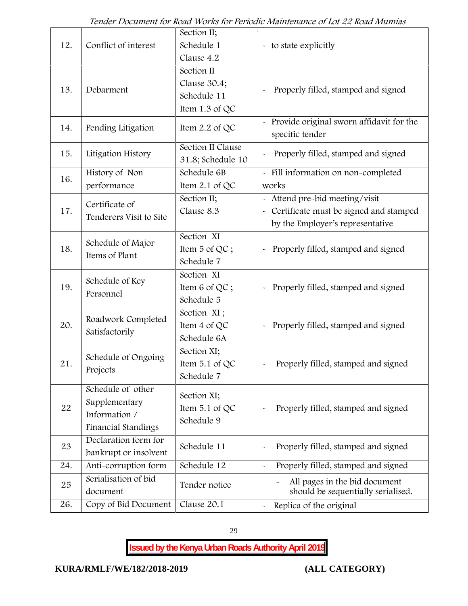| 12. | Conflict of interest                                                       | Section II;<br>Schedule 1<br>Clause 4.2                     | - to state explicitly                                                                                        |
|-----|----------------------------------------------------------------------------|-------------------------------------------------------------|--------------------------------------------------------------------------------------------------------------|
| 13. | Debarment                                                                  | Section II<br>Clause 30.4;<br>Schedule 11<br>Item 1.3 of QC | Properly filled, stamped and signed                                                                          |
| 14. | Pending Litigation                                                         | Item $2.2$ of QC                                            | - Provide original sworn affidavit for the<br>specific tender                                                |
| 15. | Litigation History                                                         | Section II Clause<br>31.8; Schedule 10                      | Properly filled, stamped and signed                                                                          |
| 16. | History of Non<br>performance                                              | Schedule 6B<br>Item 2.1 of QC                               | - Fill information on non-completed<br>works                                                                 |
| 17. | Certificate of<br>Tenderers Visit to Site                                  | Section II;<br>Clause 8.3                                   | - Attend pre-bid meeting/visit<br>Certificate must be signed and stamped<br>by the Employer's representative |
| 18. | Schedule of Major<br>Items of Plant                                        | Section XI<br>Item 5 of QC;<br>Schedule 7                   | Properly filled, stamped and signed<br>$\widetilde{\phantom{m}}$                                             |
| 19. | Schedule of Key<br>Personnel                                               | Section XI<br>Item 6 of QC;<br>Schedule 5                   | Properly filled, stamped and signed<br>$\tilde{\phantom{a}}$                                                 |
| 20. | Roadwork Completed<br>Satisfactorily                                       | Section XI;<br>Item 4 of QC<br>Schedule 6A                  | Properly filled, stamped and signed                                                                          |
| 21. | Schedule of Ongoing<br>Projects                                            | Section XI;<br>Item 5.1 of QC<br>Schedule 7                 | Properly filled, stamped and signed                                                                          |
| 22  | Schedule of other<br>Supplementary<br>Information /<br>Financial Standings | Section XI;<br>Item 5.1 of QC<br>Schedule 9                 | Properly filled, stamped and signed                                                                          |
| 23  | Declaration form for<br>bankrupt or insolvent                              | Schedule 11                                                 | Properly filled, stamped and signed                                                                          |
| 24. | Anti-corruption form                                                       | Schedule 12                                                 | Properly filled, stamped and signed<br>$\widetilde{\phantom{m}}$                                             |
| 25  | Serialisation of bid<br>document                                           | Tender notice                                               | All pages in the bid document<br>should be sequentially serialised.                                          |
| 26. | Copy of Bid Document                                                       | Clause 20.1                                                 | Replica of the original                                                                                      |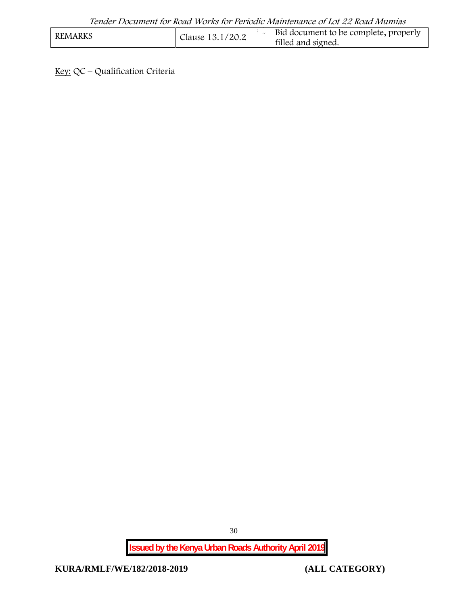| Tender Document for Road Works for Periodic Maintenance of Lot 22 Road Mumias |                  |                                                             |  |  |  |
|-------------------------------------------------------------------------------|------------------|-------------------------------------------------------------|--|--|--|
| <b>REMARKS</b>                                                                | Clause 13.1/20.2 | Bid document to be complete, properly<br>filled and signed. |  |  |  |

**Key:** QC – Qualification Criteria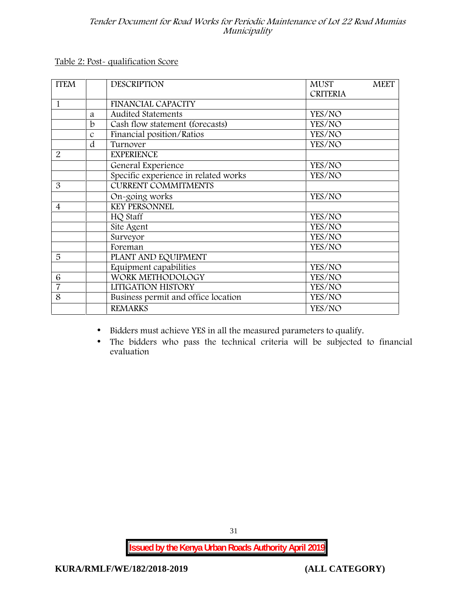**Table 2: Post- qualification Score**

| <b>ITEM</b>    |               | <b>DESCRIPTION</b>                   | <b>MUST</b>     | <b>MEET</b> |
|----------------|---------------|--------------------------------------|-----------------|-------------|
|                |               |                                      | <b>CRITERIA</b> |             |
| 1              |               | <b>FINANCIAL CAPACITY</b>            |                 |             |
|                | a             | <b>Audited Statements</b>            | YES/NO          |             |
|                | b             | Cash flow statement (forecasts)      | YES/NO          |             |
|                | $\mathcal{C}$ | Financial position/Ratios            | YES/NO          |             |
|                | d             | Turnover                             | YES/NO          |             |
| 2              |               | <b>EXPERIENCE</b>                    |                 |             |
|                |               | General Experience                   | YES/NO          |             |
|                |               | Specific experience in related works | YES/NO          |             |
| 3              |               | <b>CURRENT COMMITMENTS</b>           |                 |             |
|                |               | On-going works                       | YES/NO          |             |
| $\overline{4}$ |               | <b>KEY PERSONNEL</b>                 |                 |             |
|                |               | HQ Staff                             | YES/NO          |             |
|                |               | Site Agent                           | YES/NO          |             |
|                |               | Surveyor                             | YES/NO          |             |
|                |               | Foreman                              | YES/NO          |             |
| 5              |               | PLANT AND EQUIPMENT                  |                 |             |
|                |               | Equipment capabilities               | YES/NO          |             |
| 6              |               | WORK METHODOLOGY                     | YES/NO          |             |
| $\overline{7}$ |               | LITIGATION HISTORY                   | YES/NO          |             |
| 8              |               | Business permit and office location  | YES/NO          |             |
|                |               | <b>REMARKS</b>                       | YES/NO          |             |

- Bidders must achieve YES in all the measured parameters to qualify.
- The bidders who pass the technical criteria will be subjected to financial evaluation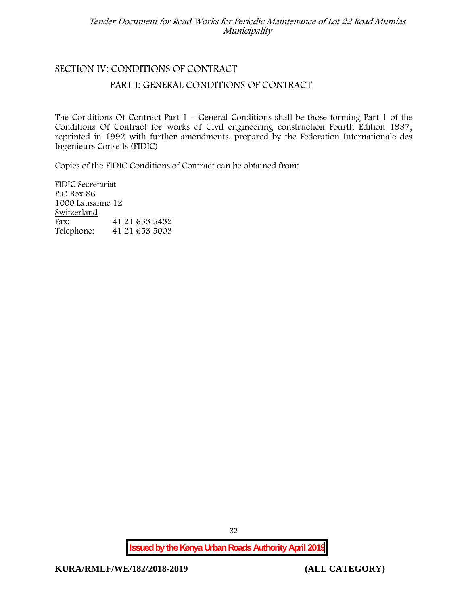# **SECTION IV: CONDITIONS OF CONTRACT**

## **PART I: GENERAL CONDITIONS OF CONTRACT**

The Conditions Of Contract Part  $1$  – General Conditions shall be those forming Part 1 of the Conditions Of Contract for works of Civil engineering construction Fourth Edition 1987, reprinted in 1992 with further amendments, prepared by the Federation Internationale des Ingenieurs Conseils (FIDIC)

Copies of the FIDIC Conditions of Contract can be obtained from:

FIDIC Secretariat P.O.Box 86 1000 Lausanne 12 **Switzerland** Fax: 41 21 653 5432 Telephone: 41 21 653 5003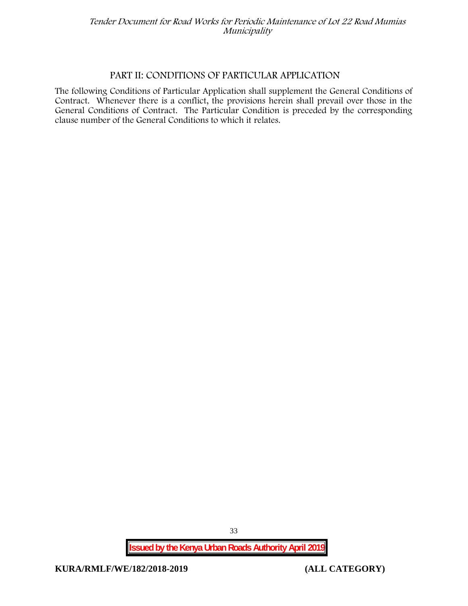### **PART II: CONDITIONS OF PARTICULAR APPLICATION**

The following Conditions of Particular Application shall supplement the General Conditions of Contract. Whenever there is a conflict, the provisions herein shall prevail over those in the General Conditions of Contract. The Particular Condition is preceded by the corresponding clause number of the General Conditions to which it relates.

**Issued by the Kenya Urban Roads Authority April 2019**

**KURA/RMLF/WE/182/2018-2019 (ALL CATEGORY)**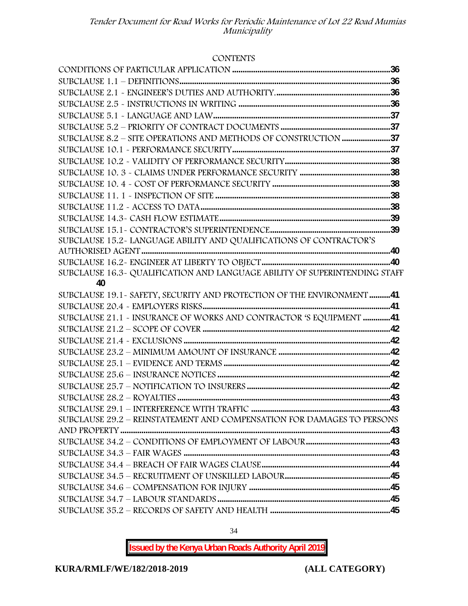#### **CONTENTS**

| SUBCLAUSE 8.2 - SITE OPERATIONS AND METHODS OF CONSTRUCTION 37             |  |
|----------------------------------------------------------------------------|--|
|                                                                            |  |
|                                                                            |  |
|                                                                            |  |
|                                                                            |  |
|                                                                            |  |
|                                                                            |  |
|                                                                            |  |
|                                                                            |  |
| SUBCLAUSE 15.2-LANGUAGE ABILITY AND QUALIFICATIONS OF CONTRACTOR'S         |  |
|                                                                            |  |
|                                                                            |  |
| SUBCLAUSE 16.3- QUALIFICATION AND LANGUAGE ABILITY OF SUPERINTENDING STAFF |  |
| 40                                                                         |  |
| SUBCLAUSE 19.1 - SAFETY, SECURITY AND PROTECTION OF THE ENVIRONMENT 41     |  |
|                                                                            |  |
| SUBCLAUSE 21.1 - INSURANCE OF WORKS AND CONTRACTOR 'S EQUIPMENT 41         |  |
|                                                                            |  |
|                                                                            |  |
|                                                                            |  |
|                                                                            |  |
|                                                                            |  |
|                                                                            |  |
|                                                                            |  |
|                                                                            |  |
| SUBCLAUSE 29.2 - REINSTATEMENT AND COMPENSATION FOR DAMAGES TO PERSONS     |  |
|                                                                            |  |
|                                                                            |  |
|                                                                            |  |
|                                                                            |  |
|                                                                            |  |
|                                                                            |  |
|                                                                            |  |
|                                                                            |  |

34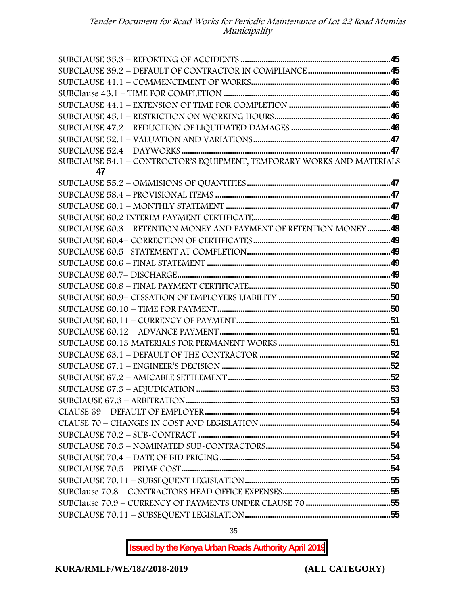| SUBCLAUSE 54.1 - CONTROCTOR'S EQUIPMENT, TEMPORARY WORKS AND MATERIALS |  |
|------------------------------------------------------------------------|--|
| 47                                                                     |  |
|                                                                        |  |
|                                                                        |  |
|                                                                        |  |
|                                                                        |  |
| SUBCLAUSE 60.3 - RETENTION MONEY AND PAYMENT OF RETENTION MONEY48      |  |
|                                                                        |  |
|                                                                        |  |
|                                                                        |  |
|                                                                        |  |
|                                                                        |  |
|                                                                        |  |
|                                                                        |  |
|                                                                        |  |
|                                                                        |  |
|                                                                        |  |
|                                                                        |  |
|                                                                        |  |
|                                                                        |  |
|                                                                        |  |
|                                                                        |  |
|                                                                        |  |
|                                                                        |  |
|                                                                        |  |
|                                                                        |  |
|                                                                        |  |
|                                                                        |  |
|                                                                        |  |
|                                                                        |  |
|                                                                        |  |
|                                                                        |  |

35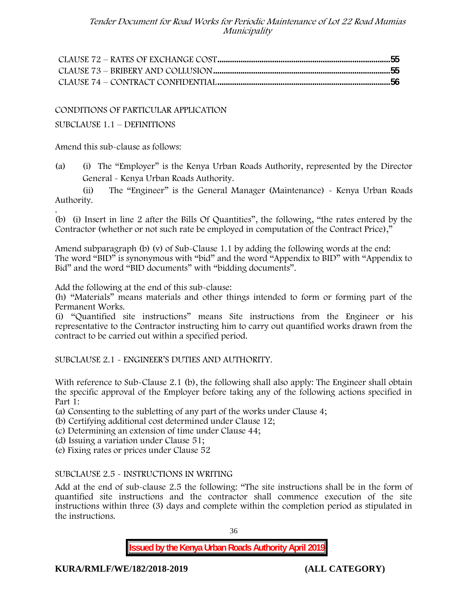CONDITIONS OF PARTICULAR APPLICATION

SUBCLAUSE 1.1 – DEFINITIONS

Amend this sub-clause as follows:

(a) (i) The "Employer" is the Kenya Urban Roads Authority, represented by the Director General - Kenya Urban Roads Authority.

(ii) The "Engineer" is the General Manager (Maintenance) - Kenya Urban Roads Authority.

.(b) (i) Insert in line 2 after the Bills Of Quantities", the following, "the rates entered by the Contractor (whether or not such rate be employed in computation of the Contract Price),"

Amend subparagraph (b) (v) of Sub-Clause 1.1 by adding the following words at the end: The word "BID" is synonymous with "bid" and the word "Appendix to BID" with "Appendix to Bid" and the word "BID documents" with "bidding documents".

Add the following at the end of this sub-clause:

(h) "Materials" means materials and other things intended to form or forming part of the Permanent Works.

(i) "Quantified site instructions" means Site instructions from the Engineer or his representative to the Contractor instructing him to carry out quantified works drawn from the contract to be carried out within a specified period.

SUBCLAUSE 2.1 - ENGINEER'S DUTIES AND AUTHORITY.

With reference to Sub-Clause 2.1 (b), the following shall also apply: The Engineer shall obtain the specific approval of the Employer before taking any of the following actions specified in Part 1:

(a) Consenting to the subletting of any part of the works under Clause 4;

(b) Certifying additional cost determined under Clause 12;

(c) Determining an extension of time under Clause 44;

(d) Issuing a variation under Clause 51;

(e) Fixing rates or prices under Clause 52

## SUBCLAUSE 2.5 - INSTRUCTIONS IN WRITING

Add at the end of sub-clause 2.5 the following: "The site instructions shall be in the form of quantified site instructions and the contractor shall commence execution of the site instructions within three (3) days and complete within the completion period as stipulated in the instructions.

36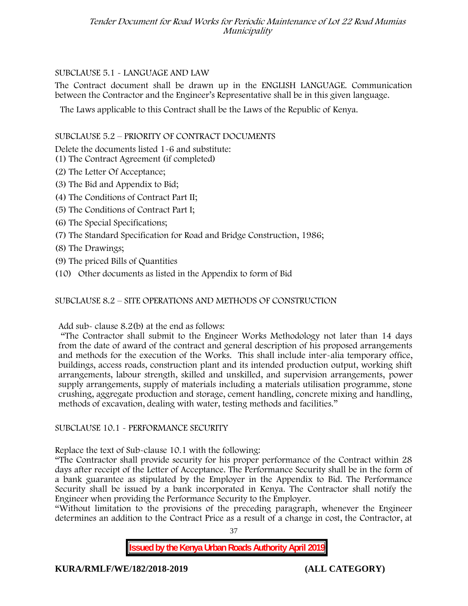## SUBCLAUSE 5.1 - LANGUAGE AND LAW

The Contract document shall be drawn up in the ENGLISH LANGUAGE. Communication between the Contractor and the Engineer's Representative shall be in this given language.

The Laws applicable to this Contract shall be the Laws of the Republic of Kenya.

## SUBCLAUSE 5.2 – PRIORITY OF CONTRACT DOCUMENTS

Delete the documents listed 1-6 and substitute:

- (1) The Contract Agreement (if completed)
- (2) The Letter Of Acceptance;
- (3) The Bid and Appendix to Bid;
- (4) The Conditions of Contract Part II;
- (5) The Conditions of Contract Part I;
- (6) The Special Specifications;
- (7) The Standard Specification for Road and Bridge Construction, 1986;
- (8) The Drawings;
- (9) The priced Bills of Quantities
- (10) Other documents as listed in the Appendix to form of Bid

## SUBCLAUSE 8.2 – SITE OPERATIONS AND METHODS OF CONSTRUCTION

Add sub- clause 8.2(b) at the end as follows:

"The Contractor shall submit to the Engineer Works Methodology not later than 14 days from the date of award of the contract and general description of his proposed arrangements and methods for the execution of the Works. This shall include inter-alia temporary office, buildings, access roads, construction plant and its intended production output, working shift arrangements, labour strength, skilled and unskilled, and supervision arrangements, power supply arrangements, supply of materials including a materials utilisation programme, stone crushing, aggregate production and storage, cement handling, concrete mixing and handling, methods of excavation, dealing with water, testing methods and facilities."

## SUBCLAUSE 10.1 - PERFORMANCE SECURITY

Replace the text of Sub-clause 10.1 with the following:

"The Contractor shall provide security for his proper performance of the Contract within 28 days after receipt of the Letter of Acceptance. The Performance Security shall be in the form of a bank guarantee as stipulated by the Employer in the Appendix to Bid. The Performance Security shall be issued by a bank incorporated in Kenya. The Contractor shall notify the Engineer when providing the Performance Security to the Employer.

"Without limitation to the provisions of the preceding paragraph, whenever the Engineer determines an addition to the Contract Price as a result of a change in cost, the Contractor, at

37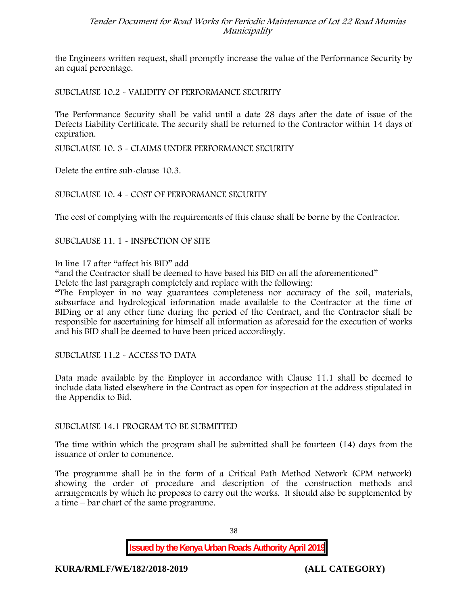the Engineers written request, shall promptly increase the value of the Performance Security by an equal percentage.

SUBCLAUSE 10.2 - VALIDITY OF PERFORMANCE SECURITY

The Performance Security shall be valid until a date 28 days after the date of issue of the Defects Liability Certificate. The security shall be returned to the Contractor within 14 days of expiration.

SUBCLAUSE 10. 3 - CLAIMS UNDER PERFORMANCE SECURITY

Delete the entire sub-clause 10.3.

#### SUBCLAUSE 10. 4 - COST OF PERFORMANCE SECURITY

The cost of complying with the requirements of this clause shall be borne by the Contractor.

SUBCLAUSE 11. 1 - INSPECTION OF SITE

In line 17 after "affect his BID" add

"and the Contractor shall be deemed to have based his BID on all the aforementioned"

Delete the last paragraph completely and replace with the following:

"The Employer in no way guarantees completeness nor accuracy of the soil, materials, subsurface and hydrological information made available to the Contractor at the time of BIDing or at any other time during the period of the Contract, and the Contractor shall be responsible for ascertaining for himself all information as aforesaid for the execution of works and his BID shall be deemed to have been priced accordingly.

SUBCLAUSE 11.2 - ACCESS TO DATA

Data made available by the Employer in accordance with Clause 11.1 shall be deemed to include data listed elsewhere in the Contract as open for inspection at the address stipulated in the Appendix to Bid.

#### SUBCLAUSE 14.1 PROGRAM TO BE SUBMITTED

The time within which the program shall be submitted shall be fourteen (14) days from the issuance of order to commence**.**

The programme shall be in the form of a Critical Path Method Network (CPM network) showing the order of procedure and description of the construction methods and arrangements by which he proposes to carry out the works. It should also be supplemented by a time – bar chart of the same programme.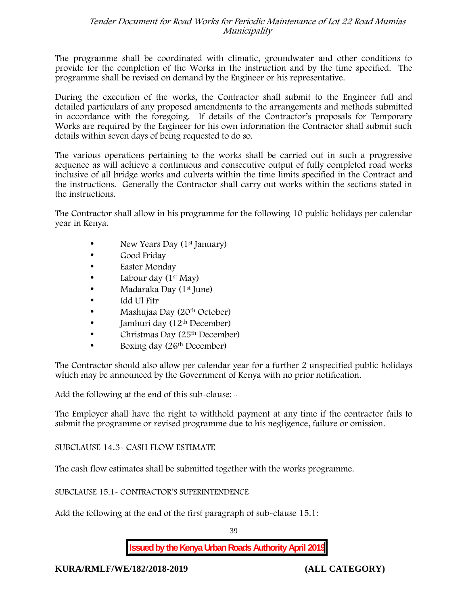The programme shall be coordinated with climatic, groundwater and other conditions to provide for the completion of the Works in the instruction and by the time specified. The programme shall be revised on demand by the Engineer or his representative.

During the execution of the works, the Contractor shall submit to the Engineer full and detailed particulars of any proposed amendments to the arrangements and methods submitted in accordance with the foregoing. If details of the Contractor's proposals for Temporary Works are required by the Engineer for his own information the Contractor shall submit such details within seven days of being requested to do so.

The various operations pertaining to the works shall be carried out in such a progressive sequence as will achieve a continuous and consecutive output of fully completed road works inclusive of all bridge works and culverts within the time limits specified in the Contract and the instructions. Generally the Contractor shall carry out works within the sections stated in the instructions.

The Contractor shall allow in his programme for the following 10 public holidays per calendar year in Kenya.

- New Years Day (1<sup>st</sup> January)
- Good Friday
- Easter Monday
- Labour day  $(1<sup>st</sup>$  May)
- Madaraka Day (1st June)
- Idd Ul Fitr
- Mashujaa Day (20<sup>th</sup> October)
- $\bullet$  Jamhuri day (12<sup>th</sup> December)
- Christmas Day  $(25<sup>th</sup> December)$
- Boxing day (26<sup>th</sup> December)

The Contractor should also allow per calendar year for a further 2 unspecified public holidays which may be announced by the Government of Kenya with no prior notification.

Add the following at the end of this sub-clause: -

The Employer shall have the right to withhold payment at any time if the contractor fails to submit the programme or revised programme due to his negligence, failure or omission.

## SUBCLAUSE 14.3- CASH FLOW ESTIMATE

The cash flow estimates shall be submitted together with the works programme.

## SUBCLAUSE 15.1- CONTRACTOR'S SUPERINTENDENCE

Add the following at the end of the first paragraph of sub-clause 15.1:

39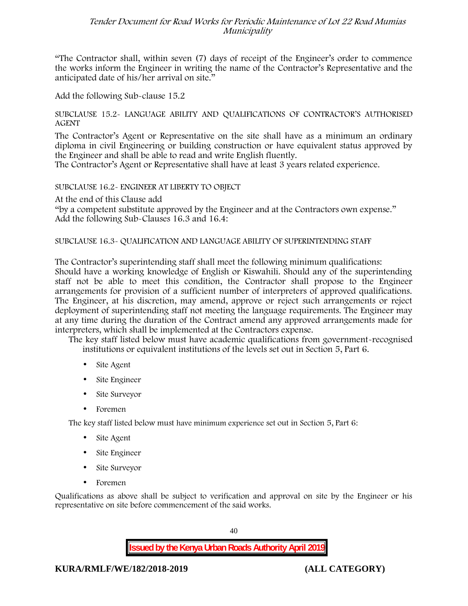"The Contractor shall, within seven (7) days of receipt of the Engineer's order to commence the works inform the Engineer in writing the name of the Contractor's Representative and the anticipated date of his/her arrival on site."

Add the following Sub-clause 15.2

#### SUBCLAUSE 15.2- LANGUAGE ABILITY AND QUALIFICATIONS OF CONTRACTOR'S AUTHORISED AGENT

The Contractor's Agent or Representative on the site shall have as a minimum an ordinary diploma in civil Engineering or building construction or have equivalent status approved by the Engineer and shall be able to read and write English fluently.

The Contractor's Agent or Representative shall have at least 3 years related experience.

SUBCLAUSE 16.2- ENGINEER AT LIBERTY TO OBJECT

At the end of this Clause add

"by a competent substitute approved by the Engineer and at the Contractors own expense." Add the following Sub-Clauses 16.3 and 16.4:

#### SUBCLAUSE 16.3- QUALIFICATION AND LANGUAGE ABILITY OF SUPERINTENDING STAFF

The Contractor's superintending staff shall meet the following minimum qualifications: Should have a working knowledge of English or Kiswahili. Should any of the superintending staff not be able to meet this condition, the Contractor shall propose to the Engineer arrangements for provision of a sufficient number of interpreters of approved qualifications. The Engineer, at his discretion, may amend, approve or reject such arrangements or reject deployment of superintending staff not meeting the language requirements. The Engineer may at any time during the duration of the Contract amend any approved arrangements made for interpreters, which shall be implemented at the Contractors expense.

The key staff listed below must have academic qualifications from government-recognised institutions or equivalent institutions of the levels set out in Section 5, Part 6.

- Site Agent
- Site Engineer
- Site Surveyor
- Foremen

The key staff listed below must have minimum experience set out in Section 5, Part 6:

- Site Agent
- Site Engineer
- Site Surveyor
- Foremen

Qualifications as above shall be subject to verification and approval on site by the Engineer or his representative on site before commencement of the said works.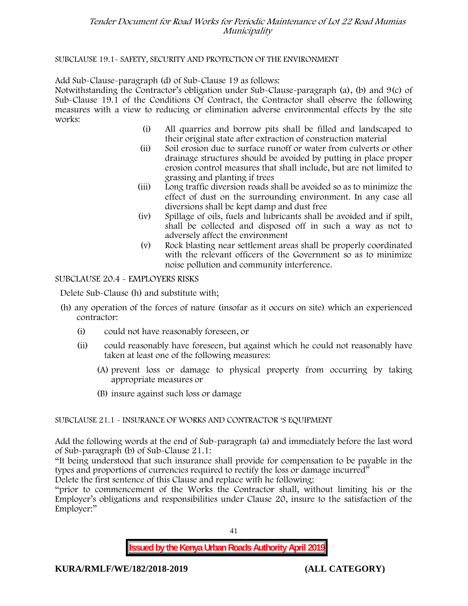#### SUBCLAUSE 19.1- SAFETY, SECURITY AND PROTECTION OF THE ENVIRONMENT

Add Sub-Clause-paragraph (d) of Sub-Clause 19 as follows:

Notwithstanding the Contractor's obligation under Sub-Clause-paragraph (a), (b) and 9(c) of Sub-Clause 19.1 of the Conditions Of Contract, the Contractor shall observe the following measures with a view to reducing or elimination adverse environmental effects by the site works:

- (i) All quarries and borrow pits shall be filled and landscaped to their original state after extraction of construction material
- (ii) Soil erosion due to surface runoff or water from culverts or other drainage structures should be avoided by putting in place proper erosion control measures that shall include, but are not limited to grassing and planting if trees
- (iii) Long traffic diversion roads shall be avoided so as to minimize the effect of dust on the surrounding environment. In any case all diversions shall be kept damp and dust free
- (iv) Spillage of oils, fuels and lubricants shall be avoided and if spilt, shall be collected and disposed off in such a way as not to adversely affect the environment
- (v) Rock blasting near settlement areas shall be properly coordinated with the relevant officers of the Government so as to minimize noise pollution and community interference.

#### SUBCLAUSE 20.4 - EMPLOYERS RISKS

Delete Sub-Clause (h) and substitute with;

- (h) any operation of the forces of nature (insofar as it occurs on site) which an experienced contractor:
	- (i) could not have reasonably foreseen, or
	- (ii) could reasonably have foreseen, but against which he could not reasonably have taken at least one of the following measures:
		- (A) prevent loss or damage to physical property from occurring by taking appropriate measures or
		- (B) insure against such loss or damage

## SUBCLAUSE 21.1 - INSURANCE OF WORKS AND CONTRACTOR 'S EQUIPMENT

Add the following words at the end of Sub-paragraph (a) and immediately before the last word of Sub-paragraph (b) of Sub-Clause 21.1:

"It being understood that such insurance shall provide for compensation to be payable in the types and proportions of currencies required to rectify the loss or damage incurred"

Delete the first sentence of this Clause and replace with he following:

"prior to commencement of the Works the Contractor shall, without limiting his or the Employer's obligations and responsibilities under Clause 20, insure to the satisfaction of the Employer:"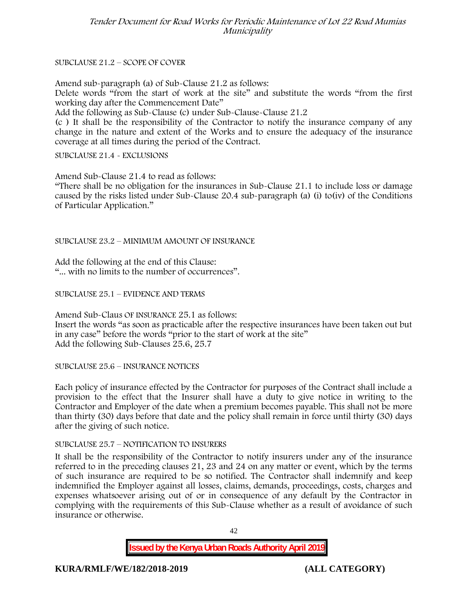SUBCLAUSE 21.2 – SCOPE OF COVER

Amend sub-paragraph (a) of Sub-Clause 21.2 as follows:

Delete words "from the start of work at the site" and substitute the words "from the first working day after the Commencement Date"

Add the following as Sub-Clause (c) under Sub-Clause-Clause 21.2

(c ) It shall be the responsibility of the Contractor to notify the insurance company of any change in the nature and extent of the Works and to ensure the adequacy of the insurance coverage at all times during the period of the Contract.

SUBCLAUSE 21.4 - EXCLUSIONS

Amend Sub-Clause 21.4 to read as follows:

"There shall be no obligation for the insurances in Sub-Clause 21.1 to include loss or damage caused by the risks listed under Sub-Clause 20.4 sub-paragraph (a) (i) to(iv) of the Conditions of Particular Application."

SUBCLAUSE 23.2 – MINIMUM AMOUNT OF INSURANCE

Add the following at the end of this Clause: "... with no limits to the number of occurrences".

#### SUBCLAUSE 25.1 – EVIDENCE AND TERMS

Amend Sub-Claus OF INSURANCE 25.1 as follows: Insert the words "as soon as practicable after the respective insurances have been taken out but in any case" before the words "prior to the start of work at the site" Add the following Sub-Clauses 25.6, 25.7

SUBCLAUSE 25.6 – INSURANCE NOTICES

Each policy of insurance effected by the Contractor for purposes of the Contract shall include a provision to the effect that the Insurer shall have a duty to give notice in writing to the Contractor and Employer of the date when a premium becomes payable. This shall not be more than thirty (30) days before that date and the policy shall remain in force until thirty (30) days after the giving of such notice.

## SUBCLAUSE 25.7 – NOTIFICATION TO INSURERS

It shall be the responsibility of the Contractor to notify insurers under any of the insurance referred to in the preceding clauses 21, 23 and 24 on any matter or event, which by the terms of such insurance are required to be so notified. The Contractor shall indemnify and keep indemnified the Employer against all losses, claims, demands, proceedings, costs, charges and expenses whatsoever arising out of or in consequence of any default by the Contractor in complying with the requirements of this Sub-Clause whether as a result of avoidance of such insurance or otherwise.

42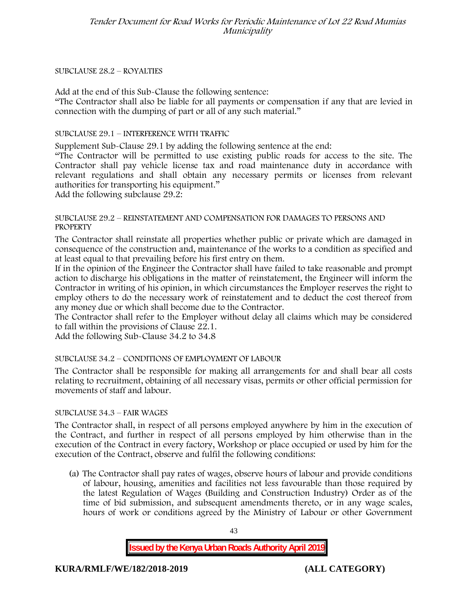#### SUBCLAUSE 28.2 – ROYALTIES

Add at the end of this Sub-Clause the following sentence: "The Contractor shall also be liable for all payments or compensation if any that are levied in connection with the dumping of part or all of any such material."

## SUBCLAUSE 29.1 – INTERFERENCE WITH TRAFFIC

Supplement Sub-Clause 29.1 by adding the following sentence at the end:

"The Contractor will be permitted to use existing public roads for access to the site. The Contractor shall pay vehicle license tax and road maintenance duty in accordance with relevant regulations and shall obtain any necessary permits or licenses from relevant authorities for transporting his equipment."

Add the following subclause 29.2:

#### SUBCLAUSE 29.2 – REINSTATEMENT AND COMPENSATION FOR DAMAGES TO PERSONS AND **PROPERTY**

The Contractor shall reinstate all properties whether public or private which are damaged in consequence of the construction and, maintenance of the works to a condition as specified and at least equal to that prevailing before his first entry on them.

If in the opinion of the Engineer the Contractor shall have failed to take reasonable and prompt action to discharge his obligations in the matter of reinstatement, the Engineer will inform the Contractor in writing of his opinion, in which circumstances the Employer reserves the right to employ others to do the necessary work of reinstatement and to deduct the cost thereof from any money due or which shall become due to the Contractor.

The Contractor shall refer to the Employer without delay all claims which may be considered to fall within the provisions of Clause 22.1.

Add the following Sub-Clause 34.2 to 34.8

## SUBCLAUSE 34.2 – CONDITIONS OF EMPLOYMENT OF LABOUR

The Contractor shall be responsible for making all arrangements for and shall bear all costs relating to recruitment, obtaining of all necessary visas, permits or other official permission for movements of staff and labour.

#### SUBCLAUSE 34.3 – FAIR WAGES

The Contractor shall, in respect of all persons employed anywhere by him in the execution of the Contract, and further in respect of all persons employed by him otherwise than in the execution of the Contract in every factory, Workshop or place occupied or used by him for the execution of the Contract, observe and fulfil the following conditions:

(a) The Contractor shall pay rates of wages, observe hours of labour and provide conditions of labour, housing, amenities and facilities not less favourable than those required by the latest Regulation of Wages (Building and Construction Industry) Order as of the time of bid submission, and subsequent amendments thereto, or in any wage scales, hours of work or conditions agreed by the Ministry of Labour or other Government

43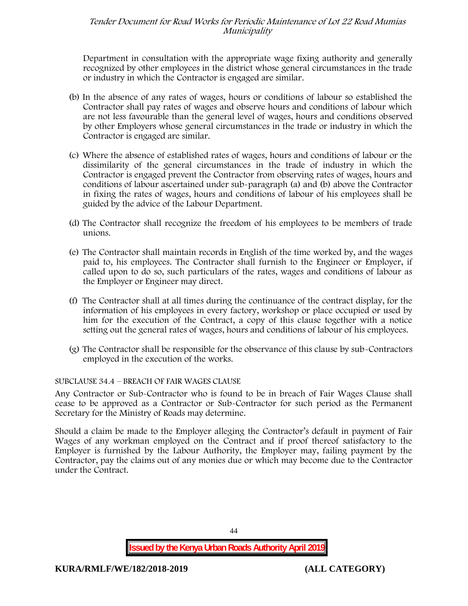Department in consultation with the appropriate wage fixing authority and generally recognized by other employees in the district whose general circumstances in the trade or industry in which the Contractor is engaged are similar.

- (b) In the absence of any rates of wages, hours or conditions of labour so established the Contractor shall pay rates of wages and observe hours and conditions of labour which are not less favourable than the general level of wages, hours and conditions observed by other Employers whose general circumstances in the trade or industry in which the Contractor is engaged are similar.
- (c) Where the absence of established rates of wages, hours and conditions of labour or the dissimilarity of the general circumstances in the trade of industry in which the Contractor is engaged prevent the Contractor from observing rates of wages, hours and conditions of labour ascertained under sub-paragraph (a) and (b) above the Contractor in fixing the rates of wages, hours and conditions of labour of his employees shall be guided by the advice of the Labour Department.
- (d) The Contractor shall recognize the freedom of his employees to be members of trade unions.
- (e) The Contractor shall maintain records in English of the time worked by, and the wages paid to, his employees. The Contractor shall furnish to the Engineer or Employer, if called upon to do so, such particulars of the rates, wages and conditions of labour as the Employer or Engineer may direct.
- (f) The Contractor shall at all times during the continuance of the contract display, for the information of his employees in every factory, workshop or place occupied or used by him for the execution of the Contract, a copy of this clause together with a notice setting out the general rates of wages, hours and conditions of labour of his employees.
- (g) The Contractor shall be responsible for the observance of this clause by sub-Contractors employed in the execution of the works.

## SUBCLAUSE 34.4 – BREACH OF FAIR WAGES CLAUSE

Any Contractor or Sub-Contractor who is found to be in breach of Fair Wages Clause shall cease to be approved as a Contractor or Sub-Contractor for such period as the Permanent Secretary for the Ministry of Roads may determine.

Should a claim be made to the Employer alleging the Contractor's default in payment of Fair Wages of any workman employed on the Contract and if proof thereof satisfactory to the Employer is furnished by the Labour Authority, the Employer may, failing payment by the Contractor, pay the claims out of any monies due or which may become due to the Contractor under the Contract.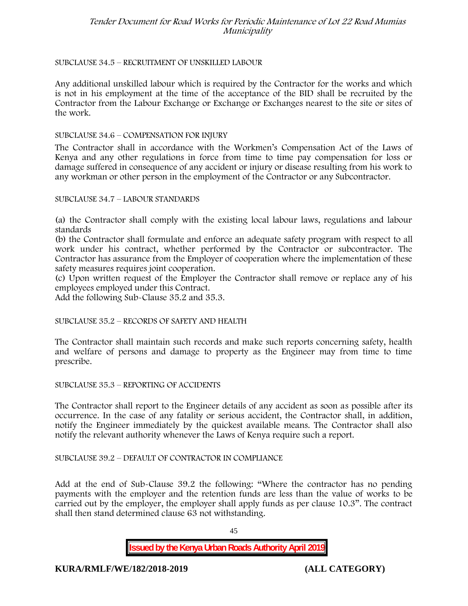#### SUBCLAUSE 34.5 – RECRUITMENT OF UNSKILLED LABOUR

Any additional unskilled labour which is required by the Contractor for the works and which is not in his employment at the time of the acceptance of the BID shall be recruited by the Contractor from the Labour Exchange or Exchange or Exchanges nearest to the site or sites of the work.

#### SUBCLAUSE 34.6 – COMPENSATION FOR INJURY

The Contractor shall in accordance with the Workmen's Compensation Act of the Laws of Kenya and any other regulations in force from time to time pay compensation for loss or damage suffered in consequence of any accident or injury or disease resulting from his work to any workman or other person in the employment of the Contractor or any Subcontractor.

SUBCLAUSE 34.7 – LABOUR STANDARDS

(a) the Contractor shall comply with the existing local labour laws, regulations and labour standards

(b) the Contractor shall formulate and enforce an adequate safety program with respect to all work under his contract, whether performed by the Contractor or subcontractor. The Contractor has assurance from the Employer of cooperation where the implementation of these safety measures requires joint cooperation.

(c) Upon written request of the Employer the Contractor shall remove or replace any of his employees employed under this Contract.

Add the following Sub-Clause 35.2 and 35.3.

## SUBCLAUSE 35.2 – RECORDS OF SAFETY AND HEALTH

The Contractor shall maintain such records and make such reports concerning safety, health and welfare of persons and damage to property as the Engineer may from time to time prescribe.

SUBCLAUSE 35.3 – REPORTING OF ACCIDENTS

The Contractor shall report to the Engineer details of any accident as soon as possible after its occurrence. In the case of any fatality or serious accident, the Contractor shall, in addition, notify the Engineer immediately by the quickest available means. The Contractor shall also notify the relevant authority whenever the Laws of Kenya require such a report.

#### SUBCLAUSE 39.2 – DEFAULT OF CONTRACTOR IN COMPLIANCE

Add at the end of Sub-Clause 39.2 the following: "Where the contractor has no pending payments with the employer and the retention funds are less than the value of works to be carried out by the employer, the employer shall apply funds as per clause 10.3". The contract shall then stand determined clause 63 not withstanding.

45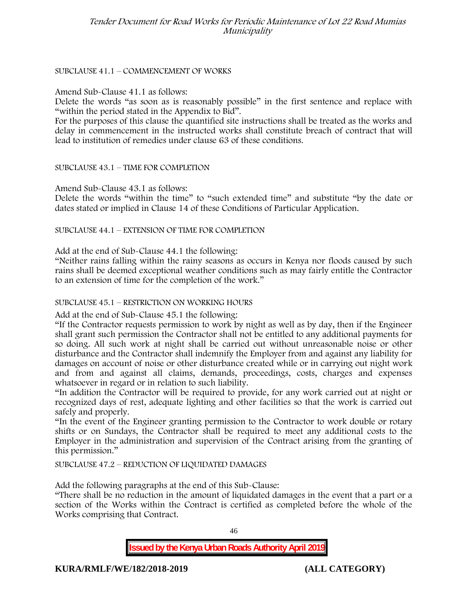#### SUBCLAUSE 41.1 – COMMENCEMENT OF WORKS

#### Amend Sub-Clause 41.1 as follows:

Delete the words "as soon as is reasonably possible" in the first sentence and replace with "within the period stated in the Appendix to Bid".

For the purposes of this clause the quantified site instructions shall be treated as the works and delay in commencement in the instructed works shall constitute breach of contract that will lead to institution of remedies under clause 63 of these conditions.

#### SUBCLAUSE 43.1 – TIME FOR COMPLETION

Amend Sub-Clause 43.1 as follows:

Delete the words "within the time" to "such extended time" and substitute "by the date or dates stated or implied in Clause 14 of these Conditions of Particular Application.

SUBCLAUSE 44.1 – EXTENSION OF TIME FOR COMPLETION

Add at the end of Sub-Clause 44.1 the following:

"Neither rains falling within the rainy seasons as occurs in Kenya nor floods caused by such rains shall be deemed exceptional weather conditions such as may fairly entitle the Contractor to an extension of time for the completion of the work."

#### SUBCLAUSE 45.1 – RESTRICTION ON WORKING HOURS

Add at the end of Sub-Clause 45.1 the following:

"If the Contractor requests permission to work by night as well as by day, then if the Engineer shall grant such permission the Contractor shall not be entitled to any additional payments for so doing. All such work at night shall be carried out without unreasonable noise or other disturbance and the Contractor shall indemnify the Employer from and against any liability for damages on account of noise or other disturbance created while or in carrying out night work and from and against all claims, demands, proceedings, costs, charges and expenses whatsoever in regard or in relation to such liability.

"In addition the Contractor will be required to provide, for any work carried out at night or recognized days of rest, adequate lighting and other facilities so that the work is carried out safely and properly.

"In the event of the Engineer granting permission to the Contractor to work double or rotary shifts or on Sundays, the Contractor shall be required to meet any additional costs to the Employer in the administration and supervision of the Contract arising from the granting of this permission."

SUBCLAUSE 47.2 – REDUCTION OF LIQUIDATED DAMAGES

Add the following paragraphs at the end of this Sub-Clause:

"There shall be no reduction in the amount of liquidated damages in the event that a part or a section of the Works within the Contract is certified as completed before the whole of the Works comprising that Contract.

46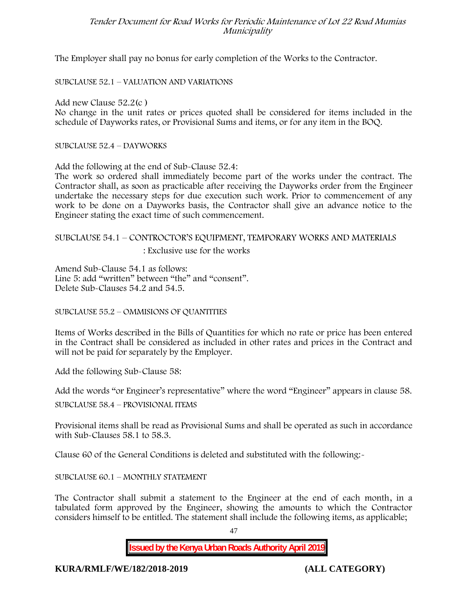The Employer shall pay no bonus for early completion of the Works to the Contractor.

SUBCLAUSE 52.1 – VALUATION AND VARIATIONS

Add new Clause 52.2(c )

No change in the unit rates or prices quoted shall be considered for items included in the schedule of Dayworks rates, or Provisional Sums and items, or for any item in the BOQ.

SUBCLAUSE 52.4 – DAYWORKS

Add the following at the end of Sub-Clause 52.4:

The work so ordered shall immediately become part of the works under the contract. The Contractor shall, as soon as practicable after receiving the Dayworks order from the Engineer undertake the necessary steps for due execution such work. Prior to commencement of any work to be done on a Dayworks basis, the Contractor shall give an advance notice to the Engineer stating the exact time of such commencement.

# SUBCLAUSE 54.1 – CONTROCTOR'S EQUIPMENT, TEMPORARY WORKS AND MATERIALS

: Exclusive use for the works

Amend Sub-Clause 54.1 as follows: Line 5: add "written" between "the" and "consent". Delete Sub-Clauses 54.2 and 54.5.

SUBCLAUSE 55.2 – OMMISIONS OF QUANTITIES

Items of Works described in the Bills of Quantities for which no rate or price has been entered in the Contract shall be considered as included in other rates and prices in the Contract and will not be paid for separately by the Employer.

Add the following Sub-Clause 58:

Add the words "or Engineer's representative" where the word "Engineer" appears in clause 58.

SUBCLAUSE 58.4 – PROVISIONAL ITEMS

Provisional items shall be read as Provisional Sums and shall be operated as such in accordance with Sub-Clauses 58.1 to 58.3.

Clause 60 of the General Conditions is deleted and substituted with the following:-

SUBCLAUSE 60.1 – MONTHLY STATEMENT

The Contractor shall submit a statement to the Engineer at the end of each month, in a tabulated form approved by the Engineer, showing the amounts to which the Contractor considers himself to be entitled. The statement shall include the following items, as applicable;

47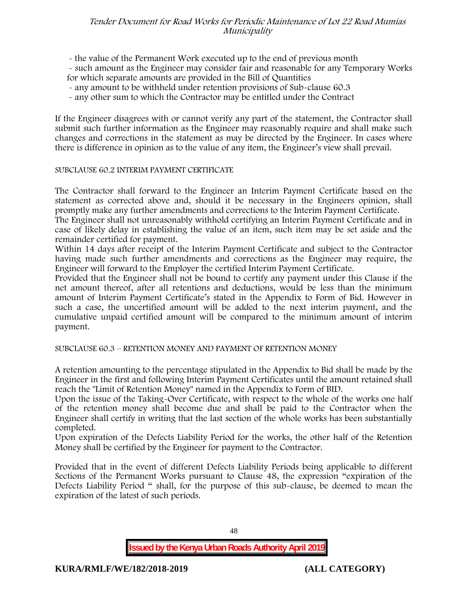- the value of the Permanent Work executed up to the end of previous month
- such amount as the Engineer may consider fair and reasonable for any Temporary Works for which separate amounts are provided in the Bill of Quantities
- any amount to be withheld under retention provisions of Sub-clause 60.3
- any other sum to which the Contractor may be entitled under the Contract

If the Engineer disagrees with or cannot verify any part of the statement, the Contractor shall submit such further information as the Engineer may reasonably require and shall make such changes and corrections in the statement as may be directed by the Engineer. In cases where there is difference in opinion as to the value of any item, the Engineer's view shall prevail.

#### SUBCLAUSE 60.2 INTERIM PAYMENT CERTIFICATE

The Contractor shall forward to the Engineer an Interim Payment Certificate based on the statement as corrected above and, should it be necessary in the Engineers opinion, shall promptly make any further amendments and corrections to the Interim Payment Certificate.

The Engineer shall not unreasonably withhold certifying an Interim Payment Certificate and in case of likely delay in establishing the value of an item, such item may be set aside and the remainder certified for payment.

Within 14 days after receipt of the Interim Payment Certificate and subject to the Contractor having made such further amendments and corrections as the Engineer may require, the Engineer will forward to the Employer the certified Interim Payment Certificate.

Provided that the Engineer shall not be bound to certify any payment under this Clause if the net amount thereof, after all retentions and deductions, would be less than the minimum amount of Interim Payment Certificate's stated in the Appendix to Form of Bid. However in such a case, the uncertified amount will be added to the next interim payment, and the cumulative unpaid certified amount will be compared to the minimum amount of interim payment.

SUBCLAUSE 60.3 – RETENTION MONEY AND PAYMENT OF RETENTION MONEY

A retention amounting to the percentage stipulated in the Appendix to Bid shall be made by the Engineer in the first and following Interim Payment Certificates until the amount retained shall reach the "Limit of Retention Money" named in the Appendix to Form of BID.

Upon the issue of the Taking-Over Certificate, with respect to the whole of the works one half of the retention money shall become due and shall be paid to the Contractor when the Engineer shall certify in writing that the last section of the whole works has been substantially completed.

Upon expiration of the Defects Liability Period for the works, the other half of the Retention Money shall be certified by the Engineer for payment to the Contractor.

Provided that in the event of different Defects Liability Periods being applicable to different Sections of the Permanent Works pursuant to Clause 48, the expression "expiration of the Defects Liability Period " shall, for the purpose of this sub-clause, be deemed to mean the expiration of the latest of such periods.

48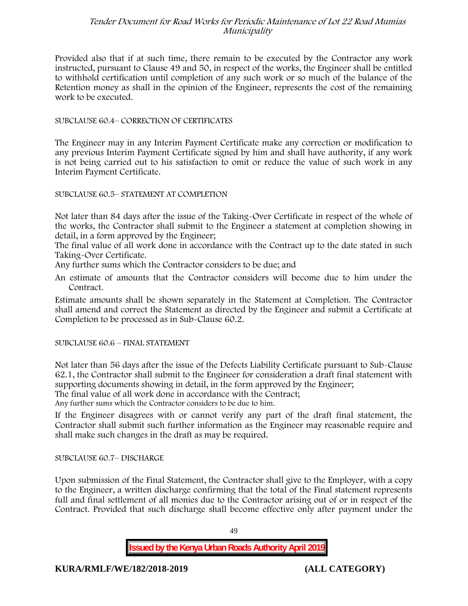Provided also that if at such time, there remain to be executed by the Contractor any work instructed, pursuant to Clause 49 and 50, in respect of the works, the Engineer shall be entitled to withhold certification until completion of any such work or so much of the balance of the Retention money as shall in the opinion of the Engineer, represents the cost of the remaining work to be executed.

#### SUBCLAUSE 60.4– CORRECTION OF CERTIFICATES

The Engineer may in any Interim Payment Certificate make any correction or modification to any previous Interim Payment Certificate signed by him and shall have authority, if any work is not being carried out to his satisfaction to omit or reduce the value of such work in any Interim Payment Certificate.

#### SUBCLAUSE 60.5– STATEMENT AT COMPLETION

Not later than 84 days after the issue of the Taking-Over Certificate in respect of the whole of the works, the Contractor shall submit to the Engineer a statement at completion showing in detail, in a form approved by the Engineer;

The final value of all work done in accordance with the Contract up to the date stated in such Taking-Over Certificate.

Any further sums which the Contractor considers to be due; and

An estimate of amounts that the Contractor considers will become due to him under the Contract.

Estimate amounts shall be shown separately in the Statement at Completion. The Contractor shall amend and correct the Statement as directed by the Engineer and submit a Certificate at Completion to be processed as in Sub-Clause 60.2.

#### SUBCLAUSE 60.6 – FINAL STATEMENT

Not later than 56 days after the issue of the Defects Liability Certificate pursuant to Sub-Clause 62.1, the Contractor shall submit to the Engineer for consideration a draft final statement with supporting documents showing in detail, in the form approved by the Engineer;

The final value of all work done in accordance with the Contract;

Any further sums which the Contractor considers to be due to him.

If the Engineer disagrees with or cannot verify any part of the draft final statement, the Contractor shall submit such further information as the Engineer may reasonable require and shall make such changes in the draft as may be required.

SUBCLAUSE 60.7– DISCHARGE

Upon submission of the Final Statement, the Contractor shall give to the Employer, with a copy to the Engineer, a written discharge confirming that the total of the Final statement represents full and final settlement of all monies due to the Contractor arising out of or in respect of the Contract. Provided that such discharge shall become effective only after payment under the

49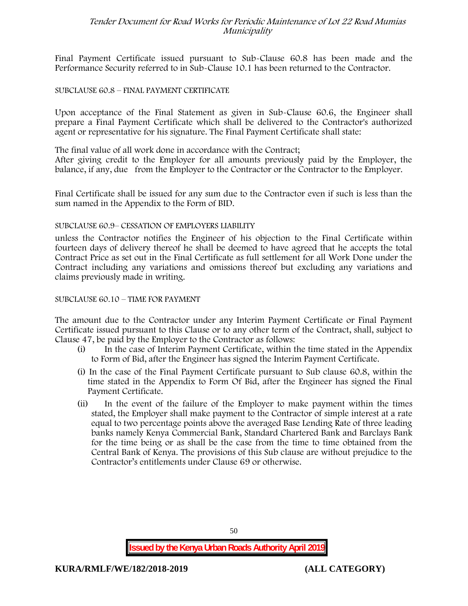Final Payment Certificate issued pursuant to Sub-Clause 60.8 has been made and the Performance Security referred to in Sub-Clause 10.1 has been returned to the Contractor.

#### SUBCLAUSE 60.8 – FINAL PAYMENT CERTIFICATE

Upon acceptance of the Final Statement as given in Sub-Clause 60.6, the Engineer shall prepare a Final Payment Certificate which shall be delivered to the Contractor's authorized agent or representative for his signature. The Final Payment Certificate shall state:

The final value of all work done in accordance with the Contract;

After giving credit to the Employer for all amounts previously paid by the Employer, the balance, if any, due from the Employer to the Contractor or the Contractor to the Employer.

Final Certificate shall be issued for any sum due to the Contractor even if such is less than the sum named in the Appendix to the Form of BID.

#### SUBCLAUSE 60.9– CESSATION OF EMPLOYERS LIABILITY

unless the Contractor notifies the Engineer of his objection to the Final Certificate within fourteen days of delivery thereof he shall be deemed to have agreed that he accepts the total Contract Price as set out in the Final Certificate as full settlement for all Work Done under the Contract including any variations and omissions thereof but excluding any variations and claims previously made in writing.

#### SUBCLAUSE 60.10 – TIME FOR PAYMENT

The amount due to the Contractor under any Interim Payment Certificate or Final Payment Certificate issued pursuant to this Clause or to any other term of the Contract, shall, subject to Clause 47, be paid by the Employer to the Contractor as follows:

- (i) In the case of Interim Payment Certificate, within the time stated in the Appendix to Form of Bid, after the Engineer has signed the Interim Payment Certificate.
- (i) In the case of the Final Payment Certificate pursuant to Sub clause 60.8, within the time stated in the Appendix to Form Of Bid, after the Engineer has signed the Final Payment Certificate.
- (ii) In the event of the failure of the Employer to make payment within the times stated, the Employer shall make payment to the Contractor of simple interest at a rate equal to two percentage points above the averaged Base Lending Rate of three leading banks namely Kenya Commercial Bank, Standard Chartered Bank and Barclays Bank for the time being or as shall be the case from the time to time obtained from the Central Bank of Kenya. The provisions of this Sub clause are without prejudice to the Contractor's entitlements under Clause 69 or otherwise.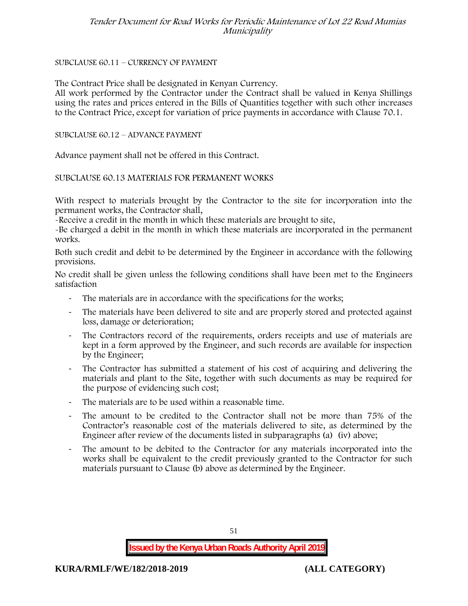#### SUBCLAUSE 60.11 – CURRENCY OF PAYMENT

The Contract Price shall be designated in Kenyan Currency.

All work performed by the Contractor under the Contract shall be valued in Kenya Shillings using the rates and prices entered in the Bills of Quantities together with such other increases to the Contract Price, except for variation of price payments in accordance with Clause 70.1.

#### SUBCLAUSE 60.12 – ADVANCE PAYMENT

Advance payment shall not be offered in this Contract.

#### SUBCLAUSE 60.13 MATERIALS FOR PERMANENT WORKS

With respect to materials brought by the Contractor to the site for incorporation into the permanent works, the Contractor shall,

-Receive a credit in the month in which these materials are brought to site,

-Be charged a debit in the month in which these materials are incorporated in the permanent works.

Both such credit and debit to be determined by the Engineer in accordance with the following provisions.

No credit shall be given unless the following conditions shall have been met to the Engineers satisfaction

- The materials are in accordance with the specifications for the works;
- The materials have been delivered to site and are properly stored and protected against loss, damage or deterioration;
- The Contractors record of the requirements, orders receipts and use of materials are kept in a form approved by the Engineer, and such records are available for inspection by the Engineer;
- The Contractor has submitted a statement of his cost of acquiring and delivering the materials and plant to the Site, together with such documents as may be required for the purpose of evidencing such cost;
- The materials are to be used within a reasonable time.
- The amount to be credited to the Contractor shall not be more than 75% of the Contractor's reasonable cost of the materials delivered to site, as determined by the Engineer after review of the documents listed in subparagraphs (a) (iv) above;
- The amount to be debited to the Contractor for any materials incorporated into the works shall be equivalent to the credit previously granted to the Contractor for such materials pursuant to Clause (b) above as determined by the Engineer.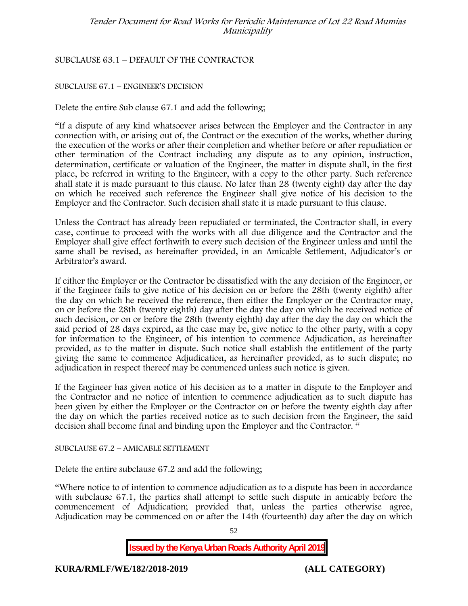## SUBCLAUSE 63.1 – DEFAULT OF THE CONTRACTOR

#### SUBCLAUSE 67.1 – ENGINEER'S DECISION

Delete the entire Sub clause 67.1 and add the following;

"If a dispute of any kind whatsoever arises between the Employer and the Contractor in any connection with, or arising out of, the Contract or the execution of the works, whether during the execution of the works or after their completion and whether before or after repudiation or other termination of the Contract including any dispute as to any opinion, instruction, determination, certificate or valuation of the Engineer, the matter in dispute shall, in the first place, be referred in writing to the Engineer, with a copy to the other party. Such reference shall state it is made pursuant to this clause. No later than 28 (twenty eight) day after the day on which he received such reference the Engineer shall give notice of his decision to the Employer and the Contractor. Such decision shall state it is made pursuant to this clause.

Unless the Contract has already been repudiated or terminated, the Contractor shall, in every case, continue to proceed with the works with all due diligence and the Contractor and the Employer shall give effect forthwith to every such decision of the Engineer unless and until the same shall be revised, as hereinafter provided, in an Amicable Settlement, Adjudicator's or Arbitrator's award.

If either the Employer or the Contractor be dissatisfied with the any decision of the Engineer, or if the Engineer fails to give notice of his decision on or before the 28th (twenty eighth) after the day on which he received the reference, then either the Employer or the Contractor may, on or before the 28th (twenty eighth) day after the day the day on which he received notice of such decision, or on or before the 28th (twenty eighth) day after the day the day on which the said period of 28 days expired, as the case may be, give notice to the other party, with a copy for information to the Engineer, of his intention to commence Adjudication, as hereinafter provided, as to the matter in dispute. Such notice shall establish the entitlement of the party giving the same to commence Adjudication, as hereinafter provided, as to such dispute; no adjudication in respect thereof may be commenced unless such notice is given.

If the Engineer has given notice of his decision as to a matter in dispute to the Employer and the Contractor and no notice of intention to commence adjudication as to such dispute has been given by either the Employer or the Contractor on or before the twenty eighth day after the day on which the parties received notice as to such decision from the Engineer, the said decision shall become final and binding upon the Employer and the Contractor. "

SUBCLAUSE 67.2 – AMICABLE SETTLEMENT

Delete the entire subclause 67.2 and add the following;

"Where notice to of intention to commence adjudication as to a dispute has been in accordance with subclause 67.1, the parties shall attempt to settle such dispute in amicably before the commencement of Adjudication; provided that, unless the parties otherwise agree, Adjudication may be commenced on or after the 14th (fourteenth) day after the day on which

52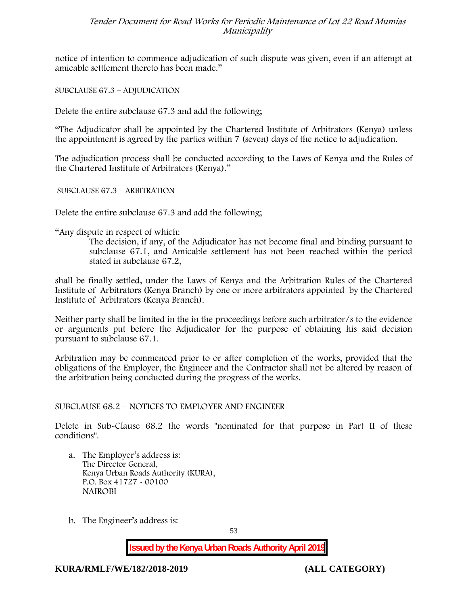notice of intention to commence adjudication of such dispute was given, even if an attempt at amicable settlement thereto has been made."

SUBCLAUSE 67.3 – ADJUDICATION

Delete the entire subclause 67.3 and add the following;

"The Adjudicator shall be appointed by the Chartered Institute of Arbitrators (Kenya) unless the appointment is agreed by the parties within 7 (seven) days of the notice to adjudication.

The adjudication process shall be conducted according to the Laws of Kenya and the Rules of the Chartered Institute of Arbitrators (Kenya)."

SUBCLAUSE 67.3 – ARBITRATION

Delete the entire subclause 67.3 and add the following;

"Any dispute in respect of which:

The decision, if any, of the Adjudicator has not become final and binding pursuant to subclause 67.1, and Amicable settlement has not been reached within the period stated in subclause 67.2,

shall be finally settled, under the Laws of Kenya and the Arbitration Rules of the Chartered Institute of Arbitrators (Kenya Branch) by one or more arbitrators appointed by the Chartered Institute of Arbitrators (Kenya Branch).

Neither party shall be limited in the in the proceedings before such arbitrator/s to the evidence or arguments put before the Adjudicator for the purpose of obtaining his said decision pursuant to subclause 67.1.

Arbitration may be commenced prior to or after completion of the works, provided that the obligations of the Employer, the Engineer and the Contractor shall not be altered by reason of the arbitration being conducted during the progress of the works.

SUBCLAUSE 68.2 – NOTICES TO EMPLOYER AND ENGINEER

Delete in Sub-Clause 68.2 the words "nominated for that purpose in Part II of these conditions".

- a. The Employer's address is: The Director General, Kenya Urban Roads Authority (KURA), P.O. Box 41727 - 00100 **NAIROBI**
- b. The Engineer's address is:

53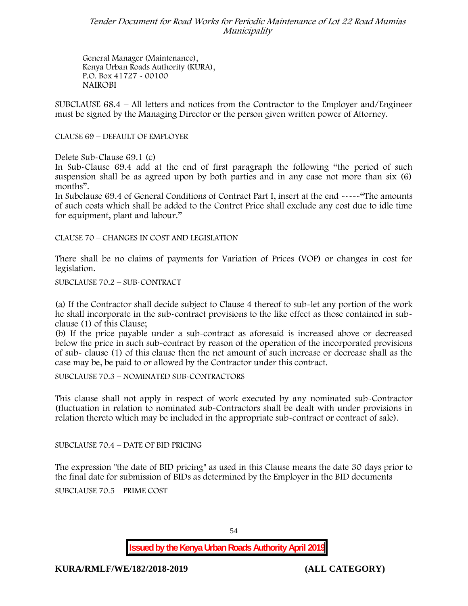General Manager (Maintenance), Kenya Urban Roads Authority (KURA), P.O. Box 41727 - 00100 **NAIROBI**

SUBCLAUSE 68.4 – All letters and notices from the Contractor to the Employer and/Engineer must be signed by the Managing Director or the person given written power of Attorney.

CLAUSE 69 – DEFAULT OF EMPLOYER

Delete Sub-Clause 69.1 (c)

In Sub-Clause 69.4 add at the end of first paragraph the following "the period of such suspension shall be as agreed upon by both parties and in any case not more than six (6) months".

In Subclause 69.4 of General Conditions of Contract Part I, insert at the end -----"The amounts of such costs which shall be added to the Contrct Price shall exclude any cost due to idle time for equipment, plant and labour."

CLAUSE 70 – CHANGES IN COST AND LEGISLATION

There shall be no claims of payments for Variation of Prices (VOP) or changes in cost for legislation.

SUBCLAUSE 70.2 – SUB-CONTRACT

(a) If the Contractor shall decide subject to Clause 4 thereof to sub-let any portion of the work he shall incorporate in the sub-contract provisions to the like effect as those contained in sub clause (1) of this Clause;

(b) If the price payable under a sub-contract as aforesaid is increased above or decreased below the price in such sub-contract by reason of the operation of the incorporated provisions of sub- clause (1) of this clause then the net amount of such increase or decrease shall as the case may be, be paid to or allowed by the Contractor under this contract.

SUBCLAUSE 70.3 – NOMINATED SUB-CONTRACTORS

This clause shall not apply in respect of work executed by any nominated sub-Contractor (fluctuation in relation to nominated sub-Contractors shall be dealt with under provisions in relation thereto which may be included in the appropriate sub-contract or contract of sale).

SUBCLAUSE 70.4 – DATE OF BID PRICING

The expression "the date of BID pricing" as used in this Clause means the date 30 days prior to the final date for submission of BIDs as determined by the Employer in the BID documents

SUBCLAUSE 70.5 – PRIME COST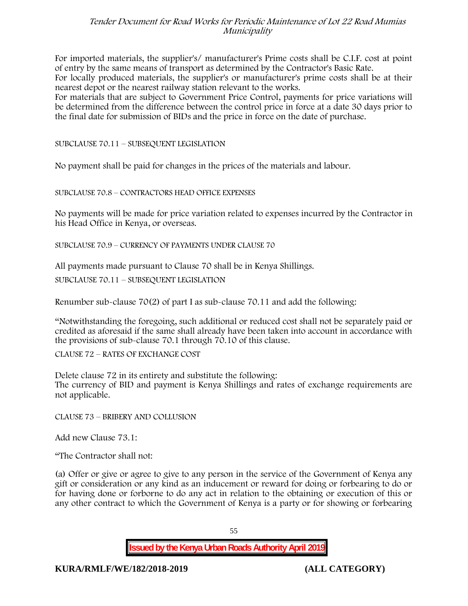For imported materials, the supplier's/ manufacturer's Prime costs shall be C.I.F. cost at point of entry by the same means of transport as determined by the Contractor's Basic Rate.

For locally produced materials, the supplier's or manufacturer's prime costs shall be at their nearest depot or the nearest railway station relevant to the works.

For materials that are subject to Government Price Control, payments for price variations will be determined from the difference between the control price in force at a date 30 days prior to the final date for submission of BIDs and the price in force on the date of purchase.

SUBCLAUSE 70.11 – SUBSEQUENT LEGISLATION

No payment shall be paid for changes in the prices of the materials and labour.

SUBCLAUSE 70.8 – CONTRACTORS HEAD OFFICE EXPENSES

No payments will be made for price variation related to expenses incurred by the Contractor in his Head Office in Kenya, or overseas.

SUBCLAUSE 70.9 – CURRENCY OF PAYMENTS UNDER CLAUSE 70

All payments made pursuant to Clause 70 shall be in Kenya Shillings.

SUBCLAUSE 70.11 – SUBSEQUENT LEGISLATION

Renumber sub-clause 70(2) of part I as sub-clause 70.11 and add the following:

"Notwithstanding the foregoing, such additional or reduced cost shall not be separately paid or credited as aforesaid if the same shall already have been taken into account in accordance with the provisions of sub-clause 70.1 through 70.10 of this clause.

CLAUSE 72 – RATES OF EXCHANGE COST

Delete clause 72 in its entirety and substitute the following: The currency of BID and payment is Kenya Shillings and rates of exchange requirements are not applicable.

CLAUSE 73 – BRIBERY AND COLLUSION

Add new Clause 73.1:

"The Contractor shall not:

(a) Offer or give or agree to give to any person in the service of the Government of Kenya any gift or consideration or any kind as an inducement or reward for doing or forbearing to do or for having done or forborne to do any act in relation to the obtaining or execution of this or any other contract to which the Government of Kenya is a party or for showing or forbearing

55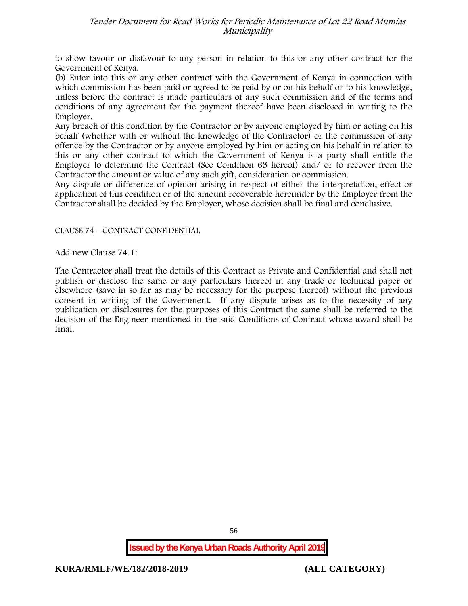to show favour or disfavour to any person in relation to this or any other contract for the Government of Kenya.

(b) Enter into this or any other contract with the Government of Kenya in connection with which commission has been paid or agreed to be paid by or on his behalf or to his knowledge, unless before the contract is made particulars of any such commission and of the terms and conditions of any agreement for the payment thereof have been disclosed in writing to the Employer.

Any breach of this condition by the Contractor or by anyone employed by him or acting on his behalf (whether with or without the knowledge of the Contractor) or the commission of any offence by the Contractor or by anyone employed by him or acting on his behalf in relation to this or any other contract to which the Government of Kenya is a party shall entitle the Employer to determine the Contract (See Condition 63 hereof) and/ or to recover from the Contractor the amount or value of any such gift, consideration or commission.

Any dispute or difference of opinion arising in respect of either the interpretation, effect or application of this condition or of the amount recoverable hereunder by the Employer from the Contractor shall be decided by the Employer, whose decision shall be final and conclusive.

#### CLAUSE 74 – CONTRACT CONFIDENTIAL

Add new Clause 74.1:

The Contractor shall treat the details of this Contract as Private and Confidential and shall not publish or disclose the same or any particulars thereof in any trade or technical paper or elsewhere (save in so far as may be necessary for the purpose thereof) without the previous consent in writing of the Government. If any dispute arises as to the necessity of any publication or disclosures for the purposes of this Contract the same shall be referred to the decision of the Engineer mentioned in the said Conditions of Contract whose award shall be final.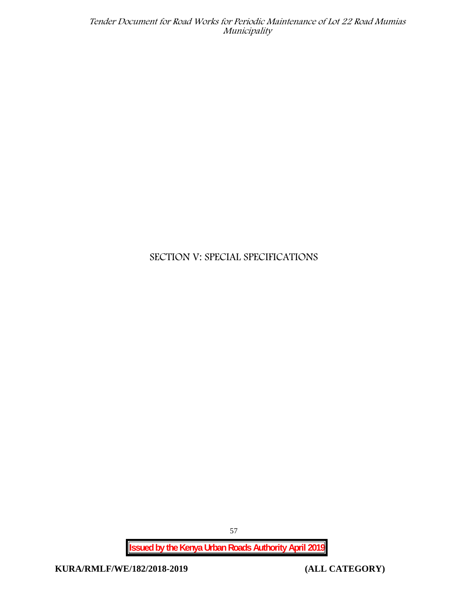## **SECTION V: SPECIAL SPECIFICATIONS**

57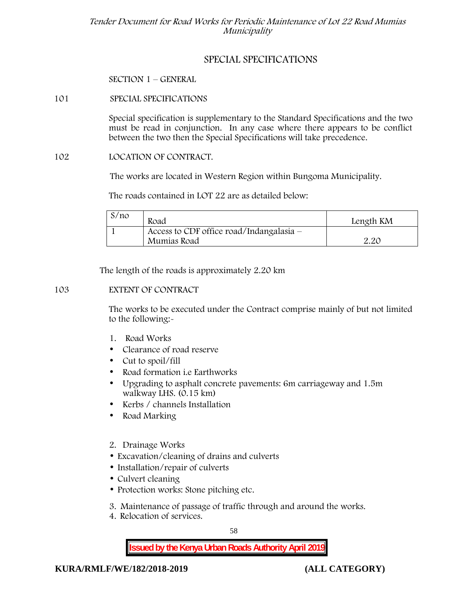## **SPECIAL SPECIFICATIONS**

**SECTION 1 – GENERAL**

#### **101 SPECIAL SPECIFICATIONS**

Special specification is supplementary to the Standard Specifications and the two must be read in conjunction. In any case where there appears to be conflict between the two then the Special Specifications will take precedence.

#### **102 LOCATION OF CONTRACT.**

The works are located in Western Region within Bungoma Municipality.

The roads contained in LOT 22 are as detailed below:

| S/no | Road                                     | Length KM |  |
|------|------------------------------------------|-----------|--|
|      | Access to CDF office road/Indangalasia – |           |  |
|      | Mumias Road                              | 2.2C      |  |

The length of the roads is approximately 2.20 km

#### **103 EXTENT OF CONTRACT**

The works to be executed under the Contract comprise mainly of but not limited to the following:-

- **1. Road Works**
- Clearance of road reserve
- Cut to spoil/fill
- Road formation *i.e Earthworks*
- Upgrading to asphalt concrete pavements: 6m carriageway and 1.5m walkway LHS. (0.15 km)
- Kerbs / channels Installation
- Road Marking
- **2. Drainage Works**
- Excavation/cleaning of drains and culverts
- Installation/repair of culverts
- Culvert cleaning
- Protection works: Stone pitching etc.
- **3. Maintenance of passage of traffic through and around the works.**
- **4. Relocation of services.**

58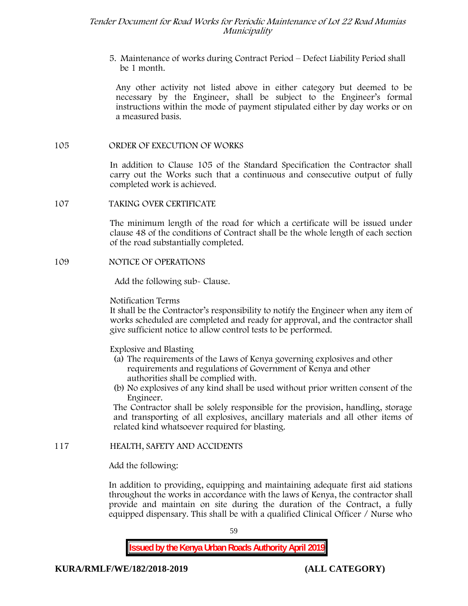**5. Maintenance of works during Contract Period – Defect Liability Period shall be 1 month.**

Any other activity not listed above in either category but deemed to be necessary by the Engineer, shall be subject to the Engineer's formal instructions within the mode of payment stipulated either by day works or on a measured basis.

#### **105 ORDER OF EXECUTION OF WORKS**

In addition to Clause 105 of the Standard Specification the Contractor shall carry out the Works such that a continuous and consecutive output of fully completed work is achieved.

**107 TAKING OVER CERTIFICATE**

The minimum length of the road for which a certificate will be issued under clause 48 of the conditions of Contract shall be the whole length of each section of the road substantially completed.

#### **109 NOTICE OF OPERATIONS**

Add the following sub- Clause.

Notification Terms

It shall be the Contractor's responsibility to notify the Engineer when any item of works scheduled are completed and ready for approval, and the contractor shall give sufficient notice to allow control tests to be performed.

Explosive and Blasting

- (a) The requirements of the Laws of Kenya governing explosives and other requirements and regulations of Government of Kenya and other authorities shall be complied with.
- (b) No explosives of any kind shall be used without prior written consent of the Engineer.

The Contractor shall be solely responsible for the provision, handling, storage and transporting of all explosives, ancillary materials and all other items of related kind whatsoever required for blasting.

#### **117 HEALTH, SAFETY AND ACCIDENTS**

Add the following:

In addition to providing, equipping and maintaining adequate first aid stations throughout the works in accordance with the laws of Kenya, the contractor shall provide and maintain on site during the duration of the Contract, a fully equipped dispensary. This shall be with a qualified Clinical Officer / Nurse who

59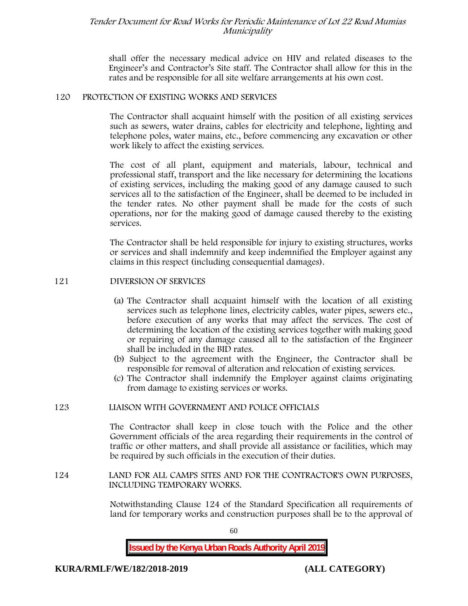shall offer the necessary medical advice on HIV and related diseases to the Engineer's and Contractor's Site staff. The Contractor shall allow for this in the rates and be responsible for all site welfare arrangements at his own cost.

#### **120 PROTECTION OF EXISTING WORKS AND SERVICES**

The Contractor shall acquaint himself with the position of all existing services such as sewers, water drains, cables for electricity and telephone, lighting and telephone poles, water mains, etc., before commencing any excavation or other work likely to affect the existing services.

The cost of all plant, equipment and materials, labour, technical and professional staff, transport and the like necessary for determining the locations of existing services, including the making good of any damage caused to such services all to the satisfaction of the Engineer, shall be deemed to be included in the tender rates. No other payment shall be made for the costs of such operations, nor for the making good of damage caused thereby to the existing services.

The Contractor shall be held responsible for injury to existing structures, works or services and shall indemnify and keep indemnified the Employer against any claims in this respect (including consequential damages).

#### **121 DIVERSION OF SERVICES**

- (a) The Contractor shall acquaint himself with the location of all existing services such as telephone lines, electricity cables, water pipes, sewers etc., before execution of any works that may affect the services. The cost of determining the location of the existing services together with making good or repairing of any damage caused all to the satisfaction of the Engineer shall be included in the BID rates.
- (b) Subject to the agreement with the Engineer, the Contractor shall be responsible for removal of alteration and relocation of existing services.
- (c) The Contractor shall indemnify the Employer against claims originating from damage to existing services or works.

#### **123 LIAISON WITH GOVERNMENT AND POLICE OFFICIALS**

The Contractor shall keep in close touch with the Police and the other Government officials of the area regarding their requirements in the control of traffic or other matters, and shall provide all assistance or facilities, which may be required by such officials in the execution of their duties.

#### **124 LAND FOR ALL CAMPS SITES AND FOR THE CONTRACTOR'S OWN PURPOSES, INCLUDING TEMPORARY WORKS.**

Notwithstanding Clause 124 of the Standard Specification all requirements of land for temporary works and construction purposes shall be to the approval of

60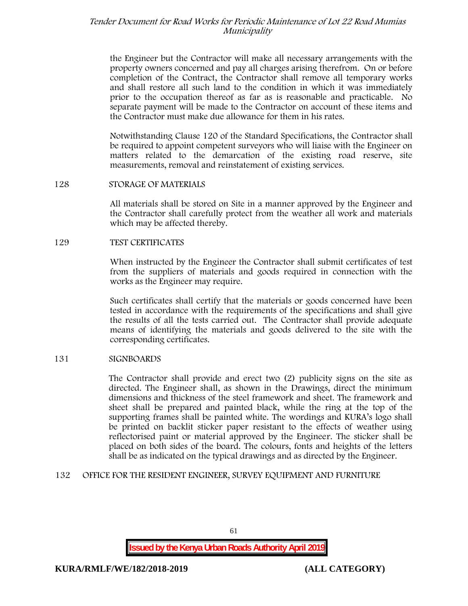the Engineer but the Contractor will make all necessary arrangements with the property owners concerned and pay all charges arising therefrom. On or before completion of the Contract, the Contractor shall remove all temporary works and shall restore all such land to the condition in which it was immediately prior to the occupation thereof as far as is reasonable and practicable. No separate payment will be made to the Contractor on account of these items and the Contractor must make due allowance for them in his rates.

Notwithstanding Clause 120 of the Standard Specifications, the Contractor shall be required to appoint competent surveyors who will liaise with the Engineer on matters related to the demarcation of the existing road reserve, site measurements, removal and reinstatement of existing services.

#### **128 STORAGE OF MATERIALS**

All materials shall be stored on Site in a manner approved by the Engineer and the Contractor shall carefully protect from the weather all work and materials which may be affected thereby.

#### **129 TEST CERTIFICATES**

When instructed by the Engineer the Contractor shall submit certificates of test from the suppliers of materials and goods required in connection with the works as the Engineer may require.

Such certificates shall certify that the materials or goods concerned have been tested in accordance with the requirements of the specifications and shall give the results of all the tests carried out. The Contractor shall provide adequate means of identifying the materials and goods delivered to the site with the corresponding certificates.

## **131 SIGNBOARDS**

The Contractor shall provide and erect two (2) publicity signs on the site as directed. The Engineer shall, as shown in the Drawings, direct the minimum dimensions and thickness of the steel framework and sheet. The framework and sheet shall be prepared and painted black, while the ring at the top of the supporting frames shall be painted white. The wordings and KURA's logo shall be printed on backlit sticker paper resistant to the effects of weather using reflectorised paint or material approved by the Engineer. The sticker shall be placed on both sides of the board. The colours, fonts and heights of the letters shall be as indicated on the typical drawings and as directed by the Engineer.

## **132 OFFICE FOR THE RESIDENT ENGINEER, SURVEY EQUIPMENT AND FURNITURE**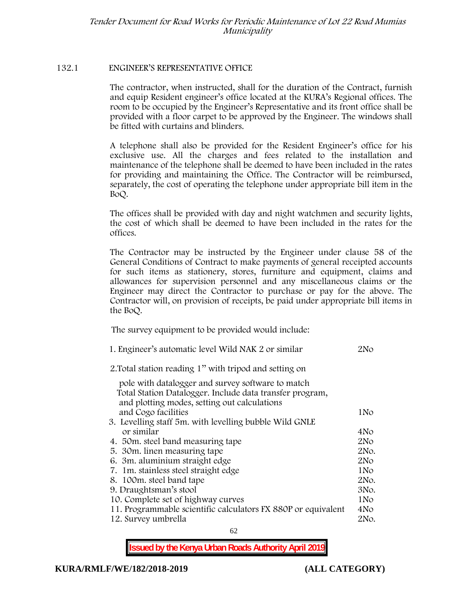#### **132.1 ENGINEER'S REPRESENTATIVE OFFICE**

The contractor, when instructed, shall for the duration of the Contract, furnish and equip Resident engineer's office located at the KURA's Regional offices. The room to be occupied by the Engineer's Representative and its front office shall be provided with a floor carpet to be approved by the Engineer. The windows shall be fitted with curtains and blinders.

A telephone shall also be provided for the Resident Engineer's office for his exclusive use. All the charges and fees related to the installation and maintenance of the telephone shall be deemed to have been included in the rates for providing and maintaining the Office. The Contractor will be reimbursed, separately, the cost of operating the telephone under appropriate bill item in the BoQ.

The offices shall be provided with day and night watchmen and security lights, the cost of which shall be deemed to have been included in the rates for the offices.

The Contractor may be instructed by the Engineer under clause 58 of the General Conditions of Contract to make payments of general receipted accounts for such items as stationery, stores, furniture and equipment, claims and allowances for supervision personnel and any miscellaneous claims or the Engineer may direct the Contractor to purchase or pay for the above. The Contractor will, on provision of receipts, be paid under appropriate bill items in the BoQ.

**The survey equipment to be provided would include:**

| 1. Engineer's automatic level Wild NAK 2 or similar                                                                                                           | 2N <sub>O</sub>   |
|---------------------------------------------------------------------------------------------------------------------------------------------------------------|-------------------|
| 2. Total station reading 1" with tripod and setting on                                                                                                        |                   |
| pole with datalogger and survey software to match<br>Total Station Datalogger. Include data transfer program,<br>and plotting modes, setting out calculations |                   |
| and Cogo facilities                                                                                                                                           | 1No               |
| 3. Levelling staff 5m. with levelling bubble Wild GNLE                                                                                                        |                   |
| or similar                                                                                                                                                    | 4No               |
| 4. 50 m. steel band measuring tape                                                                                                                            | 2No               |
| 5. 30 m. linen measuring tape                                                                                                                                 | 2N <sub>0</sub> . |
| 6. 3m. aluminium straight edge                                                                                                                                | 2No               |
| 7. 1m. stainless steel straight edge                                                                                                                          | 1 <sub>No</sub>   |
| 8. 100m. steel band tape                                                                                                                                      | 2No.              |
| 9. Draughtsman's stool                                                                                                                                        | 3No.              |
| 10. Complete set of highway curves                                                                                                                            | 1No               |
| 11. Programmable scientific calculators FX 880P or equivalent                                                                                                 | 4No               |
| 12. Survey umbrella                                                                                                                                           | 2No.              |
|                                                                                                                                                               |                   |

62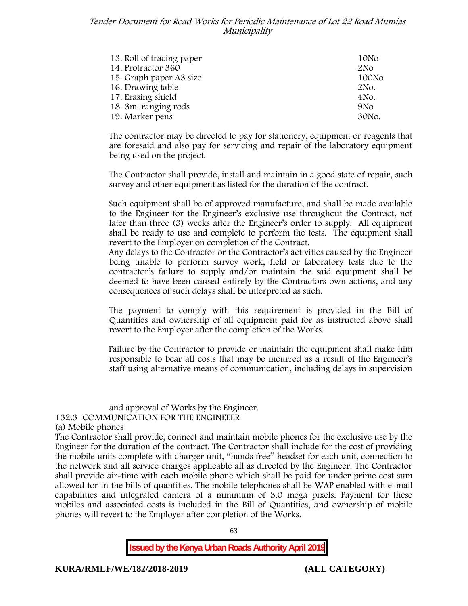| 13. Roll of tracing paper | 10No            |
|---------------------------|-----------------|
| 14. Protractor 360        | 2N <sub>O</sub> |
| 15. Graph paper A3 size   | 100No           |
| 16. Drawing table         | 2No.            |
| 17. Erasing shield        | $4NO$ .         |
| 18. 3m. ranging rods      | 9N <sub>O</sub> |
| 19. Marker pens           | 30No.           |

The contractor may be directed to pay for stationery, equipment or reagents that are foresaid and also pay for servicing and repair of the laboratory equipment being used on the project.

The Contractor shall provide, install and maintain in a good state of repair, such survey and other equipment as listed for the duration of the contract.

Such equipment shall be of approved manufacture, and shall be made available to the Engineer for the Engineer's exclusive use throughout the Contract, not later than three (3) weeks after the Engineer's order to supply. All equipment shall be ready to use and complete to perform the tests. The equipment shall revert to the Employer on completion of the Contract.

Any delays to the Contractor or the Contractor's activities caused by the Engineer being unable to perform survey work, field or laboratory tests due to the contractor's failure to supply and/or maintain the said equipment shall be deemed to have been caused entirely by the Contractors own actions, and any consequences of such delays shall be interpreted as such.

The payment to comply with this requirement is provided in the Bill of Quantities and ownership of all equipment paid for as instructed above shall revert to the Employer after the completion of the Works.

Failure by the Contractor to provide or maintain the equipment shall make him responsible to bear all costs that may be incurred as a result of the Engineer's staff using alternative means of communication, including delays in supervision

and approval of Works by the Engineer. **132.3 COMMUNICATION FOR THE ENGINEEER**

**(a) Mobile phones**

The Contractor shall provide, connect and maintain mobile phones for the exclusive use by the Engineer for the duration of the contract. The Contractor shall include for the cost of providing the mobile units complete with charger unit, "hands free" headset for each unit, connection to the network and all service charges applicable all as directed by the Engineer. The Contractor shall provide air-time with each mobile phone which shall be paid for under prime cost sum allowed for in the bills of quantities. The mobile telephones shall be WAP enabled with e-mail capabilities and integrated camera of a minimum of 3.0 mega pixels. Payment for these mobiles and associated costs is included in the Bill of Quantities, and ownership of mobile phones will revert to the Employer after completion of the Works.

63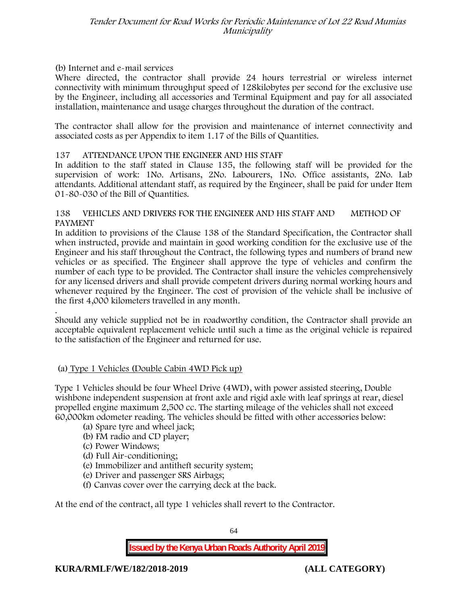**(b) Internet and e-mail services**

Where directed, the contractor shall provide 24 hours terrestrial or wireless internet connectivity with minimum throughput speed of 128kilobytes per second for the exclusive use by the Engineer, including all accessories and Terminal Equipment and pay for all associated installation, maintenance and usage charges throughout the duration of the contract.

The contractor shall allow for the provision and maintenance of internet connectivity and associated costs as per Appendix to item 1.17 of the Bills of Quantities.

## **137 ATTENDANCE UPON THE ENGINEER AND HIS STAFF**

In addition to the staff stated in Clause 135, the following staff will be provided for the supervision of work: 1No. Artisans, 2No. Labourers, 1No. Office assistants, 2No. Lab attendants. Additional attendant staff, as required by the Engineer, shall be paid for under Item 01-80-030 of the Bill of Quantities.

#### **138 VEHICLES AND DRIVERS FOR THE ENGINEER AND HIS STAFF AND METHOD OF PAYMENT**

In addition to provisions of the Clause 138 of the Standard Specification, the Contractor shall when instructed, provide and maintain in good working condition for the exclusive use of the Engineer and his staff throughout the Contract, the following types and numbers of brand new vehicles or as specified. The Engineer shall approve the type of vehicles and confirm the number of each type to be provided. The Contractor shall insure the vehicles comprehensively for any licensed drivers and shall provide competent drivers during normal working hours and whenever required by the Engineer. The cost of provision of the vehicle shall be inclusive of the first 4,000 kilometers travelled in any month.

.Should any vehicle supplied not be in roadworthy condition, the Contractor shall provide an acceptable equivalent replacement vehicle until such a time as the original vehicle is repaired to the satisfaction of the Engineer and returned for use.

## **(a) Type 1 Vehicles (Double Cabin 4WD Pick up)**

Type 1 Vehicles should be four Wheel Drive (4WD), with power assisted steering, Double wishbone independent suspension at front axle and rigid axle with leaf springs at rear, diesel propelled engine maximum 2,500 cc. The starting mileage of the vehicles shall not exceed 60,000km odometer reading. The vehicles should be fitted with other accessories below:

- (a) Spare tyre and wheel jack;
- (b) FM radio and CD player;
- (c) Power Windows;
- (d) Full Air-conditioning;
- (e) Immobilizer and antitheft security system;
- (e) Driver and passenger SRS Airbags;
- (f) Canvas cover over the carrying deck at the back.

At the end of the contract, all type 1 vehicles shall revert to the Contractor.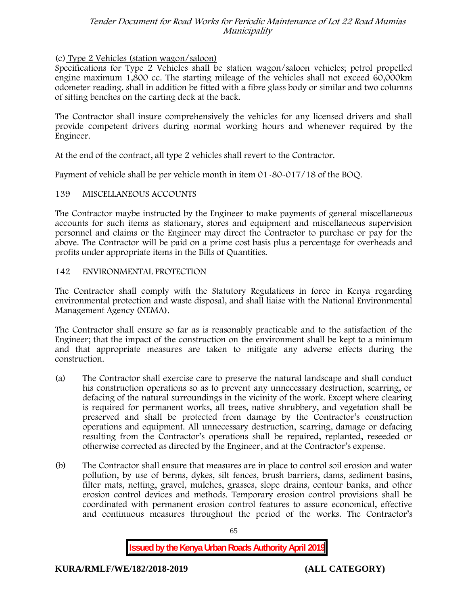## **(c) Type 2 Vehicles (station wagon/saloon)**

Specifications for Type 2 Vehicles shall be station wagon/saloon vehicles; petrol propelled engine maximum 1,800 cc. The starting mileage of the vehicles shall not exceed 60,000km odometer reading. shall in addition be fitted with a fibre glass body or similar and two columns of sitting benches on the carting deck at the back.

The Contractor shall insure comprehensively the vehicles for any licensed drivers and shall provide competent drivers during normal working hours and whenever required by the Engineer.

At the end of the contract, all type 2 vehicles shall revert to the Contractor.

Payment of vehicle shall be per vehicle month in item 01-80-017/18 of the BOQ.

#### **139 MISCELLANEOUS ACCOUNTS**

The Contractor maybe instructed by the Engineer to make payments of general miscellaneous accounts for such items as stationary, stores and equipment and miscellaneous supervision personnel and claims or the Engineer may direct the Contractor to purchase or pay for the above. The Contractor will be paid on a prime cost basis plus a percentage for overheads and profits under appropriate items in the Bills of Quantities.

#### **142 ENVIRONMENTAL PROTECTION**

The Contractor shall comply with the Statutory Regulations in force in Kenya regarding environmental protection and waste disposal, and shall liaise with the National Environmental Management Agency (NEMA).

The Contractor shall ensure so far as is reasonably practicable and to the satisfaction of the Engineer; that the impact of the construction on the environment shall be kept to a minimum and that appropriate measures are taken to mitigate any adverse effects during the construction.

- (a) The Contractor shall exercise care to preserve the natural landscape and shall conduct his construction operations so as to prevent any unnecessary destruction, scarring, or defacing of the natural surroundings in the vicinity of the work. Except where clearing is required for permanent works, all trees, native shrubbery, and vegetation shall be preserved and shall be protected from damage by the Contractor's construction operations and equipment. All unnecessary destruction, scarring, damage or defacing resulting from the Contractor's operations shall be repaired, replanted, reseeded or otherwise corrected as directed by the Engineer, and at the Contractor's expense.
- (b) The Contractor shall ensure that measures are in place to control soil erosion and water pollution, by use of berms, dykes, silt fences, brush barriers, dams, sediment basins, filter mats, netting, gravel, mulches, grasses, slope drains, contour banks, and other erosion control devices and methods. Temporary erosion control provisions shall be coordinated with permanent erosion control features to assure economical, effective and continuous measures throughout the period of the works. The Contractor's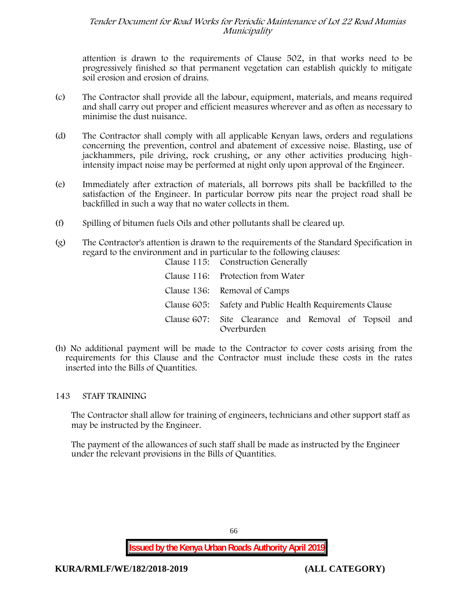attention is drawn to the requirements of Clause 502, in that works need to be progressively finished so that permanent vegetation can establish quickly to mitigate soil erosion and erosion of drains.

- (c) The Contractor shall provide all the labour, equipment, materials, and means required and shall carry out proper and efficient measures wherever and as often as necessary to minimise the dust nuisance.
- (d) The Contractor shall comply with all applicable Kenyan laws, orders and regulations concerning the prevention, control and abatement of excessive noise. Blasting, use of jackhammers, pile driving, rock crushing, or any other activities producing highintensity impact noise may be performed at night only upon approval of the Engineer.
- (e) Immediately after extraction of materials, all borrows pits shall be backfilled to the satisfaction of the Engineer. In particular borrow pits near the project road shall be backfilled in such a way that no water collects in them.
- (f) Spilling of bitumen fuels Oils and other pollutants shall be cleared up.
- (g) The Contractor's attention is drawn to the requirements of the Standard Specification in regard to the environment and in particular to the following clauses: Clause 115: Construction Generally

| Clause 116: Protection from Water                                   |
|---------------------------------------------------------------------|
| Clause 136: Removal of Camps                                        |
| Clause 605: Safety and Public Health Requirements Clause            |
| Clause 607: Site Clearance and Removal of Topsoil and<br>Overburden |

(h) No additional payment will be made to the Contractor to cover costs arising from the requirements for this Clause and the Contractor must include these costs in the rates inserted into the Bills of Quantities.

## **143 STAFF TRAINING**

The Contractor shall allow for training of engineers, technicians and other support staff as may be instructed by the Engineer.

The payment of the allowances of such staff shall be made as instructed by the Engineer under the relevant provisions in the Bills of Quantities.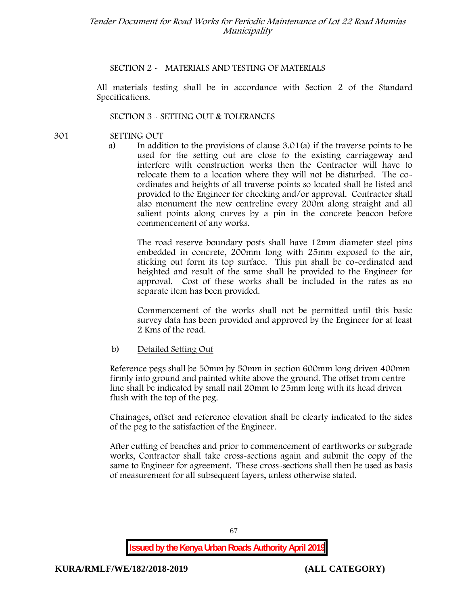#### **SECTION 2 - MATERIALS AND TESTING OF MATERIALS**

All materials testing shall be in accordance with Section 2 of the Standard Specifications.

#### **SECTION 3 - SETTING OUT & TOLERANCES**

- **301 SETTING OUT**
	- a) In addition to the provisions of clause 3.01(a) if the traverse points to be used for the setting out are close to the existing carriageway and interfere with construction works then the Contractor will have to relocate them to a location where they will not be disturbed. The co ordinates and heights of all traverse points so located shall be listed and provided to the Engineer for checking and/or approval. Contractor shall also monument the new centreline every 200m along straight and all salient points along curves by a pin in the concrete beacon before commencement of any works.

The road reserve boundary posts shall have 12mm diameter steel pins embedded in concrete, 200mm long with 25mm exposed to the air, sticking out form its top surface. This pin shall be co-ordinated and heighted and result of the same shall be provided to the Engineer for approval. Cost of these works shall be included in the rates as no separate item has been provided.

Commencement of the works shall not be permitted until this basic survey data has been provided and approved by the Engineer for at least 2 Kms of the road.

#### b) Detailed Setting Out

Reference pegs shall be 50mm by 50mm in section 600mm long driven 400mm firmly into ground and painted white above the ground. The offset from centre line shall be indicated by small nail 20mm to 25mm long with its head driven flush with the top of the peg.

Chainages, offset and reference elevation shall be clearly indicated to the sides of the peg to the satisfaction of the Engineer.

After cutting of benches and prior to commencement of earthworks or subgrade works, Contractor shall take cross-sections again and submit the copy of the same to Engineer for agreement. These cross-sections shall then be used as basis of measurement for all subsequent layers, unless otherwise stated.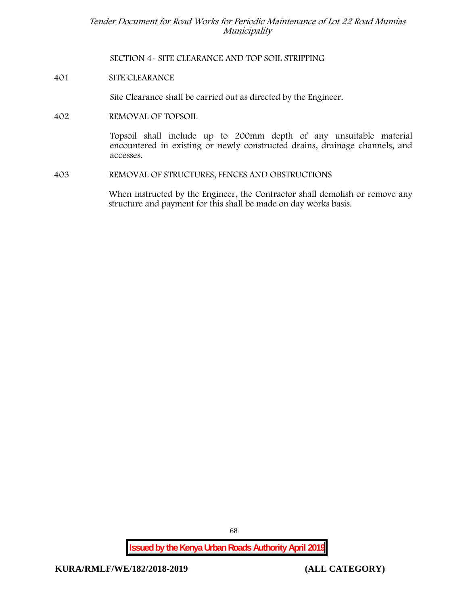**SECTION 4- SITE CLEARANCE AND TOP SOIL STRIPPING**

**401 SITE CLEARANCE**

Site Clearance shall be carried out as directed by the Engineer.

**402 REMOVAL OF TOPSOIL**

Topsoil shall include up to 200mm depth of any unsuitable material encountered in existing or newly constructed drains, drainage channels, and accesses.

**403 REMOVAL OF STRUCTURES, FENCES AND OBSTRUCTIONS**

When instructed by the Engineer, the Contractor shall demolish or remove any structure and payment for this shall be made on day works basis.

68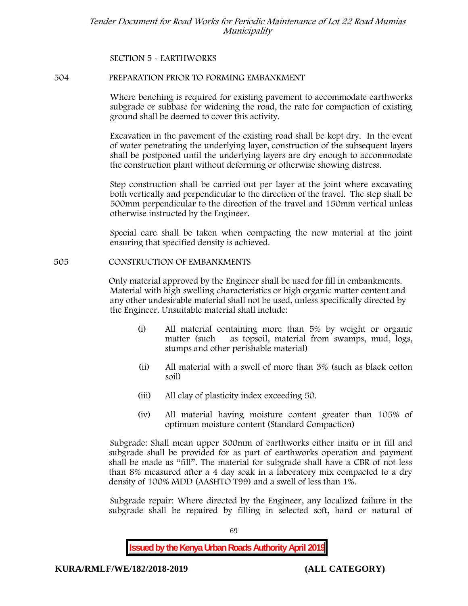## **SECTION 5 - EARTHWORKS**

#### **504 PREPARATION PRIOR TO FORMING EMBANKMENT**

Where benching is required for existing pavement to accommodate earthworks subgrade or subbase for widening the road, the rate for compaction of existing ground shall be deemed to cover this activity.

Excavation in the pavement of the existing road shall be kept dry. In the event of water penetrating the underlying layer, construction of the subsequent layers shall be postponed until the underlying layers are dry enough to accommodate the construction plant without deforming or otherwise showing distress.

Step construction shall be carried out per layer at the joint where excavating both vertically and perpendicular to the direction of the travel. The step shall be 500mm perpendicular to the direction of the travel and 150mm vertical unless otherwise instructed by the Engineer.

Special care shall be taken when compacting the new material at the joint ensuring that specified density is achieved.

#### **505 CONSTRUCTION OF EMBANKMENTS**

Only material approved by the Engineer shall be used for fill in embankments. Material with high swelling characteristics or high organic matter content and any other undesirable material shall not be used, unless specifically directed by the Engineer. Unsuitable material shall include:

- (i) All material containing more than 5% by weight or organic matter (such as topsoil, material from swamps, mud, logs, stumps and other perishable material)
- (ii) All material with a swell of more than 3% (such as black cotton soil)
- (iii) All clay of plasticity index exceeding 50.
- (iv) All material having moisture content greater than 105% of optimum moisture content (Standard Compaction)

Subgrade: Shall mean upper 300mm of earthworks either insitu or in fill and subgrade shall be provided for as part of earthworks operation and payment shall be made as "fill". The material for subgrade shall have a CBR of not less than 8% measured after a 4 day soak in a laboratory mix compacted to a dry density of 100% MDD (AASHTO T99) and a swell of less than 1%.

Subgrade repair: Where directed by the Engineer, any localized failure in the subgrade shall be repaired by filling in selected soft, hard or natural of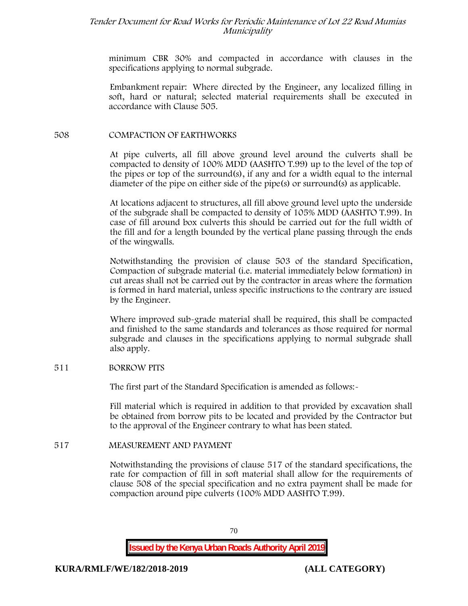minimum CBR 30% and compacted in accordance with clauses in the specifications applying to normal subgrade.

Embankment repair: Where directed by the Engineer, any localized filling in soft, hard or natural; selected material requirements shall be executed in accordance with Clause 505.

#### **508 COMPACTION OF EARTHWORKS**

At pipe culverts, all fill above ground level around the culverts shall be compacted to density of 100% MDD (AASHTO T.99) up to the level of the top of the pipes or top of the surround(s), if any and for a width equal to the internal diameter of the pipe on either side of the pipe(s) or surround(s) as applicable.

At locations adjacent to structures, all fill above ground level upto the underside of the subgrade shall be compacted to density of 105% MDD (AASHTO T.99). In case of fill around box culverts this should be carried out for the full width of the fill and for a length bounded by the vertical plane passing through the ends of the wingwalls.

Notwithstanding the provision of clause 503 of the standard Specification, Compaction of subgrade material (i.e. material immediately below formation) in cut areas shall not be carried out by the contractor in areas where the formation is formed in hard material, unless specific instructions to the contrary are issued by the Engineer.

Where improved sub-grade material shall be required, this shall be compacted and finished to the same standards and tolerances as those required for normal subgrade and clauses in the specifications applying to normal subgrade shall also apply.

#### **511 BORROW PITS**

The first part of the Standard Specification is amended as follows:-

Fill material which is required in addition to that provided by excavation shall be obtained from borrow pits to be located and provided by the Contractor but to the approval of the Engineer contrary to what has been stated.

#### **517 MEASUREMENT AND PAYMENT**

Notwithstanding the provisions of clause 517 of the standard specifications, the rate for compaction of fill in soft material shall allow for the requirements of clause 508 of the special specification and no extra payment shall be made for compaction around pipe culverts (100% MDD AASHTO T.99).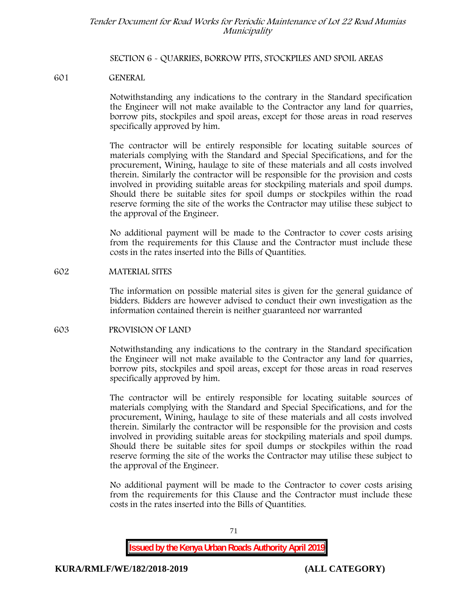#### **SECTION 6 - QUARRIES, BORROW PITS, STOCKPILES AND SPOIL AREAS**

#### **601 GENERAL**

Notwithstanding any indications to the contrary in the Standard specification the Engineer will not make available to the Contractor any land for quarries, borrow pits, stockpiles and spoil areas, except for those areas in road reserves specifically approved by him.

The contractor will be entirely responsible for locating suitable sources of materials complying with the Standard and Special Specifications, and for the procurement, Wining, haulage to site of these materials and all costs involved therein. Similarly the contractor will be responsible for the provision and costs involved in providing suitable areas for stockpiling materials and spoil dumps. Should there be suitable sites for spoil dumps or stockpiles within the road reserve forming the site of the works the Contractor may utilise these subject to the approval of the Engineer.

No additional payment will be made to the Contractor to cover costs arising from the requirements for this Clause and the Contractor must include these costs in the rates inserted into the Bills of Quantities.

#### **602 MATERIAL SITES**

The information on possible material sites is given for the general guidance of bidders. Bidders are however advised to conduct their own investigation as the information contained therein is neither guaranteed nor warranted

#### **603 PROVISION OF LAND**

Notwithstanding any indications to the contrary in the Standard specification the Engineer will not make available to the Contractor any land for quarries, borrow pits, stockpiles and spoil areas, except for those areas in road reserves specifically approved by him.

The contractor will be entirely responsible for locating suitable sources of materials complying with the Standard and Special Specifications, and for the procurement, Wining, haulage to site of these materials and all costs involved therein. Similarly the contractor will be responsible for the provision and costs involved in providing suitable areas for stockpiling materials and spoil dumps. Should there be suitable sites for spoil dumps or stockpiles within the road reserve forming the site of the works the Contractor may utilise these subject to the approval of the Engineer.

No additional payment will be made to the Contractor to cover costs arising from the requirements for this Clause and the Contractor must include these costs in the rates inserted into the Bills of Quantities.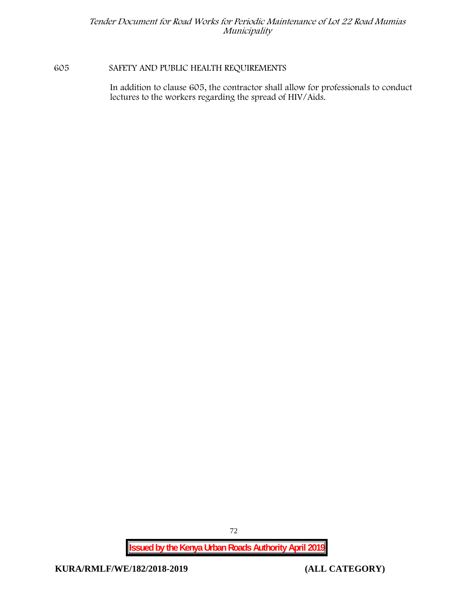# **605 SAFETY AND PUBLIC HEALTH REQUIREMENTS**

In addition to clause 605, the contractor shall allow for professionals to conduct lectures to the workers regarding the spread of HIV/Aids.

**Issued by the Kenya Urban Roads Authority April 2019**

**KURA/RMLF/WE/182/2018-2019 (ALL CATEGORY)**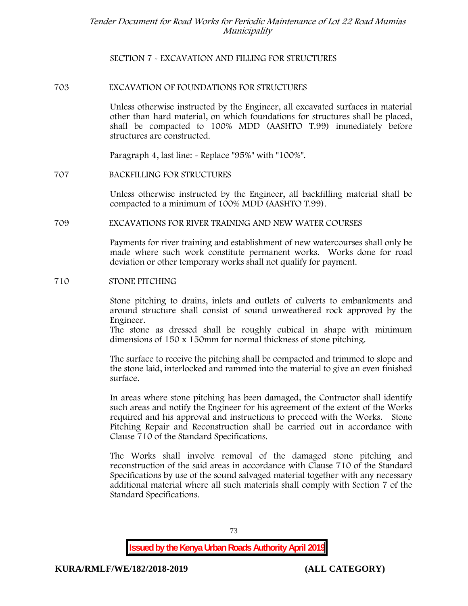# **SECTION 7 - EXCAVATION AND FILLING FOR STRUCTURES**

# **703 EXCAVATION OF FOUNDATIONS FOR STRUCTURES**

Unless otherwise instructed by the Engineer, all excavated surfaces in material other than hard material, on which foundations for structures shall be placed, shall be compacted to 100% MDD (AASHTO T.99) immediately before structures are constructed.

Paragraph 4, last line: - Replace "95%" with "100%".

### **707 BACKFILLING FOR STRUCTURES**

Unless otherwise instructed by the Engineer, all backfilling material shall be compacted to a minimum of 100% MDD (AASHTO T.99).

**709 EXCAVATIONS FOR RIVER TRAINING AND NEW WATER COURSES**

Payments for river training and establishment of new watercourses shall only be made where such work constitute permanent works. Works done for road deviation or other temporary works shall not qualify for payment.

#### **710 STONE PITCHING**

Stone pitching to drains, inlets and outlets of culverts to embankments and around structure shall consist of sound unweathered rock approved by the Engineer.

The stone as dressed shall be roughly cubical in shape with minimum dimensions of 150 x 150mm for normal thickness of stone pitching.

The surface to receive the pitching shall be compacted and trimmed to slope and the stone laid, interlocked and rammed into the material to give an even finished surface.

In areas where stone pitching has been damaged, the Contractor shall identify such areas and notify the Engineer for his agreement of the extent of the Works required and his approval and instructions to proceed with the Works. Stone Pitching Repair and Reconstruction shall be carried out in accordance with Clause 710 of the Standard Specifications.

The Works shall involve removal of the damaged stone pitching and reconstruction of the said areas in accordance with Clause 710 of the Standard Specifications by use of the sound salvaged material together with any necessary additional material where all such materials shall comply with Section 7 of the Standard Specifications.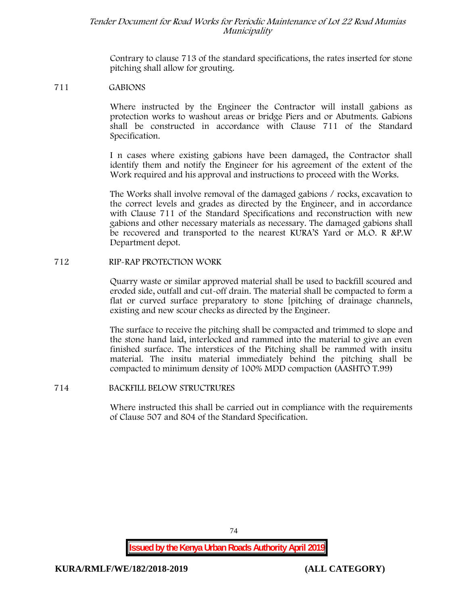Contrary to clause 713 of the standard specifications, the rates inserted for stone pitching shall allow for grouting.

#### **711 GABIONS**

Where instructed by the Engineer the Contractor will install gabions as protection works to washout areas or bridge Piers and or Abutments. Gabions shall be constructed in accordance with Clause 711 of the Standard Specification.

I n cases where existing gabions have been damaged, the Contractor shall identify them and notify the Engineer for his agreement of the extent of the Work required and his approval and instructions to proceed with the Works.

The Works shall involve removal of the damaged gabions / rocks, excavation to the correct levels and grades as directed by the Engineer, and in accordance with Clause 711 of the Standard Specifications and reconstruction with new gabions and other necessary materials as necessary. The damaged gabions shall be recovered and transported to the nearest KURA'S Yard or M.O. R &P.W Department depot.

#### **712 RIP-RAP PROTECTION WORK**

Quarry waste or similar approved material shall be used to backfill scoured and eroded side, outfall and cut-off drain. The material shall be compacted to form a flat or curved surface preparatory to stone [pitching of drainage channels, existing and new scour checks as directed by the Engineer.

The surface to receive the pitching shall be compacted and trimmed to slope and the stone hand laid, interlocked and rammed into the material to give an even finished surface. The interstices of the Pitching shall be rammed with insitu material. The insitu material immediately behind the pitching shall be compacted to minimum density of 100% MDD compaction (AASHTO T.99)

#### **714 BACKFILL BELOW STRUCTRURES**

Where instructed this shall be carried out in compliance with the requirements of Clause 507 and 804 of the Standard Specification.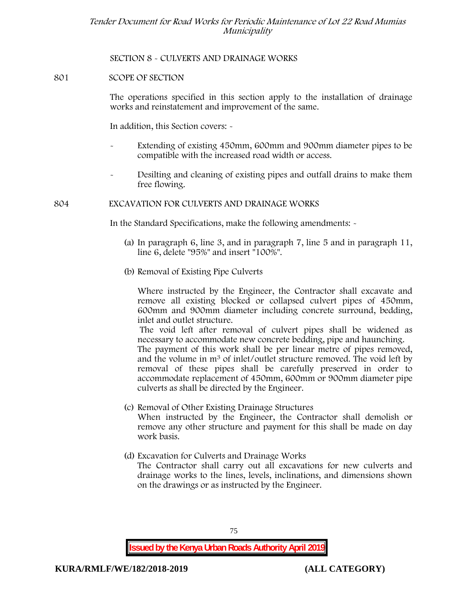### **SECTION 8 - CULVERTS AND DRAINAGE WORKS**

### **801 SCOPE OF SECTION**

The operations specified in this section apply to the installation of drainage works and reinstatement and improvement of the same.

In addition, this Section covers: -

- Extending of existing 450mm, 600mm and 900mm diameter pipes to be compatible with the increased road width or access.
- Desilting and cleaning of existing pipes and outfall drains to make them free flowing.

### **804 EXCAVATION FOR CULVERTS AND DRAINAGE WORKS**

In the Standard Specifications, make the following amendments: -

- (a) In paragraph 6, line 3, and in paragraph 7, line 5 and in paragraph 11, line 6, delete "95%" and insert "100%".
- (b) Removal of Existing Pipe Culverts

Where instructed by the Engineer, the Contractor shall excavate and remove all existing blocked or collapsed culvert pipes of 450mm, 600mm and 900mm diameter including concrete surround, bedding, inlet and outlet structure.

The void left after removal of culvert pipes shall be widened as necessary to accommodate new concrete bedding, pipe and haunching. The payment of this work shall be per linear metre of pipes removed, and the volume in m<sup>3</sup> of inlet/outlet structure removed. The void left by removal of these pipes shall be carefully preserved in order to accommodate replacement of 450mm, 600mm or 900mm diameter pipe culverts as shall be directed by the Engineer.

- (c) Removal of Other Existing Drainage Structures When instructed by the Engineer, the Contractor shall demolish or remove any other structure and payment for this shall be made on day work basis.
- (d) Excavation for Culverts and Drainage Works The Contractor shall carry out all excavations for new culverts and drainage works to the lines, levels, inclinations, and dimensions shown on the drawings or as instructed by the Engineer.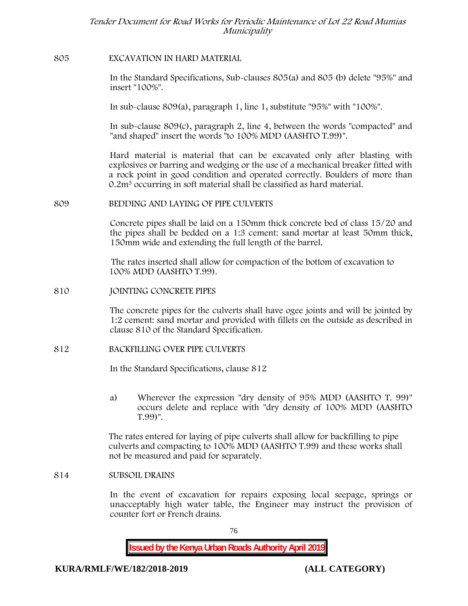#### **805 EXCAVATION IN HARD MATERIAL**

In the Standard Specifications, Sub-clauses 805(a) and 805 (b) delete "95%" and insert "100%".

In sub-clause 809(a), paragraph 1, line 1, substitute "95%" with "100%".

In sub-clause 809(c), paragraph 2, line 4, between the words "compacted" and "and shaped" insert the words "to 100% MDD (AASHTO T.99)".

Hard material is material that can be excavated only after blasting with explosives or barring and wedging or the use of a mechanical breaker fitted with a rock point in good condition and operated correctly. Boulders of more than 0.2m<sup>3</sup> occurring in soft material shall be classified as hard material.

# **809 BEDDING AND LAYING OF PIPE CULVERTS**

Concrete pipes shall be laid on a 150mm thick concrete bed of class 15/20 and the pipes shall be bedded on a 1:3 cement: sand mortar at least 50mm thick, 150mm wide and extending the full length of the barrel.

The rates inserted shall allow for compaction of the bottom of excavation to 100% MDD (AASHTO T.99).

### **810 JOINTING CONCRETE PIPES**

The concrete pipes for the culverts shall have ogee joints and will be jointed by 1:2 cement: sand mortar and provided with fillets on the outside as described in clause 810 of the Standard Specification.

# **812 BACKFILLING OVER PIPE CULVERTS**

In the Standard Specifications, clause 812

a) Wherever the expression "dry density of 95% MDD (AASHTO T. 99)" occurs delete and replace with "dry density of 100% MDD (AASHTO T.99)".

The rates entered for laying of pipe culverts shall allow for backfilling to pipe culverts and compacting to 100% MDD (AASHTO T.99) and these works shall not be measured and paid for separately.

# **814 SUBSOIL DRAINS**

In the event of excavation for repairs exposing local seepage, springs or unacceptably high water table, the Engineer may instruct the provision of counter fort or French drains.

76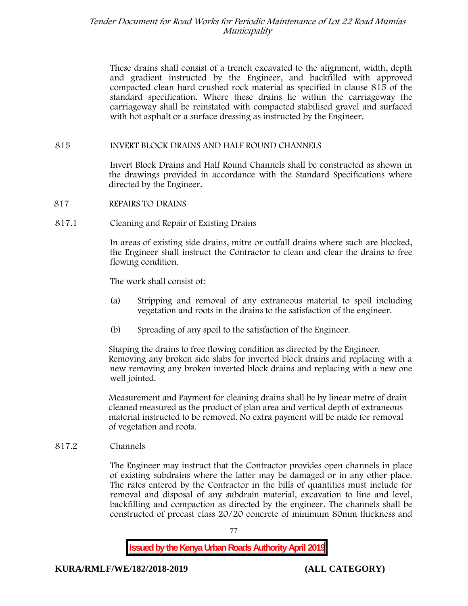These drains shall consist of a trench excavated to the alignment, width, depth and gradient instructed by the Engineer, and backfilled with approved compacted clean hard crushed rock material as specified in clause 815 of the standard specification. Where these drains lie within the carriageway the carriageway shall be reinstated with compacted stabilised gravel and surfaced with hot asphalt or a surface dressing as instructed by the Engineer.

### **815 INVERT BLOCK DRAINS AND HALF ROUND CHANNELS**

Invert Block Drains and Half Round Channels shall be constructed as shown in the drawings provided in accordance with the Standard Specifications where directed by the Engineer.

- **817 REPAIRS TO DRAINS**
- **817.1 Cleaning and Repair of Existing Drains**

In areas of existing side drains, mitre or outfall drains where such are blocked, the Engineer shall instruct the Contractor to clean and clear the drains to free flowing condition.

The work shall consist of:

- (a) Stripping and removal of any extraneous material to spoil including vegetation and roots in the drains to the satisfaction of the engineer.
- (b) Spreading of any spoil to the satisfaction of the Engineer.

Shaping the drains to free flowing condition as directed by the Engineer. Removing any broken side slabs for inverted block drains and replacing with a new removing any broken inverted block drains and replacing with a new one well jointed.

Measurement and Payment for cleaning drains shall be by linear metre of drain cleaned measured as the product of plan area and vertical depth of extraneous material instructed to be removed. No extra payment will be made for removal of vegetation and roots.

**817.2 Channels**

The Engineer may instruct that the Contractor provides open channels in place of existing subdrains where the latter may be damaged or in any other place. The rates entered by the Contractor in the bills of quantities must include for removal and disposal of any subdrain material, excavation to line and level, backfilling and compaction as directed by the engineer. The channels shall be constructed of precast class 20/20 concrete of minimum 80mm thickness and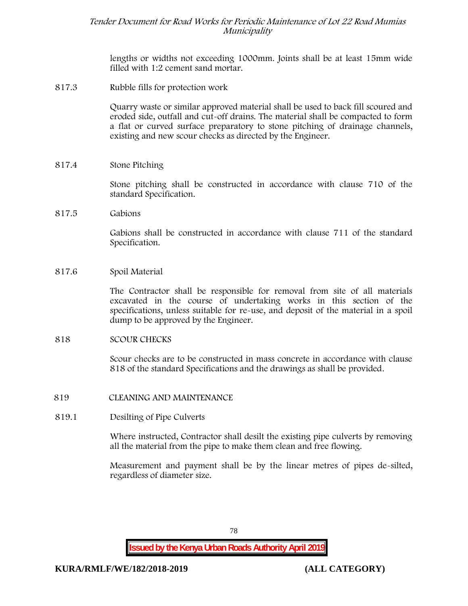lengths or widths not exceeding 1000mm. Joints shall be at least 15mm wide filled with 1:2 cement sand mortar.

**817.3 Rubble fills for protection work**

Quarry waste or similar approved material shall be used to back fill scoured and eroded side, outfall and cut-off drains. The material shall be compacted to form a flat or curved surface preparatory to stone pitching of drainage channels, existing and new scour checks as directed by the Engineer.

**817.4 Stone Pitching**

Stone pitching shall be constructed in accordance with clause 710 of the standard Specification.

**817.5 Gabions**

Gabions shall be constructed in accordance with clause 711 of the standard Specification.

**817.6 Spoil Material**

The Contractor shall be responsible for removal from site of all materials excavated in the course of undertaking works in this section of the specifications, unless suitable for re-use, and deposit of the material in a spoil dump to be approved by the Engineer.

#### **818 SCOUR CHECKS**

Scour checks are to be constructed in mass concrete in accordance with clause 818 of the standard Specifications and the drawings as shall be provided.

- **819 CLEANING AND MAINTENANCE**
- **819.1 Desilting of Pipe Culverts**

Where instructed, Contractor shall desilt the existing pipe culverts by removing all the material from the pipe to make them clean and free flowing.

Measurement and payment shall be by the linear metres of pipes de-silted, regardless of diameter size.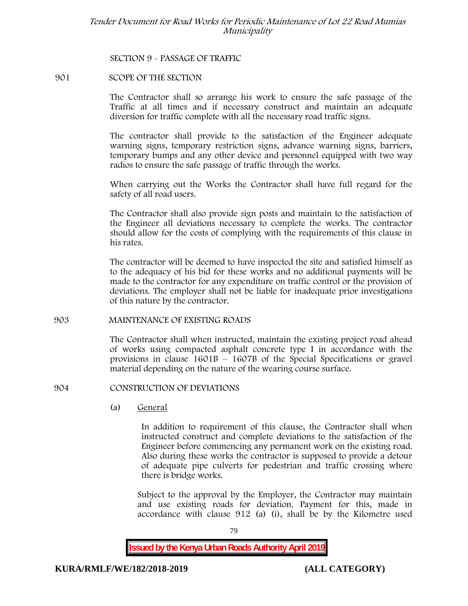### **SECTION 9 - PASSAGE OF TRAFFIC**

### **901 SCOPE OF THE SECTION**

The Contractor shall so arrange his work to ensure the safe passage of the Traffic at all times and if necessary construct and maintain an adequate diversion for traffic complete with all the necessary road traffic signs.

The contractor shall provide to the satisfaction of the Engineer adequate warning signs, temporary restriction signs, advance warning signs, barriers, temporary bumps and any other device and personnel equipped with two way radios to ensure the safe passage of traffic through the works.

When carrying out the Works the Contractor shall have full regard for the safety of all road users.

The Contractor shall also provide sign posts and maintain to the satisfaction of the Engineer all deviations necessary to complete the works. The contractor should allow for the costs of complying with the requirements of this clause in his rates.

The contractor will be deemed to have inspected the site and satisfied himself as to the adequacy of his bid for these works and no additional payments will be made to the contractor for any expenditure on traffic control or the provision of deviations. The employer shall not be liable for inadequate prior investigations of this nature by the contractor.

#### **903 MAINTENANCE OF EXISTING ROADS**

The Contractor shall when instructed, maintain the existing project road ahead of works using compacted asphalt concrete type I in accordance with the provisions in clause 1601B – 1607B of the Special Specifications or gravel material depending on the nature of the wearing course surface.

#### **904 CONSTRUCTION OF DEVIATIONS**

(a) **General**

In addition to requirement of this clause, the Contractor shall when instructed construct and complete deviations to the satisfaction of the Engineer before commencing any permanent work on the existing road. Also during these works the contractor is supposed to provide a detour of adequate pipe culverts for pedestrian and traffic crossing where there is bridge works.

Subject to the approval by the Employer, the Contractor may maintain and use existing roads for deviation. Payment for this, made in accordance with clause 912 (a) (i), shall be by the Kilometre used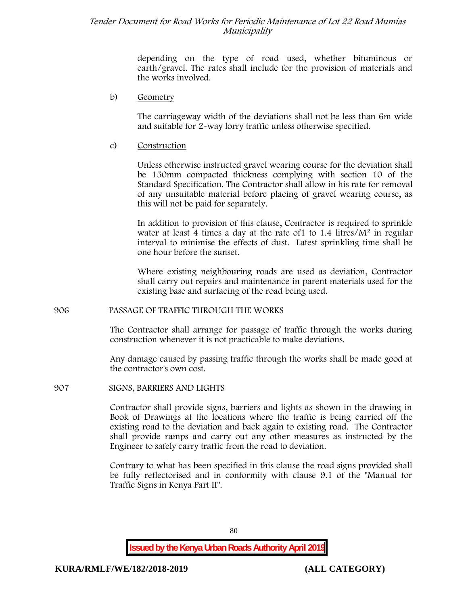depending on the type of road used, whether bituminous or earth/gravel. The rates shall include for the provision of materials and the works involved.

#### b) **Geometry**

The carriageway width of the deviations shall not be less than 6m wide and suitable for 2-way lorry traffic unless otherwise specified.

#### c) **Construction**

Unless otherwise instructed gravel wearing course for the deviation shall be 150mm compacted thickness complying with section 10 of the Standard Specification. The Contractor shall allow in his rate for removal of any unsuitable material before placing of gravel wearing course, as this will not be paid for separately.

In addition to provision of this clause, Contractor is required to sprinkle water at least 4 times a day at the rate of  $1$  to  $1.4$  litres/ $M<sup>2</sup>$  in regular interval to minimise the effects of dust. Latest sprinkling time shall be one hour before the sunset.

Where existing neighbouring roads are used as deviation, Contractor shall carry out repairs and maintenance in parent materials used for the existing base and surfacing of the road being used.

#### **906 PASSAGE OF TRAFFIC THROUGH THE WORKS**

The Contractor shall arrange for passage of traffic through the works during construction whenever it is not practicable to make deviations.

Any damage caused by passing traffic through the works shall be made good at the contractor's own cost.

**907 SIGNS, BARRIERS AND LIGHTS**

Contractor shall provide signs, barriers and lights as shown in the drawing in Book of Drawings at the locations where the traffic is being carried off the existing road to the deviation and back again to existing road. The Contractor shall provide ramps and carry out any other measures as instructed by the Engineer to safely carry traffic from the road to deviation.

Contrary to what has been specified in this clause the road signs provided shall be fully reflectorised and in conformity with clause 9.1 of the "Manual for Traffic Signs in Kenya Part II".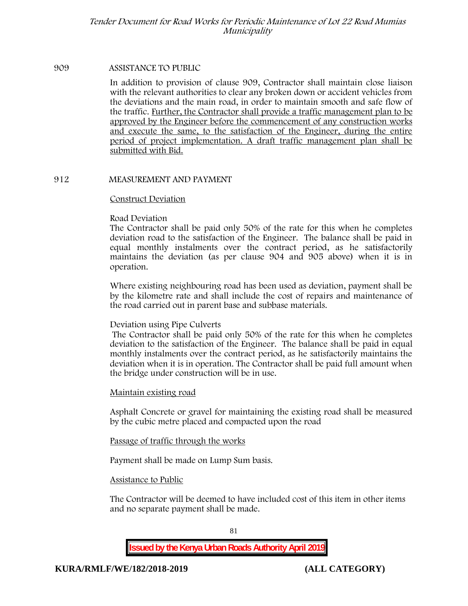#### **909 ASSISTANCE TO PUBLIC**

In addition to provision of clause 909, Contractor shall maintain close liaison with the relevant authorities to clear any broken down or accident vehicles from the deviations and the main road, in order to maintain smooth and safe flow of the traffic. Further, the Contractor shall provide a traffic management plan to be approved by the Engineer before the commencement of any construction works and execute the same, to the satisfaction of the Engineer, during the entire period of project implementation. A draft traffic management plan shall be submitted with Bid.

#### **912 MEASUREMENT AND PAYMENT**

#### **Construct Deviation**

#### **Road Deviation**

The Contractor shall be paid only 50% of the rate for this when he completes deviation road to the satisfaction of the Engineer. The balance shall be paid in equal monthly instalments over the contract period, as he satisfactorily maintains the deviation (as per clause 904 and 905 above) when it is in operation.

Where existing neighbouring road has been used as deviation, payment shall be by the kilometre rate and shall include the cost of repairs and maintenance of the road carried out in parent base and subbase materials.

#### **Deviation using Pipe Culverts**

The Contractor shall be paid only 50% of the rate for this when he completes deviation to the satisfaction of the Engineer. The balance shall be paid in equal monthly instalments over the contract period, as he satisfactorily maintains the deviation when it is in operation. The Contractor shall be paid full amount when the bridge under construction will be in use.

#### **Maintain existing road**

Asphalt Concrete or gravel for maintaining the existing road shall be measured by the cubic metre placed and compacted upon the road

#### **Passage of traffic through the works**

Payment shall be made on Lump Sum basis.

#### **Assistance to Public**

The Contractor will be deemed to have included cost of this item in other items and no separate payment shall be made.

81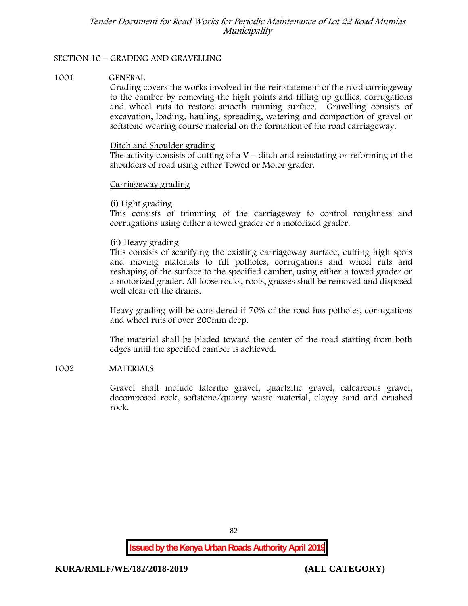## **SECTION 10 – GRADING AND GRAVELLING**

#### **1001 GENERAL**

Grading covers the works involved in the reinstatement of the road carriageway to the camber by removing the high points and filling up gullies, corrugations and wheel ruts to restore smooth running surface. Gravelling consists of excavation, loading, hauling, spreading, watering and compaction of gravel or softstone wearing course material on the formation of the road carriageway.

#### Ditch and Shoulder grading

The activity consists of cutting of a  $V$  – ditch and reinstating or reforming of the shoulders of road using either Towed or Motor grader.

#### Carriageway grading

#### **(i) Light grading**

This consists of trimming of the carriageway to control roughness and corrugations using either a towed grader or a motorized grader.

#### **(ii) Heavy grading**

This consists of scarifying the existing carriageway surface, cutting high spots and moving materials to fill potholes, corrugations and wheel ruts and reshaping of the surface to the specified camber, using either a towed grader or a motorized grader. All loose rocks, roots, grasses shall be removed and disposed well clear off the drains.

Heavy grading will be considered if 70% of the road has potholes, corrugations and wheel ruts of over 200mm deep.

The material shall be bladed toward the center of the road starting from both edges until the specified camber is achieved.

#### **1002 MATERIALS**

Gravel shall include lateritic gravel, quartzitic gravel, calcareous gravel, decomposed rock, softstone/quarry waste material, clayey sand and crushed rock.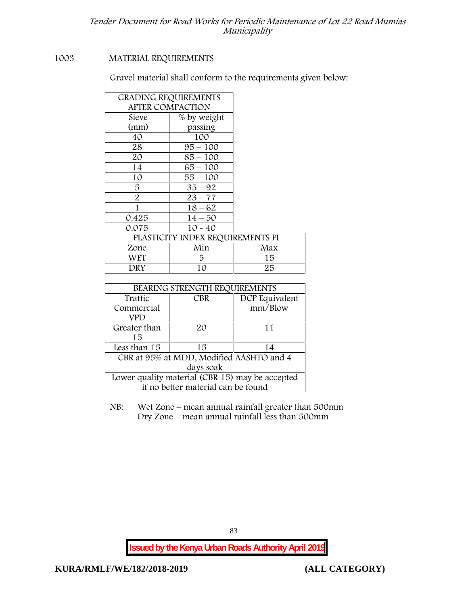### **1003 MATERIAL REQUIREMENTS**

Gravel material shall conform to the requirements given below:

|                         | <b>GRADING REQUIREMENTS</b>      |     |
|-------------------------|----------------------------------|-----|
| <b>AFTER COMPACTION</b> |                                  |     |
| Sieve                   | % by weight                      |     |
| (mm)                    | passing                          |     |
| 40                      | 100                              |     |
| 28                      | $95 - 100$                       |     |
| 20                      | $85 - 100$                       |     |
| 14                      | $65 - 100$                       |     |
| 10                      | $55 - 100$                       |     |
| 5                       | $35 - 92$                        |     |
| $\overline{2}$          | $23 - 77$                        |     |
|                         | $18 - 62$                        |     |
| 0.425                   | $14 - 50$                        |     |
| 0.075                   | $10 - 40$                        |     |
|                         | PLASTICITY INDEX REQUIREMENTS PI |     |
| Zone                    | Min                              | Max |
| WET                     | 5.                               | 15  |
| DRY                     | 10                               | 25  |

| BEARING STRENGTH REQUIREMENTS                   |    |         |  |  |  |
|-------------------------------------------------|----|---------|--|--|--|
| DCP Equivalent<br>Traffic<br><b>CBR</b>         |    |         |  |  |  |
| Commercial                                      |    | mm/Blow |  |  |  |
| VPD                                             |    |         |  |  |  |
| Greater than                                    | 20 | 11      |  |  |  |
| 15                                              |    |         |  |  |  |
| Less than 15                                    | 15 | 14      |  |  |  |
| CBR at 95% at MDD, Modified AASHTO and 4        |    |         |  |  |  |
| days soak                                       |    |         |  |  |  |
| Lower quality material (CBR 15) may be accepted |    |         |  |  |  |
| if no better material can be found              |    |         |  |  |  |

NB: Wet Zone – mean annual rainfall greater than 500mm Dry Zone – mean annual rainfall less than 500mm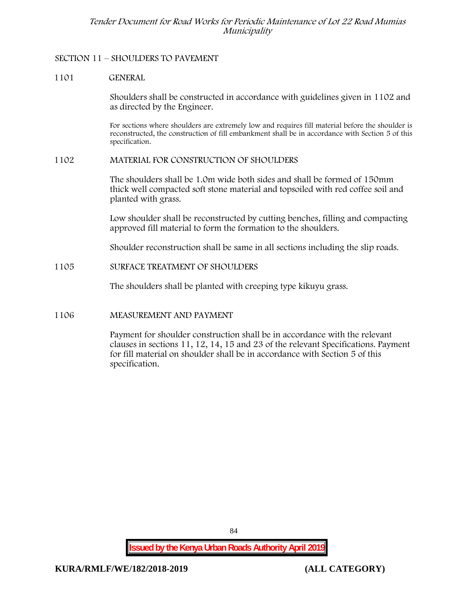# **SECTION 11 – SHOULDERS TO PAVEMENT**

### **1101 GENERAL**

Shoulders shall be constructed in accordance with guidelines given in 1102 and as directed by the Engineer.

For sections where shoulders are extremely low and requires fill material before the shoulder is reconstructed, the construction of fill embankment shall be in accordance with Section 5 of this specification.

#### **1102 MATERIAL FOR CONSTRUCTION OF SHOULDERS**

The shoulders shall be 1.0m wide both sides and shall be formed of 150mm thick well compacted soft stone material and topsoiled with red coffee soil and planted with grass.

Low shoulder shall be reconstructed by cutting benches, filling and compacting approved fill material to form the formation to the shoulders.

Shoulder reconstruction shall be same in all sections including the slip roads.

### **1105 SURFACE TREATMENT OF SHOULDERS**

The shoulders shall be planted with creeping type kikuyu grass.

# **1106 MEASUREMENT AND PAYMENT**

Payment for shoulder construction shall be in accordance with the relevant clauses in sections 11, 12, 14, 15 and 23 of the relevant Specifications. Payment for fill material on shoulder shall be in accordance with Section 5 of this specification.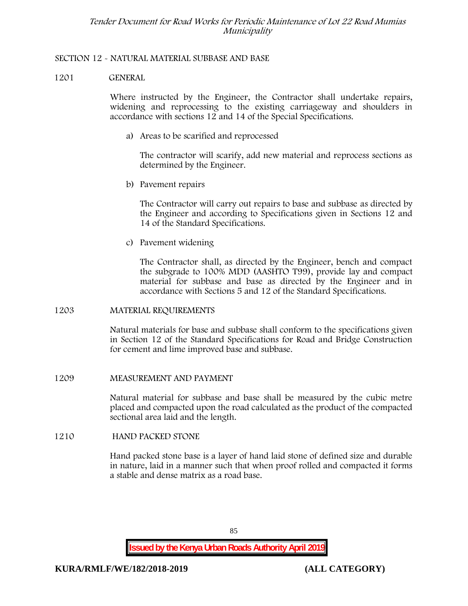## **SECTION 12 - NATURAL MATERIAL SUBBASE AND BASE**

#### **1201 GENERAL**

Where instructed by the Engineer, the Contractor shall undertake repairs, widening and reprocessing to the existing carriageway and shoulders in accordance with sections 12 and 14 of the Special Specifications.

**a) Areas to be scarified and reprocessed**

The contractor will scarify, add new material and reprocess sections as determined by the Engineer.

**b) Pavement repairs**

The Contractor will carry out repairs to base and subbase as directed by the Engineer and according to Specifications given in Sections 12 and 14 of the Standard Specifications.

**c) Pavement widening**

The Contractor shall, as directed by the Engineer, bench and compact the subgrade to 100% MDD (AASHTO T99), provide lay and compact material for subbase and base as directed by the Engineer and in accordance with Sections 5 and 12 of the Standard Specifications.

#### **1203 MATERIAL REQUIREMENTS**

Natural materials for base and subbase shall conform to the specifications given in Section 12 of the Standard Specifications for Road and Bridge Construction for cement and lime improved base and subbase.

#### **1209 MEASUREMENT AND PAYMENT**

Natural material for subbase and base shall be measured by the cubic metre placed and compacted upon the road calculated as the product of the compacted sectional area laid and the length.

#### **1210 HAND PACKED STONE**

Hand packed stone base is a layer of hand laid stone of defined size and durable in nature, laid in a manner such that when proof rolled and compacted it forms a stable and dense matrix as a road base.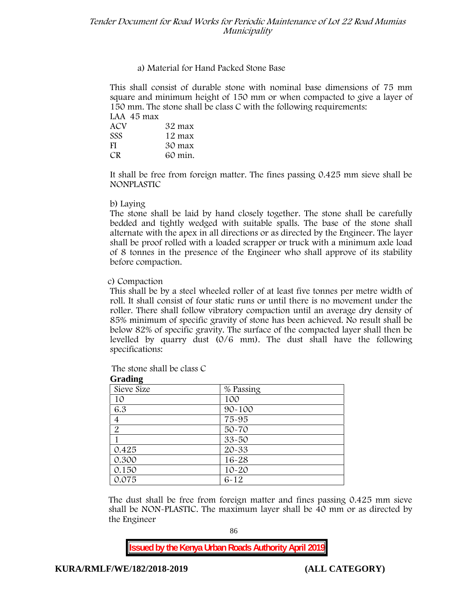# **a) Material for Hand Packed Stone Base**

This shall consist of durable stone with nominal base dimensions of 75 mm square and minimum height of 150 mm or when compacted to give a layer of 150 mm. The stone shall be class C with the following requirements: **LAA 45 max**

| тана 40 шах |         |
|-------------|---------|
| ACV         | 32 max  |
| <b>SSS</b>  | 12 max  |
| -FI         | 30 max  |
| CR.         | 60 min. |

It shall be free from foreign matter. The fines passing 0.425 mm sieve shall be **NONPLASTIC**

### **b) Laying**

The stone shall be laid by hand closely together. The stone shall be carefully bedded and tightly wedged with suitable spalls. The base of the stone shall alternate with the apex in all directions or as directed by the Engineer. The layer shall be proof rolled with a loaded scrapper or truck with a minimum axle load of 8 tonnes in the presence of the Engineer who shall approve of its stability before compaction.

# **c) Compaction**

**Grading**

This shall be by a steel wheeled roller of at least five tonnes per metre width of roll. It shall consist of four static runs or until there is no movement under the roller. There shall follow vibratory compaction until an average dry density of 85% minimum of specific gravity of stone has been achieved. No result shall be below 82% of specific gravity. The surface of the compacted layer shall then be levelled by quarry dust (0/6 mm). The dust shall have the following specifications:

| Oraung         |            |  |
|----------------|------------|--|
| Sieve Size     | % Passing  |  |
| 10             | 100        |  |
| 6.3            | $90 - 100$ |  |
| 4              | 75-95      |  |
| $\overline{2}$ | $50 - 70$  |  |
|                | $33 - 50$  |  |
| 0.425          | $20 - 33$  |  |
| 0.300          | $16 - 28$  |  |
| 0.150          | $10 - 20$  |  |
| 0.075          | $6 - 12$   |  |

The stone shall be class C

# The dust shall be free from foreign matter and fines passing 0.425 mm sieve shall be **NON-PLASTIC**. The maximum layer shall be 40 mm or as directed by the Engineer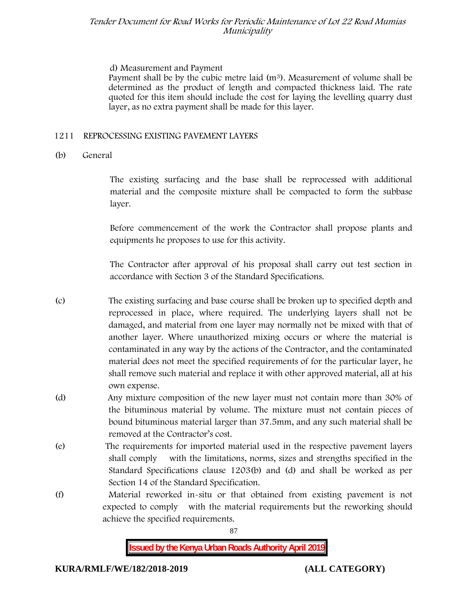### **d) Measurement and Payment**

Payment shall be by the cubic metre laid  $(m<sup>3</sup>)$ . Measurement of volume shall be determined as the product of length and compacted thickness laid. The rate quoted for this item should include the cost for laying the levelling quarry dust layer, as no extra payment shall be made for this layer.

### **1211 REPROCESSING EXISTING PAVEMENT LAYERS**

## **(b) General**

The existing surfacing and the base shall be reprocessed with additional material and the composite mixture shall be compacted to form the subbase layer.

Before commencement of the work the Contractor shall propose plants and equipments he proposes to use for this activity.

The Contractor after approval of his proposal shall carry out test section in accordance with Section 3 of the Standard Specifications.

- (c) The existing surfacing and base course shall be broken up to specified depth and reprocessed in place, where required. The underlying layers shall not be damaged, and material from one layer may normally not be mixed with that of another layer. Where unauthorized mixing occurs or where the material is contaminated in any way by the actions of the Contractor, and the contaminated material does not meet the specified requirements of for the particular layer, he shall remove such material and replace it with other approved material, all at his own expense.
- (d) Any mixture composition of the new layer must not contain more than 30% of the bituminous material by volume. The mixture must not contain pieces of bound bituminous material larger than 37.5mm, and any such material shall be removed at the Contractor's cost.
- (e) The requirements for imported material used in the respective pavement layers shall comply with the limitations, norms, sizes and strengths specified in the Standard Specifications clause 1203(b) and (d) and shall be worked as per Section 14 of the Standard Specification.
- (f) Material reworked in-situ or that obtained from existing pavement is not expected to comply with the material requirements but the reworking should achieve the specified requirements.

87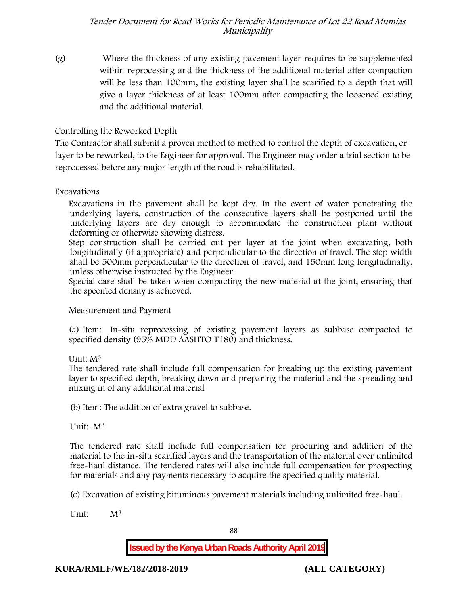(g) Where the thickness of any existing pavement layer requires to be supplemented within reprocessing and the thickness of the additional material after compaction will be less than 100mm, the existing layer shall be scarified to a depth that will give a layer thickness of at least 100mm after compacting the loosened existing and the additional material.

# **Controlling the Reworked Depth**

The Contractor shall submit a proven method to method to control the depth of excavation, or layer to be reworked, to the Engineer for approval. The Engineer may order a trial section to be reprocessed before any major length of the road is rehabilitated.

# **Excavations**

Excavations in the pavement shall be kept dry. In the event of water penetrating the underlying layers, construction of the consecutive layers shall be postponed until the underlying layers are dry enough to accommodate the construction plant without deforming or otherwise showing distress.

Step construction shall be carried out per layer at the joint when excavating, both longitudinally (if appropriate) and perpendicular to the direction of travel. The step width shall be 500mm perpendicular to the direction of travel, and 150mm long longitudinally, unless otherwise instructed by the Engineer.

Special care shall be taken when compacting the new material at the joint, ensuring that the specified density is achieved.

**Measurement and Payment**

(a) Item: In-situ reprocessing of existing pavement layers as subbase compacted to specified density (95% MDD AASHTO T180) and thickness.

# Unit: M<sup>3</sup>

The tendered rate shall include full compensation for breaking up the existing pavement layer to specified depth, breaking down and preparing the material and the spreading and mixing in of any additional material

(b)Item: The addition of extra gravel to subbase.

Unit: M<sup>3</sup>

The tendered rate shall include full compensation for procuring and addition of the material to the in-situ scarified layers and the transportation of the material over unlimited free-haul distance. The tendered rates will also include full compensation for prospecting for materials and any payments necessary to acquire the specified quality material.

(c) Excavation of existing bituminous pavement materials including unlimited free-haul.

Unit: M<sup>3</sup>

88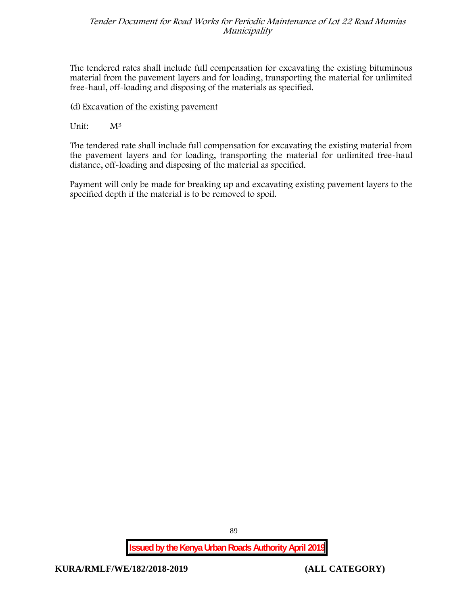The tendered rates shall include full compensation for excavating the existing bituminous material from the pavement layers and for loading, transporting the material for unlimited free-haul, off-loading and disposing of the materials as specified.

# (d) Excavation of the existing pavement

# Unit:  $M^3$

The tendered rate shall include full compensation for excavating the existing material from the pavement layers and for loading, transporting the material for unlimited free-haul distance, off-loading and disposing of the material as specified.

Payment will only be made for breaking up and excavating existing pavement layers to the specified depth if the material is to be removed to spoil.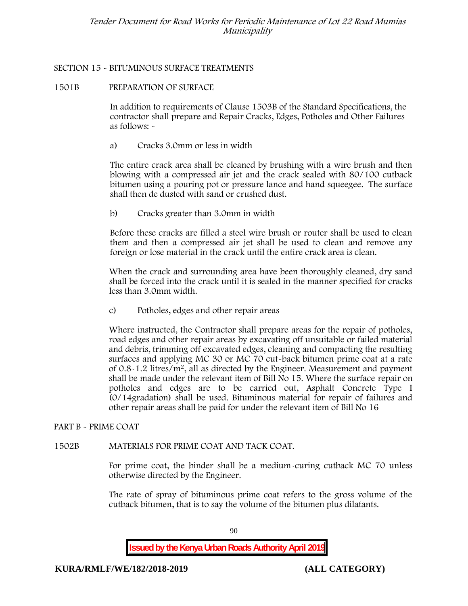### **SECTION 15 - BITUMINOUS SURFACE TREATMENTS**

### **1501B PREPARATION OF SURFACE**

In addition to requirements of Clause 1503B of the Standard Specifications, the contractor shall prepare and Repair Cracks, Edges, Potholes and Other Failures as follows: **-**

a) **Cracks 3.0mm or less in width**

The entire crack area shall be cleaned by brushing with a wire brush and then blowing with a compressed air jet and the crack sealed with 80/100 cutback bitumen using a pouring pot or pressure lance and hand squeegee. The surface shall then de dusted with sand or crushed dust.

b) **Cracks greater than 3.0mm in width**

Before these cracks are filled a steel wire brush or router shall be used to clean them and then a compressed air jet shall be used to clean and remove any foreign or lose material in the crack until the entire crack area is clean.

When the crack and surrounding area have been thoroughly cleaned, dry sand shall be forced into the crack until it is sealed in the manner specified for cracks less than 3.0mm width.

c) **Potholes, edges and other repair areas**

Where instructed, the Contractor shall prepare areas for the repair of potholes, road edges and other repair areas by excavating off unsuitable or failed material and debris, trimming off excavated edges, cleaning and compacting the resulting surfaces and applying MC 30 or MC 70 cut-back bitumen prime coat at a rate of 0.8-1.2 litres/m2, all as directed by the Engineer. Measurement and payment shall be made under the relevant item of Bill No 15. Where the surface repair on potholes and edges are to be carried out, Asphalt Concrete Type I (0/14gradation) shall be used. Bituminous material for repair of failures and other repair areas shall be paid for under the relevant item of Bill No 16

# **PART B - PRIME COAT**

# **1502B MATERIALS FOR PRIME COAT AND TACK COAT.**

For prime coat, the binder shall be a medium-curing cutback MC 70 unless otherwise directed by the Engineer.

The rate of spray of bituminous prime coat refers to the gross volume of the cutback bitumen, that is to say the volume of the bitumen plus dilatants.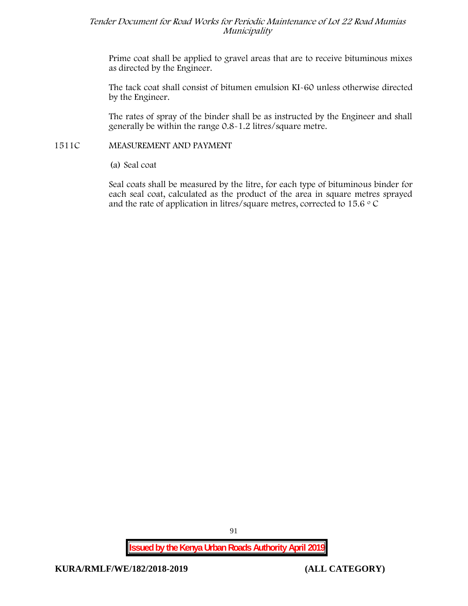Prime coat shall be applied to gravel areas that are to receive bituminous mixes as directed by the Engineer.

The tack coat shall consist of bitumen emulsion KI-60 unless otherwise directed by the Engineer.

The rates of spray of the binder shall be as instructed by the Engineer and shall generally be within the range 0.8-1.2 litres/square metre.

### **1511C MEASUREMENT AND PAYMENT**

(a) Seal coat

Seal coats shall be measured by the litre, for each type of bituminous binder for each seal coat, calculated as the product of the area in square metres sprayed and the rate of application in litres/square metres, corrected to 15.6  $\circ$  C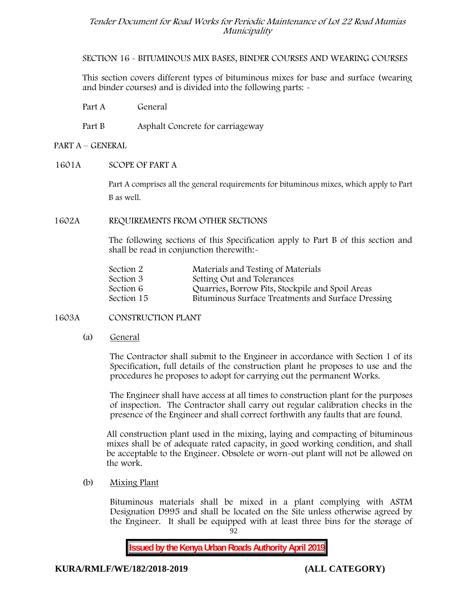**SECTION 16 - BITUMINOUS MIX BASES, BINDER COURSES AND WEARING COURSES**

This section covers different types of bituminous mixes for base and surface (wearing and binder courses) and is divided into the following parts: -

Part A General

Part B Asphalt Concrete for carriageway

#### **PART A –GENERAL**

### **1601A SCOPE OF PART A**

Part A comprises all the general requirements for bituminous mixes, which apply to Part B as well.

### **1602A REQUIREMENTS FROM OTHER SECTIONS**

The following sections of this Specification apply to Part B of this section and shall be read in conjunction therewith:-

| Section 2  | Materials and Testing of Materials                 |
|------------|----------------------------------------------------|
| Section 3  | Setting Out and Tolerances                         |
| Section 6  | Quarries, Borrow Pits, Stockpile and Spoil Areas   |
| Section 15 | Bituminous Surface Treatments and Surface Dressing |

#### **1603A CONSTRUCTION PLANT**

(a) **General**

The Contractor shall submit to the Engineer in accordance with Section 1 of its Specification, full details of the construction plant he proposes to use and the procedures he proposes to adopt for carrying out the permanent Works.

The Engineer shall have access at all times to construction plant for the purposes of inspection. The Contractor shall carry out regular calibration checks in the presence of the Engineer and shall correct forthwith any faults that are found.

All construction plant used in the mixing, laying and compacting of bituminous mixes shall be of adequate rated capacity, in good working condition, and shall be acceptable to the Engineer. Obsolete or worn-out plant will not be allowed on the work.

(b) **Mixing Plant**

92 Bituminous materials shall be mixed in a plant complying with ASTM Designation D995 and shall be located on the Site unless otherwise agreed by the Engineer. It shall be equipped with at least three bins for the storage of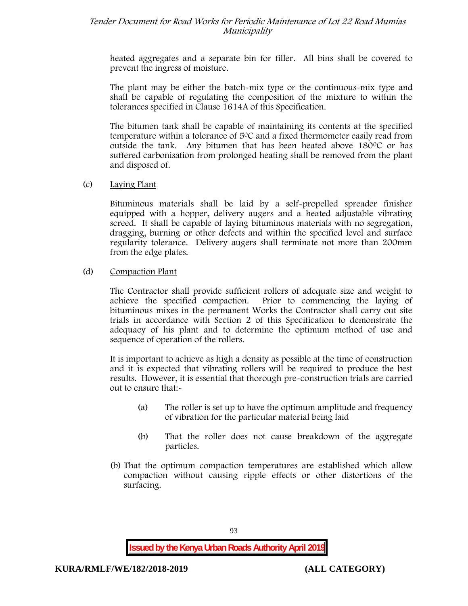heated aggregates and a separate bin for filler. All bins shall be covered to prevent the ingress of moisture.

The plant may be either the batch-mix type or the continuous-mix type and shall be capable of regulating the composition of the mixture to within the tolerances specified in Clause 1614A of this Specification.

The bitumen tank shall be capable of maintaining its contents at the specified temperature within a tolerance of  $5^{\circ}$ C and a fixed thermometer easily read from outside the tank. Any bitumen that has been heated above  $180^{\circ}$ C or has suffered carbonisation from prolonged heating shall be removed from the plant and disposed of.

### (c) **Laying Plant**

Bituminous materials shall be laid by a self-propelled spreader finisher equipped with a hopper, delivery augers and a heated adjustable vibrating screed. It shall be capable of laying bituminous materials with no segregation, dragging, burning or other defects and within the specified level and surface regularity tolerance. Delivery augers shall terminate not more than 200mm from the edge plates.

### (d) **Compaction Plant**

The Contractor shall provide sufficient rollers of adequate size and weight to achieve the specified compaction. Prior to commencing the laying of bituminous mixes in the permanent Works the Contractor shall carry out site trials in accordance with Section 2 of this Specification to demonstrate the adequacy of his plant and to determine the optimum method of use and sequence of operation of the rollers.

It is important to achieve as high a density as possible at the time of construction and it is expected that vibrating rollers will be required to produce the best results. However, it is essential that thorough pre-construction trials are carried out to ensure that:-

- (a) The roller is set up to have the optimum amplitude and frequency of vibration for the particular material being laid
- (b) That the roller does not cause breakdown of the aggregate particles.
- (b) That the optimum compaction temperatures are established which allow compaction without causing ripple effects or other distortions of the surfacing.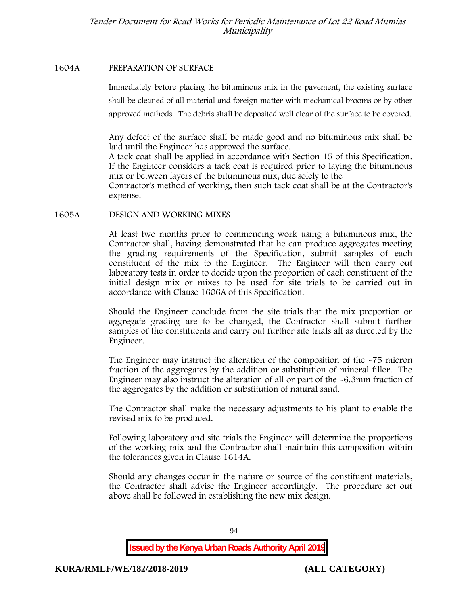#### **1604A PREPARATION OF SURFACE**

Immediately before placing the bituminous mix in the pavement, the existing surface shall be cleaned of all material and foreign matter with mechanical brooms or by other approved methods. The debris shall be deposited well clear of the surface to be covered.

Any defect of the surface shall be made good and no bituminous mix shall be laid until the Engineer has approved the surface.

A tack coat shall be applied in accordance with Section 15 of this Specification. If the Engineer considers a tack coat is required prior to laying the bituminous mix or between layers of the bituminous mix, due solely to the

Contractor's method of working, then such tack coat shall be at the Contractor's expense.

#### **1605A DESIGN AND WORKING MIXES**

At least two months prior to commencing work using a bituminous mix, the Contractor shall, having demonstrated that he can produce aggregates meeting the grading requirements of the Specification, submit samples of each constituent of the mix to the Engineer. The Engineer will then carry out laboratory tests in order to decide upon the proportion of each constituent of the initial design mix or mixes to be used for site trials to be carried out in accordance with Clause 1606A of this Specification.

Should the Engineer conclude from the site trials that the mix proportion or aggregate grading are to be changed, the Contractor shall submit further samples of the constituents and carry out further site trials all as directed by the Engineer.

The Engineer may instruct the alteration of the composition of the -75 micron fraction of the aggregates by the addition or substitution of mineral filler. The Engineer may also instruct the alteration of all or part of the -6.3mm fraction of the aggregates by the addition or substitution of natural sand.

The Contractor shall make the necessary adjustments to his plant to enable the revised mix to be produced.

Following laboratory and site trials the Engineer will determine the proportions of the working mix and the Contractor shall maintain this composition within the tolerances given in Clause 1614A.

Should any changes occur in the nature or source of the constituent materials, the Contractor shall advise the Engineer accordingly. The procedure set out above shall be followed in establishing the new mix design.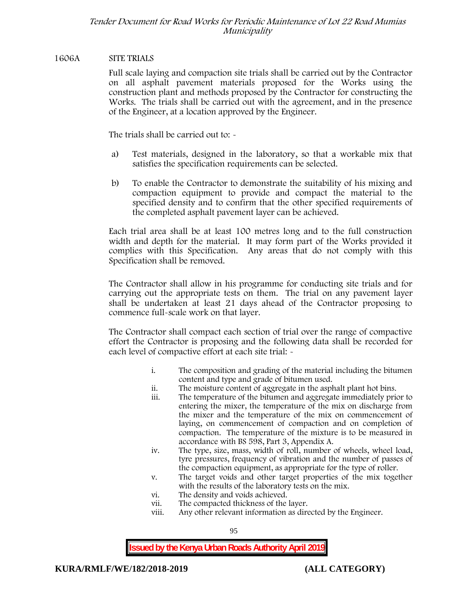### **1606A SITE TRIALS**

Full scale laying and compaction site trials shall be carried out by the Contractor on all asphalt pavement materials proposed for the Works using the construction plant and methods proposed by the Contractor for constructing the Works. The trials shall be carried out with the agreement, and in the presence of the Engineer, at a location approved by the Engineer.

The trials shall be carried out to: -

- a) Test materials, designed in the laboratory, so that a workable mix that satisfies the specification requirements can be selected.
- b) To enable the Contractor to demonstrate the suitability of his mixing and compaction equipment to provide and compact the material to the specified density and to confirm that the other specified requirements of the completed asphalt pavement layer can be achieved.

Each trial area shall be at least 100 metres long and to the full construction width and depth for the material. It may form part of the Works provided it complies with this Specification. Any areas that do not comply with this Specification shall be removed.

The Contractor shall allow in his programme for conducting site trials and for carrying out the appropriate tests on them. The trial on any pavement layer shall be undertaken at least 21 days ahead of the Contractor proposing to commence full-scale work on that layer.

The Contractor shall compact each section of trial over the range of compactive effort the Contractor is proposing and the following data shall be recorded for each level of compactive effort at each site trial:  $\sim$ 

- i. The composition and grading of the material including the bitumen content and type and grade of bitumen used.
- ii. The moisture content of aggregate in the asphalt plant hot bins.
- iii. The temperature of the bitumen and aggregate immediately prior to entering the mixer, the temperature of the mix on discharge from the mixer and the temperature of the mix on commencement of laying, on commencement of compaction and on completion of compaction. The temperature of the mixture is to be measured in accordance with BS 598, Part 3, Appendix A.
- iv. The type, size, mass, width of roll, number of wheels, wheel load, tyre pressures, frequency of vibration and the number of passes of the compaction equipment, as appropriate for the type of roller.
- v. The target voids and other target properties of the mix together with the results of the laboratory tests on the mix.
- vi. The density and voids achieved.
- vii. The compacted thickness of the layer.
- viii. Any other relevant information as directed by the Engineer.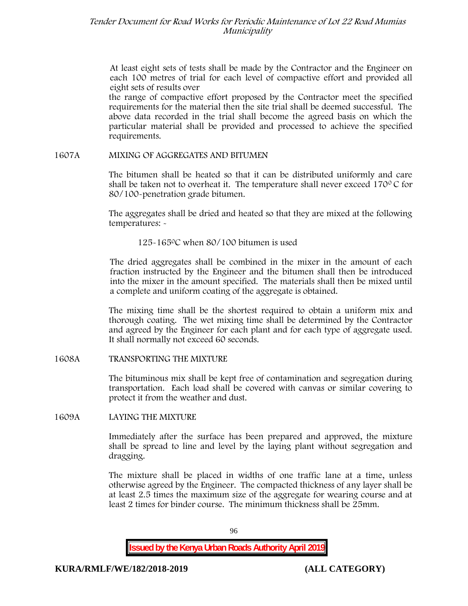At least eight sets of tests shall be made by the Contractor and the Engineer on each 100 metres of trial for each level of compactive effort and provided all eight sets of results over

the range of compactive effort proposed by the Contractor meet the specified requirements for the material then the site trial shall be deemed successful. The above data recorded in the trial shall become the agreed basis on which the particular material shall be provided and processed to achieve the specified requirements.

### **1607A MIXING OF AGGREGATES AND BITUMEN**

The bitumen shall be heated so that it can be distributed uniformly and care shall be taken not to overheat it. The temperature shall never exceed 170 $\degree$ C for 80/100-penetration grade bitumen.

The aggregates shall be dried and heated so that they are mixed at the following temperatures: -

125-1650C when 80/100 bitumen is used

The dried aggregates shall be combined in the mixer in the amount of each fraction instructed by the Engineer and the bitumen shall then be introduced into the mixer in the amount specified. The materials shall then be mixed until a complete and uniform coating of the aggregate is obtained.

The mixing time shall be the shortest required to obtain a uniform mix and thorough coating. The wet mixing time shall be determined by the Contractor and agreed by the Engineer for each plant and for each type of aggregate used. It shall normally not exceed 60 seconds.

**1608A TRANSPORTING THE MIXTURE**

The bituminous mix shall be kept free of contamination and segregation during transportation. Each load shall be covered with canvas or similar covering to protect it from the weather and dust.

#### **1609A LAYING THE MIXTURE**

Immediately after the surface has been prepared and approved, the mixture shall be spread to line and level by the laying plant without segregation and dragging.

The mixture shall be placed in widths of one traffic lane at a time, unless otherwise agreed by the Engineer. The compacted thickness of any layer shall be at least 2.5 times the maximum size of the aggregate for wearing course and at least 2 times for binder course. The minimum thickness shall be 25mm.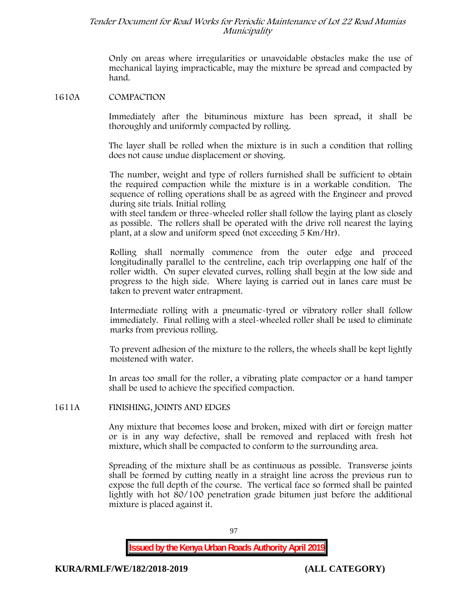Only on areas where irregularities or unavoidable obstacles make the use of mechanical laying impracticable, may the mixture be spread and compacted by hand.

#### **1610A COMPACTION**

Immediately after the bituminous mixture has been spread, it shall be thoroughly and uniformly compacted by rolling.

The layer shall be rolled when the mixture is in such a condition that rolling does not cause undue displacement or shoving.

The number, weight and type of rollers furnished shall be sufficient to obtain the required compaction while the mixture is in a workable condition. The sequence of rolling operations shall be as agreed with the Engineer and proved during site trials. Initial rolling

with steel tandem or three-wheeled roller shall follow the laying plant as closely as possible. The rollers shall be operated with the drive roll nearest the laying plant, at a slow and uniform speed (not exceeding 5 Km/Hr).

Rolling shall normally commence from the outer edge and proceed longitudinally parallel to the centreline, each trip overlapping one half of the roller width. On super elevated curves, rolling shall begin at the low side and progress to the high side. Where laying is carried out in lanes care must be taken to prevent water entrapment.

Intermediate rolling with a pneumatic-tyred or vibratory roller shall follow immediately. Final rolling with a steel-wheeled roller shall be used to eliminate marks from previous rolling.

To prevent adhesion of the mixture to the rollers, the wheels shall be kept lightly moistened with water.

In areas too small for the roller, a vibrating plate compactor or a hand tamper shall be used to achieve the specified compaction.

#### **1611A FINISHING, JOINTS AND EDGES**

Any mixture that becomes loose and broken, mixed with dirt or foreign matter or is in any way defective, shall be removed and replaced with fresh hot mixture, which shall be compacted to conform to the surrounding area.

Spreading of the mixture shall be as continuous as possible. Transverse joints shall be formed by cutting neatly in a straight line across the previous run to expose the full depth of the course. The vertical face so formed shall be painted lightly with hot 80/100 penetration grade bitumen just before the additional mixture is placed against it.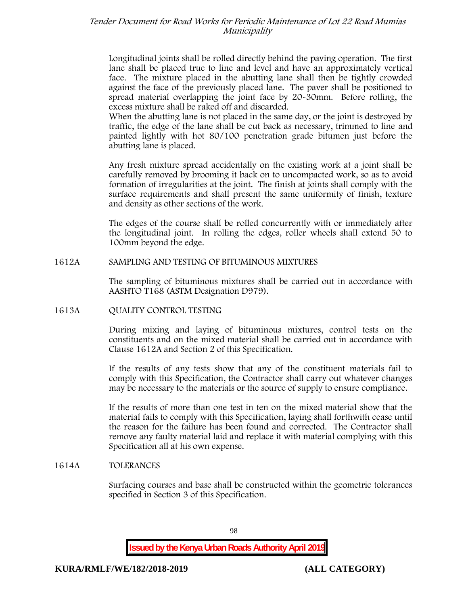Longitudinal joints shall be rolled directly behind the paving operation. The first lane shall be placed true to line and level and have an approximately vertical face. The mixture placed in the abutting lane shall then be tightly crowded against the face of the previously placed lane. The paver shall be positioned to spread material overlapping the joint face by 20-30mm. Before rolling, the excess mixture shall be raked off and discarded.

When the abutting lane is not placed in the same day, or the joint is destroyed by traffic, the edge of the lane shall be cut back as necessary, trimmed to line and painted lightly with hot 80/100 penetration grade bitumen just before the abutting lane is placed.

Any fresh mixture spread accidentally on the existing work at a joint shall be carefully removed by brooming it back on to uncompacted work, so as to avoid formation of irregularities at the joint. The finish at joints shall comply with the surface requirements and shall present the same uniformity of finish, texture and density as other sections of the work.

The edges of the course shall be rolled concurrently with or immediately after the longitudinal joint. In rolling the edges, roller wheels shall extend 50 to 100mm beyond the edge.

#### **1612A SAMPLING AND TESTING OF BITUMINOUS MIXTURES**

The sampling of bituminous mixtures shall be carried out in accordance with AASHTO T168 (ASTM Designation D979).

#### **1613A QUALITY CONTROL TESTING**

During mixing and laying of bituminous mixtures, control tests on the constituents and on the mixed material shall be carried out in accordance with Clause 1612A and Section 2 of this Specification.

If the results of any tests show that any of the constituent materials fail to comply with this Specification, the Contractor shall carry out whatever changes may be necessary to the materials or the source of supply to ensure compliance.

If the results of more than one test in ten on the mixed material show that the material fails to comply with this Specification, laying shall forthwith cease until the reason for the failure has been found and corrected. The Contractor shall remove any faulty material laid and replace it with material complying with this Specification all at his own expense.

#### **1614A TOLERANCES**

Surfacing courses and base shall be constructed within the geometric tolerances specified in Section 3 of this Specification.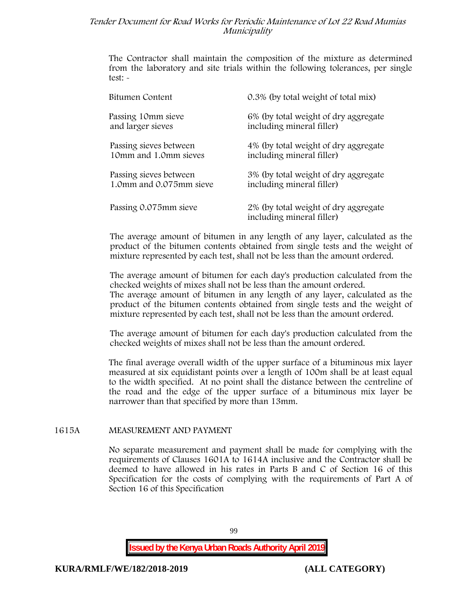The Contractor shall maintain the composition of the mixture as determined from the laboratory and site trials within the following tolerances, per single test: -

| Bitumen Content         | 0.3% (by total weight of total mix)                               |
|-------------------------|-------------------------------------------------------------------|
| Passing 10mm sieve      | 6% (by total weight of dry aggregate                              |
| and larger sieves       | including mineral filler)                                         |
| Passing sieves between  | 4% (by total weight of dry aggregate                              |
| 10mm and 1.0mm sieves   | including mineral filler)                                         |
| Passing sieves between  | 3% (by total weight of dry aggregate                              |
| 1.0mm and 0.075mm sieve | including mineral filler)                                         |
| Passing 0.075mm sieve   | 2% (by total weight of dry aggregate<br>including mineral filler) |

The average amount of bitumen in any length of any layer, calculated as the product of the bitumen contents obtained from single tests and the weight of mixture represented by each test, shall not be less than the amount ordered.

The average amount of bitumen for each day's production calculated from the checked weights of mixes shall not be less than the amount ordered. The average amount of bitumen in any length of any layer, calculated as the

product of the bitumen contents obtained from single tests and the weight of mixture represented by each test, shall not be less than the amount ordered.

The average amount of bitumen for each day's production calculated from the checked weights of mixes shall not be less than the amount ordered.

The final average overall width of the upper surface of a bituminous mix layer measured at six equidistant points over a length of 100m shall be at least equal to the width specified. At no point shall the distance between the centreline of the road and the edge of the upper surface of a bituminous mix layer be narrower than that specified by more than 13mm.

#### **1615A MEASUREMENT AND PAYMENT**

No separate measurement and payment shall be made for complying with the requirements of Clauses 1601A to 1614A inclusive and the Contractor shall be deemed to have allowed in his rates in Parts B and C of Section 16 of this Specification for the costs of complying with the requirements of Part A of Section 16 of this Specification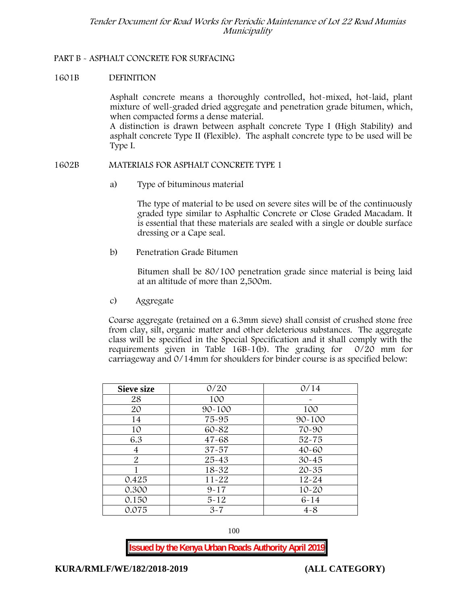## **PART B - ASPHALT CONCRETE FOR SURFACING**

#### **1601B DEFINITION**

Asphalt concrete means a thoroughly controlled, hot-mixed, hot-laid, plant mixture of well-graded dried aggregate and penetration grade bitumen, which, when compacted forms a dense material.

A distinction is drawn between asphalt concrete Type I (High Stability) and asphalt concrete Type II (Flexible). The asphalt concrete type to be used will be Type I.

#### **1602B MATERIALS FOR ASPHALT CONCRETE TYPE 1**

a) **Type of bituminous material**

The type of material to be used on severe sites will be of the continuously graded type similar to Asphaltic Concrete or Close Graded Macadam. It is essential that these materials are sealed with a single or double surface dressing or a Cape seal.

b) **Penetration Grade Bitumen**

Bitumen shall be 80/100 penetration grade since material is being laid at an altitude of more than 2,500m.

c) **Aggregate**

Coarse aggregate (retained on a 6.3mm sieve) shall consist of crushed stone free from clay, silt, organic matter and other deleterious substances. The aggregate class will be specified in the Special Specification and it shall comply with the requirements given in Table 16B-1(b). The grading for 0/20 mm for carriageway and 0/14mm for shoulders for binder course is as specified below:

| <b>Sieve size</b> | 0/20       | 0/14       |
|-------------------|------------|------------|
| 28                | 100        |            |
| 20                | $90 - 100$ | 100        |
| 14                | 75-95      | $90 - 100$ |
| 10                | 60-82      | 70-90      |
| 6.3               | $47 - 68$  | $52 - 75$  |
| 4                 | $37 - 57$  | $40 - 60$  |
| $\overline{2}$    | $25 - 43$  | $30 - 45$  |
|                   | 18-32      | $20 - 35$  |
| 0.425             | $11 - 22$  | $12 - 24$  |
| 0.300             | $9 - 17$   | $10 - 20$  |
| 0.150             | $5 - 12$   | $6 - 14$   |
| 0.075             | $3 - 7$    | $4 - 8$    |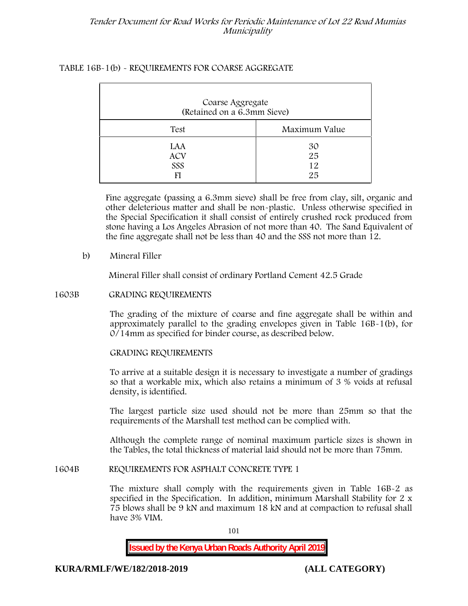# **TABLE 16B-1(b) - REQUIREMENTS FOR COARSE AGGREGATE**

| Coarse Aggregate<br>(Retained on a 6.3mm Sieve) |                      |
|-------------------------------------------------|----------------------|
| Test                                            | Maximum Value        |
| LAA<br><b>ACV</b><br>SSS                        | 30<br>25<br>12<br>25 |

Fine aggregate (passing a 6.3mm sieve) shall be free from clay, silt, organic and other deleterious matter and shall be non-plastic. Unless otherwise specified in the Special Specification it shall consist of entirely crushed rock produced from stone having a Los Angeles Abrasion of not more than 40. The Sand Equivalent of the fine aggregate shall not be less than 40 and the SSS not more than 12.

# **b) Mineral Filler**

Mineral Filler shall consist of ordinary Portland Cement 42.5 Grade

# **1603B GRADING REQUIREMENTS**

The grading of the mixture of coarse and fine aggregate shall be within and approximately parallel to the grading envelopes given in Table 16B-1(b), for 0/14mm as specified for binder course, as described below.

# **GRADING REQUIREMENTS**

To arrive at a suitable design it is necessary to investigate a number of gradings so that a workable mix, which also retains a minimum of 3 % voids at refusal density, is identified.

The largest particle size used should not be more than 25mm so that the requirements of the Marshall test method can be complied with.

Although the complete range of nominal maximum particle sizes is shown in the Tables, the total thickness of material laid should not be more than 75mm.

# **1604B REQUIREMENTS FOR ASPHALT CONCRETE TYPE 1**

The mixture shall comply with the requirements given in Table 16B-2 as specified in the Specification. In addition, minimum Marshall Stability for 2 x 75 blows shall be 9 kN and maximum 18 kN and at compaction to refusal shall have 3% VIM.

101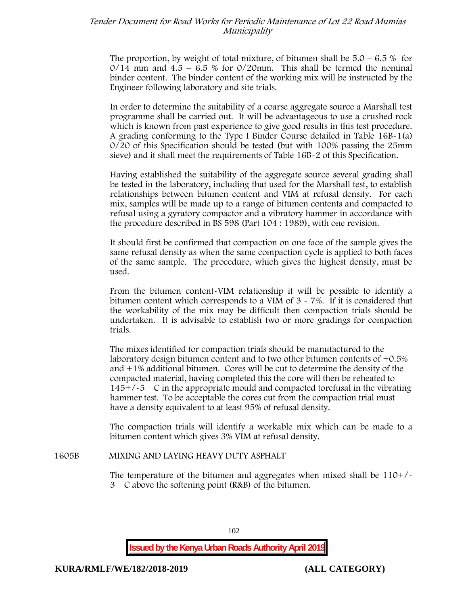The proportion, by weight of total mixture, of bitumen shall be  $5.0 - 6.5\%$  for  $0/14$  mm and  $4.5 - 6.5$  % for  $0/20$ mm. This shall be termed the nominal binder content. The binder content of the working mix will be instructed by the Engineer following laboratory and site trials.

In order to determine the suitability of a coarse aggregate source a Marshall test programme shall be carried out. It will be advantageous to use a crushed rock which is known from past experience to give good results in this test procedure. A grading conforming to the Type I Binder Course detailed in Table 16B-1(a) 0/20 of this Specification should be tested (but with 100% passing the 25mm sieve) and it shall meet the requirements of Table 16B-2 of this Specification.

Having established the suitability of the aggregate source several grading shall be tested in the laboratory, including that used for the Marshall test, to establish relationships between bitumen content and VIM at refusal density. For each mix, samples will be made up to a range of bitumen contents and compacted to refusal using a gyratory compactor and a vibratory hammer in accordance with the procedure described in BS 598 (Part 104 : 1989), with one revision.

It should first be confirmed that compaction on one face of the sample gives the same refusal density as when the same compaction cycle is applied to both faces of the same sample. The procedure, which gives the highest density, must be used.

From the bitumen content-VIM relationship it will be possible to identify a bitumen content which corresponds to a VIM of 3 - 7%. If it is considered that the workability of the mix may be difficult then compaction trials should be undertaken. It is advisable to establish two or more gradings for compaction trials.

The mixes identified for compaction trials should be manufactured to the laboratory design bitumen content and to two other bitumen contents of +0.5% and +1% additional bitumen. Cores will be cut to determine the density of the compacted material, having completed this the core will then be reheated to  $145+/5$  C in the appropriate mould and compacted torefusal in the vibrating hammer test. To be acceptable the cores cut from the compaction trial must have a density equivalent to at least 95% of refusal density.

The compaction trials will identify a workable mix which can be made to a bitumen content which gives 3% VIM at refusal density.

#### **1605B MIXING AND LAYING HEAVY DUTY ASPHALT**

The temperature of the bitumen and aggregates when mixed shall be 110+/- 3C above the softening point (R&B) of the bitumen.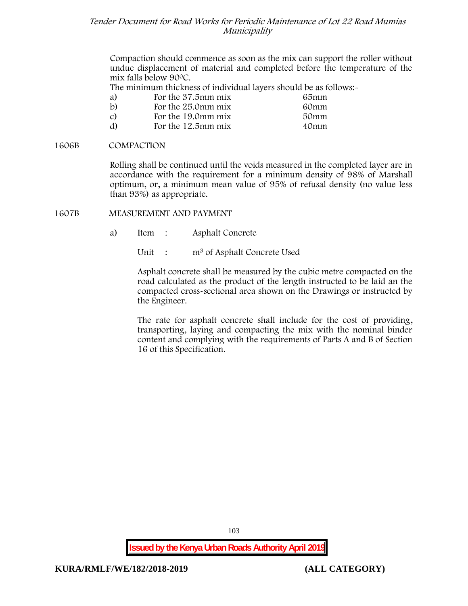Compaction should commence as soon as the mix can support the roller without undue displacement of material and completed before the temperature of the mix falls below 900C.

The minimum thickness of individual layers should be as follows:-

| a)            | For the 37.5mm mix | 65mm |  |
|---------------|--------------------|------|--|
| $\mathbf{b}$  | For the 25.0mm mix | 60mm |  |
| $\mathcal{C}$ | For the 19.0mm mix | 50mm |  |
| d)            | For the 12.5mm mix | 40mm |  |

#### **1606B COMPACTION**

Rolling shall be continued until the voids measured in the completed layer are in accordance with the requirement for a minimum density of 98% of Marshall optimum, or, a minimum mean value of 95% of refusal density (no value less than 93%) as appropriate.

### **1607B MEASUREMENT AND PAYMENT**

- a) Item : Asphalt Concrete
	- Unit : m<sup>3</sup> of Asphalt Concrete Used

Asphalt concrete shall be measured by the cubic metre compacted on the road calculated as the product of the length instructed to be laid an the compacted cross-sectional area shown on the Drawings or instructed by the Engineer.

The rate for asphalt concrete shall include for the cost of providing, transporting, laying and compacting the mix with the nominal binder content and complying with the requirements of Parts A and B of Section 16 of this Specification.

**Issued by the Kenya Urban Roads Authority April 2019**

103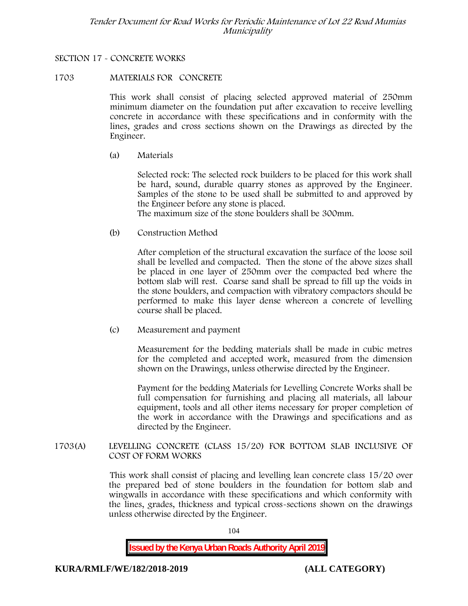# **SECTION 17 - CONCRETE WORKS**

### **1703 MATERIALS FOR CONCRETE**

This work shall consist of placing selected approved material of 250mm minimum diameter on the foundation put after excavation to receive levelling concrete in accordance with these specifications and in conformity with the lines, grades and cross sections shown on the Drawings as directed by the Engineer.

(a) **Materials**

Selected rock: The selected rock builders to be placed for this work shall be hard, sound, durable quarry stones as approved by the Engineer. Samples of the stone to be used shall be submitted to and approved by the Engineer before any stone is placed.

The maximum size of the stone boulders shall be 300mm.

(b) **Construction Method**

After completion of the structural excavation the surface of the loose soil shall be levelled and compacted. Then the stone of the above sizes shall be placed in one layer of 250mm over the compacted bed where the bottom slab will rest. Coarse sand shall be spread to fill up the voids in the stone boulders, and compaction with vibratory compactors should be performed to make this layer dense whereon a concrete of levelling course shall be placed.

(c) **Measurement and payment**

Measurement for the bedding materials shall be made in cubic metres for the completed and accepted work, measured from the dimension shown on the Drawings, unless otherwise directed by the Engineer.

Payment for the bedding Materials for Levelling Concrete Works shall be full compensation for furnishing and placing all materials, all labour equipment, tools and all other items necessary for proper completion of the work in accordance with the Drawings and specifications and as directed by the Engineer.

**1703(A) LEVELLING CONCRETE (CLASS 15/20) FOR BOTTOM SLAB INCLUSIVE OF COST OF FORM WORKS**

> This work shall consist of placing and levelling lean concrete class 15/20 over the prepared bed of stone boulders in the foundation for bottom slab and wingwalls in accordance with these specifications and which conformity with the lines, grades, thickness and typical cross-sections shown on the drawings unless otherwise directed by the Engineer.

> > 104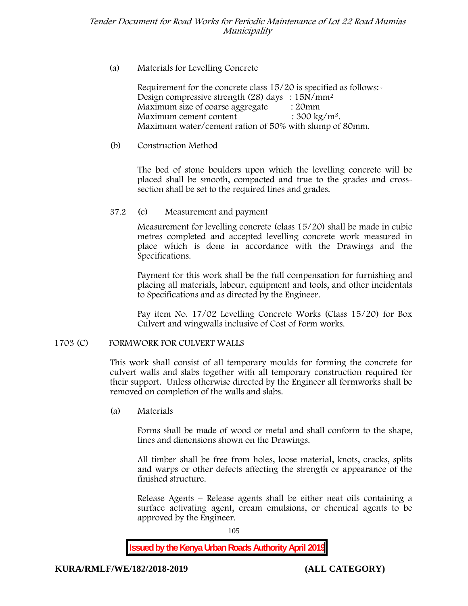# (a) **Materials for Levelling Concrete**

Requirement for the concrete class 15/20 is specified as follows:- Design compressive strength (28) days :  $15N/mm^2$ Maximum size of coarse aggregate : 20mm Maximum cement content  $: 300 \text{ kg/m}^3$ . Maximum water/cement ration of 50% with slump of 80mm.

# (b) **Construction Method**

The bed of stone boulders upon which the levelling concrete will be placed shall be smooth, compacted and true to the grades and crosssection shall be set to the required lines and grades.

# **37.2** (c) **Measurement and payment**

Measurement for levelling concrete (class 15/20) shall be made in cubic metres completed and accepted levelling concrete work measured in place which is done in accordance with the Drawings and the Specifications.

Payment for this work shall be the full compensation for furnishing and placing all materials, labour, equipment and tools, and other incidentals to Specifications and as directed by the Engineer.

Pay item No. 17/02 Levelling Concrete Works (Class 15/20) for Box Culvert and wingwalls inclusive of Cost of Form works.

# **1703 (C) FORMWORK FOR CULVERT WALLS**

This work shall consist of all temporary moulds for forming the concrete for culvert walls and slabs together with all temporary construction required for their support. Unless otherwise directed by the Engineer all formworks shall be removed on completion of the walls and slabs.

(a) **Materials**

Forms shall be made of wood or metal and shall conform to the shape, lines and dimensions shown on the Drawings.

All timber shall be free from holes, loose material, knots, cracks, splits and warps or other defects affecting the strength or appearance of the finished structure.

Release Agents – Release agents shall be either neat oils containing a surface activating agent, cream emulsions, or chemical agents to be approved by the Engineer.

105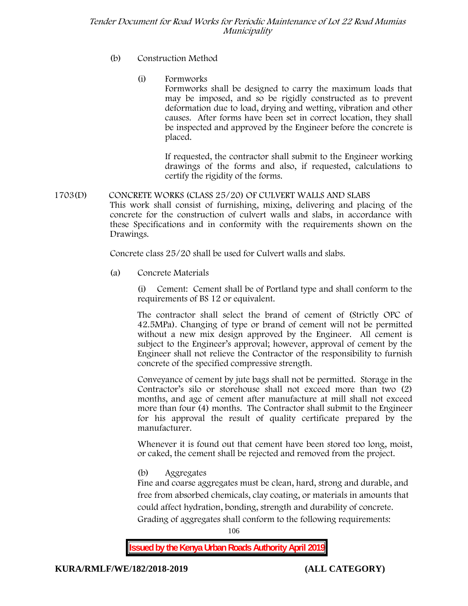- (b) **Construction Method**
	- (i) **Formworks**

Formworks shall be designed to carry the maximum loads that may be imposed, and so be rigidly constructed as to prevent deformation due to load, drying and wetting, vibration and other causes. After forms have been set in correct location, they shall be inspected and approved by the Engineer before the concrete is placed.

If requested, the contractor shall submit to the Engineer working drawings of the forms and also, if requested, calculations to certify the rigidity of the forms.

**1703(D) CONCRETE WORKS (CLASS 25/20) OF CULVERT WALLS AND SLABS** This work shall consist of furnishing, mixing, delivering and placing of the concrete for the construction of culvert walls and slabs, in accordance with these Specifications and in conformity with the requirements shown on the Drawings.

Concrete class 25/20 shall be used for Culvert walls and slabs.

**(a) Concrete Materials**

(i) Cement: Cement shall be of Portland type and shall conform to the requirements of BS 12 or equivalent.

The contractor shall select the brand of cement of (Strictly OPC of 42.5MPa). Changing of type or brand of cement will not be permitted without a new mix design approved by the Engineer. All cement is subject to the Engineer's approval; however, approval of cement by the Engineer shall not relieve the Contractor of the responsibility to furnish concrete of the specified compressive strength.

Conveyance of cement by jute bags shall not be permitted. Storage in the Contractor's silo or storehouse shall not exceed more than two (2) months, and age of cement after manufacture at mill shall not exceed more than four (4) months. The Contractor shall submit to the Engineer for his approval the result of quality certificate prepared by the manufacturer.

Whenever it is found out that cement have been stored too long, moist, or caked, the cement shall be rejected and removed from the project.

**(b) Aggregates**

Fine and coarse aggregates must be clean, hard, strong and durable, and free from absorbed chemicals, clay coating, or materials in amounts that could affect hydration, bonding, strength and durability of concrete. Grading of aggregates shall conform to the following requirements:

106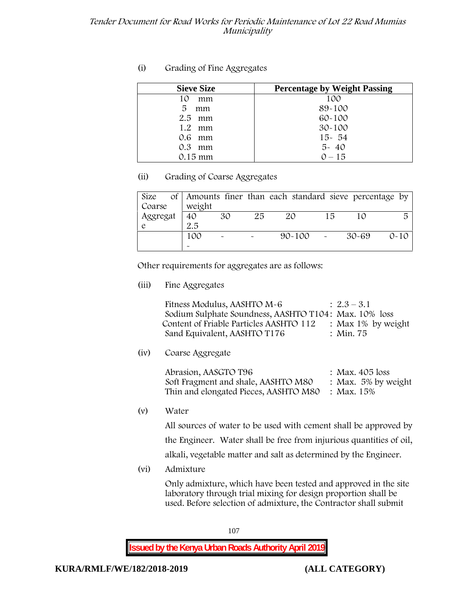### **(i) Grading of Fine Aggregates**

| <b>Sieve Size</b> | <b>Percentage by Weight Passing</b> |  |  |
|-------------------|-------------------------------------|--|--|
| 10<br>mm          | 100                                 |  |  |
| 5<br>mm           | 89-100                              |  |  |
| $2.5$ mm          | $60 - 100$                          |  |  |
| $1.2$ mm          | $30 - 100$                          |  |  |
| $0.6$ mm          | $15 - 54$                           |  |  |
| $0.3$ mm          | $5 - 40$                            |  |  |
| 0.15 mm           | $0 - 15$                            |  |  |

# **(ii) Grading of Coarse Aggregates**

| Size     |                       |                           |    | of Amounts finer than each standard sieve percentage by |    |       |          |
|----------|-----------------------|---------------------------|----|---------------------------------------------------------|----|-------|----------|
| Coarse   | weight                |                           |    |                                                         |    |       |          |
| Aggregat | 40                    | 30                        | 25 | ZO                                                      | 15 |       | 尽        |
|          | 2.5                   |                           |    |                                                         |    |       |          |
|          | 100                   | $\widetilde{\phantom{m}}$ |    | $90 - 100$                                              |    | 30-69 | $0 - 10$ |
|          | $\tilde{\phantom{a}}$ |                           |    |                                                         |    |       |          |

Other requirements for aggregates are as follows:

**(iii) Fine Aggregates**

| Fitness Modulus, AASHTO M-6                           | $: 2.3 - 3.1$         |
|-------------------------------------------------------|-----------------------|
| Sodium Sulphate Soundness, AASHTO T104: Max. 10% loss |                       |
| Content of Friable Particles AASHTO 112               | : Max $1\%$ by weight |
| Sand Equivalent, AASHTO T176                          | : Min. 75             |

**(iv) Coarse Aggregate**

Abrasion, AASGTO T96 : Max. 405 loss Soft Fragment and shale, AASHTO M80 : Max. 5% by weight Thin and elongated Pieces, AASHTO M80 : Max. 15%

**(v) Water**

All sources of water to be used with cement shall be approved by the Engineer. Water shall be free from injurious quantities of oil, alkali, vegetable matter and salt as determined by the Engineer.

**(vi) Admixture**

Only admixture, which have been tested and approved in the site laboratory through trial mixing for design proportion shall be used. Before selection of admixture, the Contractor shall submit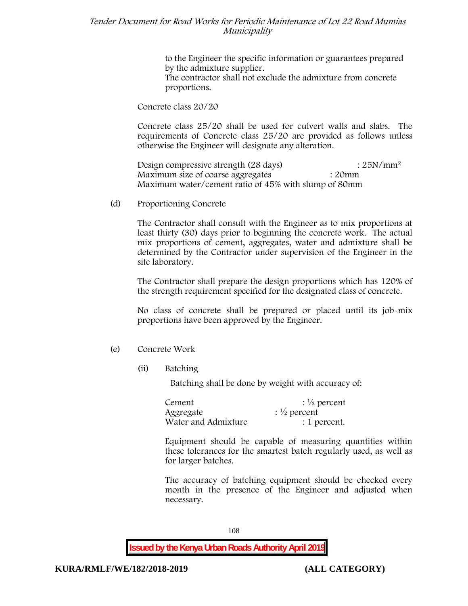to the Engineer the specific information or guarantees prepared by the admixture supplier. The contractor shall not exclude the admixture from concrete proportions.

**Concrete class 20/20**

Concrete class 25/20 shall be used for culvert walls and slabs. The requirements of Concrete class 25/20 are provided as follows unless otherwise the Engineer will designate any alteration.

Design compressive strength (28 days) : 25N/mm<sup>2</sup> Maximum size of coarse aggregates : 20mm Maximum water/cement ratio of 45% with slump of 80mm

(d) **Proportioning Concrete**

The Contractor shall consult with the Engineer as to mix proportions at least thirty (30) days prior to beginning the concrete work. The actual mix proportions of cement, aggregates, water and admixture shall be determined by the Contractor under supervision of the Engineer in the site laboratory.

The Contractor shall prepare the design proportions which has 120% of the strength requirement specified for the designated class of concrete.

No class of concrete shall be prepared or placed until its job-mix proportions have been approved by the Engineer.

- (e) **Concrete Work**
	- **(ii) Batching**

Batching shall be done by weight with accuracy of:

| Cement              | $\frac{1}{2}$ percent |
|---------------------|-----------------------|
| Aggregate           | $\frac{1}{2}$ percent |
| Water and Admixture | : 1 percent.          |

Equipment should be capable of measuring quantities within these tolerances for the smartest batch regularly used, as well as for larger batches.

The accuracy of batching equipment should be checked every month in the presence of the Engineer and adjusted when necessary.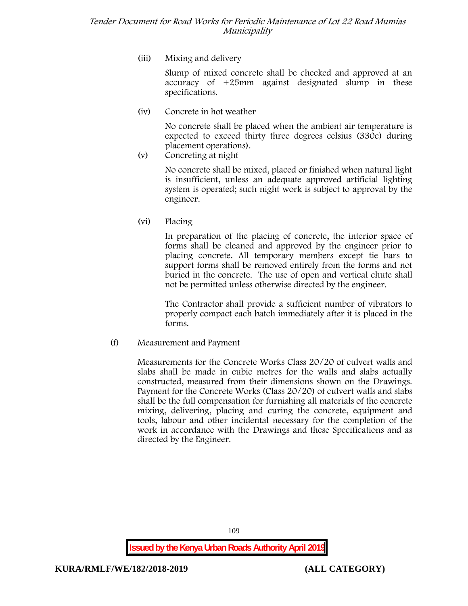**(iii) Mixing and delivery**

Slump of mixed concrete shall be checked and approved at an accuracy of +25mm against designated slump in these specifications.

**(iv) Concrete in hot weather**

No concrete shall be placed when the ambient air temperature is expected to exceed thirty three degrees celsius (330c) during placement operations).

**(v) Concreting at night**

No concrete shall be mixed, placed or finished when natural light is insufficient, unless an adequate approved artificial lighting system is operated; such night work is subject to approval by the engineer.

**(vi) Placing**

In preparation of the placing of concrete, the interior space of forms shall be cleaned and approved by the engineer prior to placing concrete. All temporary members except tie bars to support forms shall be removed entirely from the forms and not buried in the concrete. The use of open and vertical chute shall not be permitted unless otherwise directed by the engineer.

The Contractor shall provide a sufficient number of vibrators to properly compact each batch immediately after it is placed in the forms.

(f) **Measurement and Payment**

Measurements for the Concrete Works Class 20/20 of culvert walls and slabs shall be made in cubic metres for the walls and slabs actually constructed, measured from their dimensions shown on the Drawings. Payment for the Concrete Works (Class 20/20) of culvert walls and slabs shall be the full compensation for furnishing all materials of the concrete mixing, delivering, placing and curing the concrete, equipment and tools, labour and other incidental necessary for the completion of the work in accordance with the Drawings and these Specifications and as directed by the Engineer.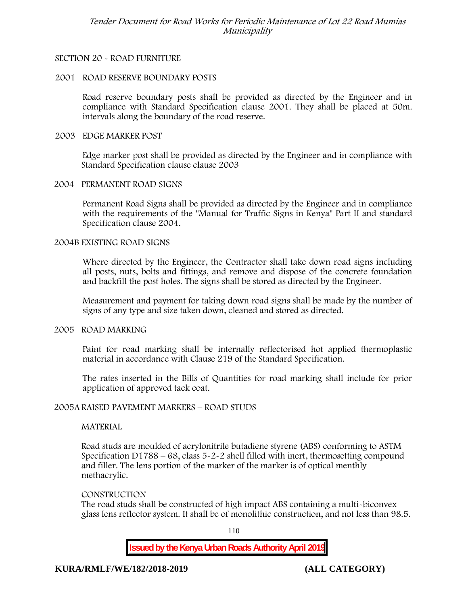### **SECTION 20 - ROAD FURNITURE**

#### **2001 ROAD RESERVE BOUNDARY POSTS**

Road reserve boundary posts shall be provided as directed by the Engineer and in compliance with Standard Specification clause 2001. They shall be placed at 50m. intervals along the boundary of the road reserve.

#### **2003 EDGE MARKER POST**

Edge marker post shall be provided as directed by the Engineer and in compliance with Standard Specification clause clause 2003

#### **2004 PERMANENT ROAD SIGNS**

Permanent Road Signs shall be provided as directed by the Engineer and in compliance with the requirements of the "Manual for Traffic Signs in Kenya" Part II and standard Specification clause 2004.

#### **2004B EXISTING ROAD SIGNS**

Where directed by the Engineer, the Contractor shall take down road signs including all posts, nuts, bolts and fittings, and remove and dispose of the concrete foundation and backfill the post holes. The signs shall be stored as directed by the Engineer.

Measurement and payment for taking down road signs shall be made by the number of signs of any type and size taken down, cleaned and stored as directed.

#### **2005 ROAD MARKING**

Paint for road marking shall be internally reflectorised hot applied thermoplastic material in accordance with Clause 219 of the Standard Specification.

The rates inserted in the Bills of Quantities for road marking shall include for prior application of approved tack coat.

#### **2005A RAISED PAVEMENT MARKERS – ROAD STUDS**

#### **MATERIAL**

Road studs are moulded of acrylonitrile butadiene styrene (ABS) conforming to ASTM Specification D1788 – 68, class  $5 - 2 - 2$  shell filled with inert, thermosetting compound and filler. The lens portion of the marker of the marker is of optical menthly methacrylic.

#### **CONSTRUCTION**

The road studs shall be constructed of high impact ABS containing a multi-biconvex glass lens reflector system. It shall be of monolithic construction, and not less than 98.5.

110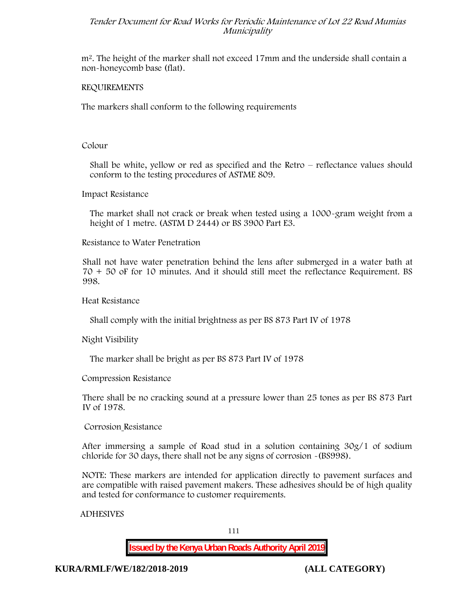m2. The height of the marker shall not exceed 17mm and the underside shall contain a non-honeycomb base (flat).

### **REQUIREMENTS**

The markers shall conform to the following requirements

### **Colour**

Shall be white, yellow or red as specified and the Retro – reflectance values should conform to the testing procedures of ASTME 809.

### **Impact Resistance**

The market shall not crack or break when tested using a 1000**-**gram weight from a height of 1 metre. (ASTM D 2444) or BS 3900 Part E3.

### **Resistance to Water Penetration**

Shall not have water penetration behind the lens after submerged in a water bath at 70 + 50 oF for 10 minutes. And it should still meet the reflectance Requirement. BS 998.

### **Heat Resistance**

Shall comply with the initial brightness as per BS 873 Part IV of 1978

**Night Visibility**

The marker shall be bright as per BS 873 Part IV of 1978

**Compression Resistance**

There shall be no cracking sound at a pressure lower than 25 tones as per BS 873 Part IV of 1978.

## **Corrosion Resistance**

After immersing a sample of Road stud in a solution containing 30g/1 of sodium chloride for 30 days, there shall not be any signs of corrosion **-**(BS998).

**NOTE**: These markers are intended for application directly to pavement surfaces and are compatible with raised pavement makers. These adhesives should be of high quality and tested for conformance to customer requirements.

## **ADHESIVES**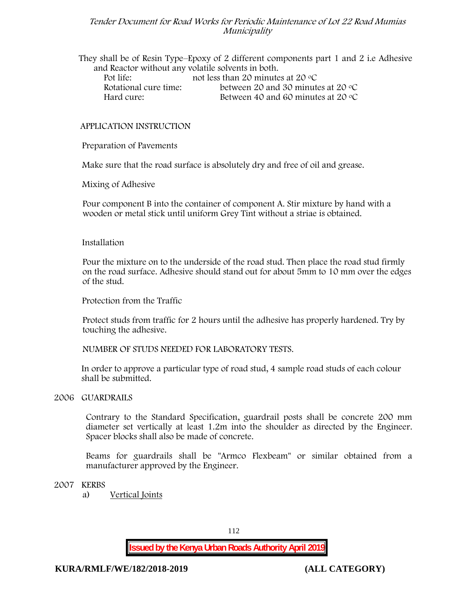They shall be of Resin Type–Epoxy of 2 different components part 1 and 2 i.e Adhesive and Reactor without any volatile solvents in both. Pot life: not less than 20 minutes at 20 °C Rotational cure time: between 20 and 30 minutes at 20 °C Hard cure: Between 40 and 60 minutes at 20 °C

#### **APPLICATION INSTRUCTION**

**Preparation of Pavements**

Make sure that the road surface is absolutely dry and free of oil and grease**.**

**Mixing of Adhesive**

Pour component B into the container of component A. Stir mixture by hand with a wooden or metal stick until uniform Grey Tint without a striae is obtained.

#### **Installation**

Pour the mixture on to the underside of the road stud. Then place the road stud firmly on the road surface. Adhesive should stand out for about 5mm to 10 mm over the edges of the stud.

**Protection from the Traffic**

Protect studs from traffic for 2 hours until the adhesive has properly hardened. Try by touching the adhesive.

**NUMBER OF STUDS NEEDED FOR LABORATORY TESTS.**

In order to approve a particular type of road stud, 4 sample road studs of each colour shall be submitted.

#### **2006 GUARDRAILS**

Contrary to the Standard Specification, guardrail posts shall be concrete 200 mm diameter set vertically at least 1.2m into the shoulder as directed by the Engineer. Spacer blocks shall also be made of concrete.

Beams for guardrails shall be "Armco Flexbeam" or similar obtained from a manufacturer approved by the Engineer.

**2007 KERBS**

a) **Vertical Joints**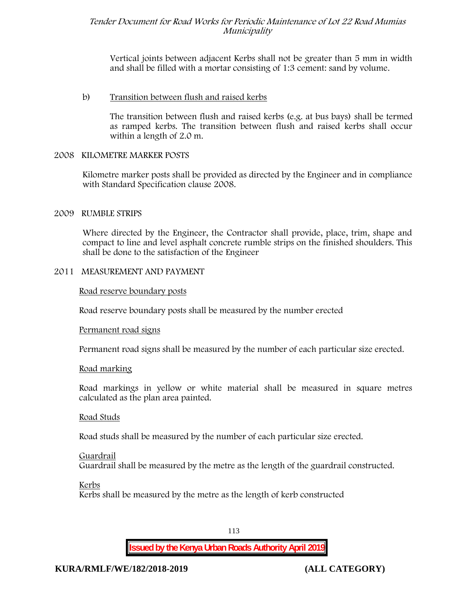Vertical joints between adjacent Kerbs shall not be greater than 5 mm in width and shall be filled with a mortar consisting of 1:3 cement: sand by volume.

### b) **Transition between flush and raised kerbs**

The transition between flush and raised kerbs (e.g. at bus bays) shall be termed as ramped kerbs. The transition between flush and raised kerbs shall occur within a length of 2.0 m.

### **2008 KILOMETRE MARKER POSTS**

Kilometre marker posts shall be provided as directed by the Engineer and in compliance with Standard Specification clause 2008.

### **2009 RUMBLE STRIPS**

Where directed by the Engineer, the Contractor shall provide, place, trim, shape and compact to line and level asphalt concrete rumble strips on the finished shoulders. This shall be done to the satisfaction of the Engineer

### **2011 MEASUREMENT AND PAYMENT**

**Road reserve boundary posts**

Road reserve boundary posts shall be measured by the number erected

#### **Permanent road signs**

Permanent road signs shall be measured by the number of each particular size erected.

#### **Road marking**

Road markings in yellow or white material shall be measured in square metres calculated as the plan area painted.

#### **Road Studs**

Road studs shall be measured by the number of each particular size erected.

#### **Guardrail**

Guardrail shall be measured by the metre as the length of the guardrail constructed.

#### **Kerbs**

Kerbs shall be measured by the metre as the length of kerb constructed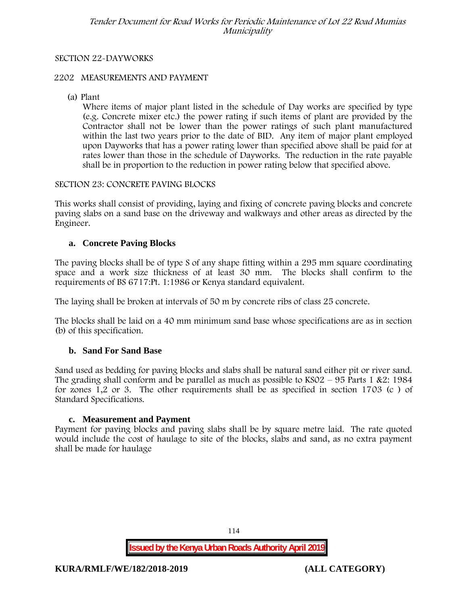### **SECTION 22-DAYWORKS**

#### **2202 MEASUREMENTS AND PAYMENT**

(a) Plant

Where items of major plant listed in the schedule of Day works are specified by type (e.g. Concrete mixer etc.) the power rating if such items of plant are provided by the Contractor shall not be lower than the power ratings of such plant manufactured within the last two years prior to the date of BID. Any item of major plant employed upon Dayworks that has a power rating lower than specified above shall be paid for at rates lower than those in the schedule of Dayworks. The reduction in the rate payable shall be in proportion to the reduction in power rating below that specified above.

#### **SECTION 23: CONCRETE PAVING BLOCKS**

This works shall consist of providing, laying and fixing of concrete paving blocks and concrete paving slabs on a sand base on the driveway and walkways and other areas as directed by the Engineer.

## **a. Concrete Paving Blocks**

The paving blocks shall be of type S of any shape fitting within a 295 mm square coordinating space and a work size thickness of at least 30 mm. The blocks shall confirm to the requirements of BS 6717:Pt. 1:1986 or Kenya standard equivalent.

The laying shall be broken at intervals of 50 m by concrete ribs of class 25 concrete.

The blocks shall be laid on a 40 mm minimum sand base whose specifications are as in section (b) of this specification.

## **b. Sand For Sand Base**

Sand used as bedding for paving blocks and slabs shall be natural sand either pit or river sand. The grading shall conform and be parallel as much as possible to  $KSO2 - 95$  Parts 1 &2: 1984 for zones 1,2 or 3. The other requirements shall be as specified in section 1703 (c ) of Standard Specifications.

#### **c. Measurement and Payment**

Payment for paving blocks and paving slabs shall be by square metre laid. The rate quoted would include the cost of haulage to site of the blocks, slabs and sand, as no extra payment shall be made for haulage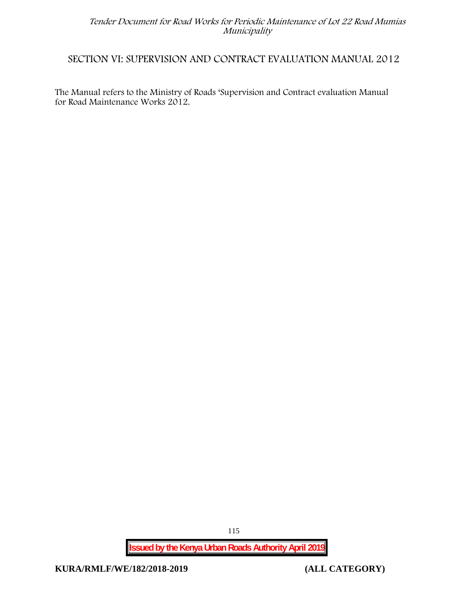## **SECTION VI: SUPERVISION AND CONTRACT EVALUATION MANUAL 2012**

The Manual refers to the Ministry of Roads 'Supervision and Contract evaluation Manual for Road Maintenance Works 2012.

**Issued by the Kenya Urban Roads Authority April 2019**

**KURA/RMLF/WE/182/2018-2019 (ALL CATEGORY)**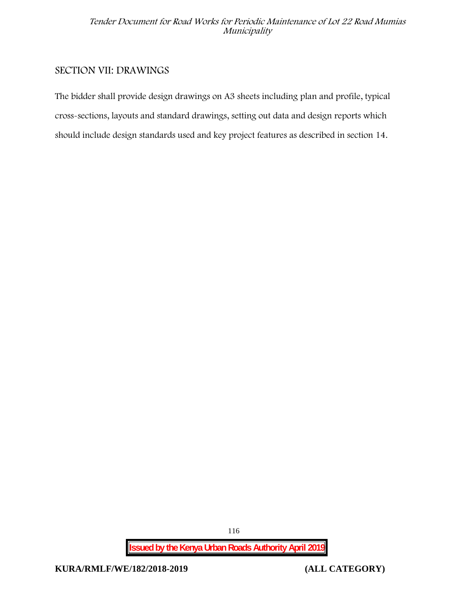## **SECTION VII: DRAWINGS**

The bidder shall provide design drawings on A3 sheets including plan and profile, typical cross-sections, layouts and standard drawings, setting out data and design reports which should include design standards used and key project features as described in section 14.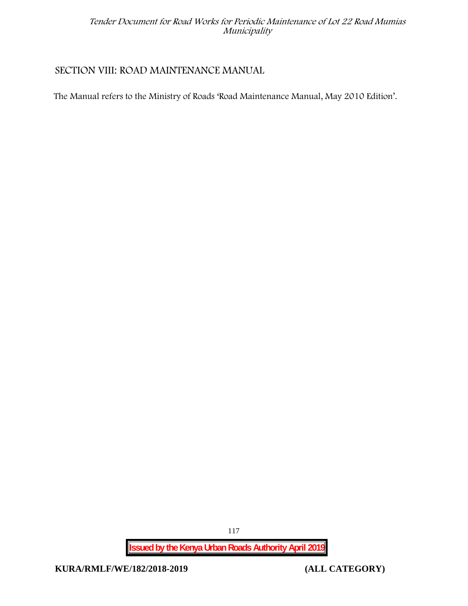## **SECTION VIII: ROAD MAINTENANCE MANUAL**

The Manual refers to the Ministry of Roads 'Road Maintenance Manual, May 2010 Edition'.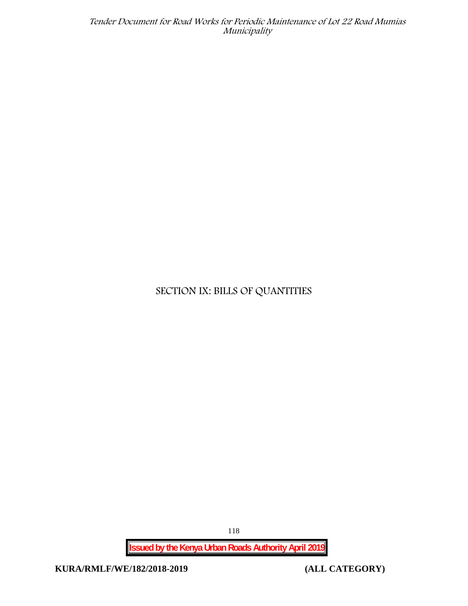## **SECTION IX: BILLS OF QUANTITIES**

118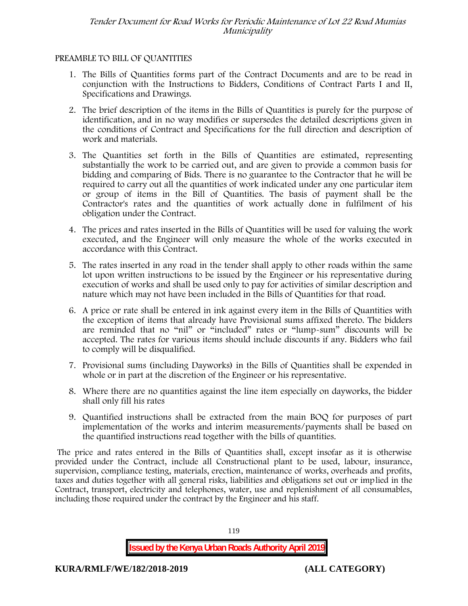## **PREAMBLE TO BILL OF QUANTITIES**

- 1. The Bills of Quantities forms part of the Contract Documents and are to be read in conjunction with the Instructions to Bidders, Conditions of Contract Parts I and II, Specifications and Drawings.
- 2. The brief description of the items in the Bills of Quantities is purely for the purpose of identification, and in no way modifies or supersedes the detailed descriptions given in the conditions of Contract and Specifications for the full direction and description of work and materials.
- 3. The Quantities set forth in the Bills of Quantities are estimated, representing substantially the work to be carried out, and are given to provide a common basis for bidding and comparing of Bids. There is no guarantee to the Contractor that he will be required to carry out all the quantities of work indicated under any one particular item or group of items in the Bill of Quantities. The basis of payment shall be the Contractor's rates and the quantities of work actually done in fulfilment of his obligation under the Contract.
- 4. The prices and rates inserted in the Bills of Quantities will be used for valuing the work executed, and the Engineer will only measure the whole of the works executed in accordance with this Contract.
- 5. The rates inserted in any road in the tender shall apply to other roads within the same lot upon written instructions to be issued by the Engineer or his representative during execution of works and shall be used only to pay for activities of similar description and nature which may not have been included in the Bills of Quantities for that road.
- 6. A price or rate shall be entered in ink against every item in the Bills of Quantities with the exception of items that already have Provisional sums affixed thereto. The bidders are reminded that no "nil" or "included" rates or "lump-sum" discounts will be accepted. The rates for various items should include discounts if any. Bidders who fail to comply will be disqualified.
- 7. Provisional sums (including Dayworks) in the Bills of Quantities shall be expended in whole or in part at the discretion of the Engineer or his representative.
- 8. Where there are no quantities against the line item especially on dayworks, the bidder shall only fill his rates
- 9. Quantified instructions shall be extracted from the main BOQ for purposes of part implementation of the works and interim measurements/payments shall be based on the quantified instructions read together with the bills of quantities.

The price and rates entered in the Bills of Quantities shall, except insofar as it is otherwise provided under the Contract, include all Constructional plant to be used, labour, insurance, supervision, compliance testing, materials, erection, maintenance of works, overheads and profits, taxes and duties together with all general risks, liabilities and obligations set out or implied in the Contract, transport, electricity and telephones, water, use and replenishment of all consumables, including those required under the contract by the Engineer and his staff.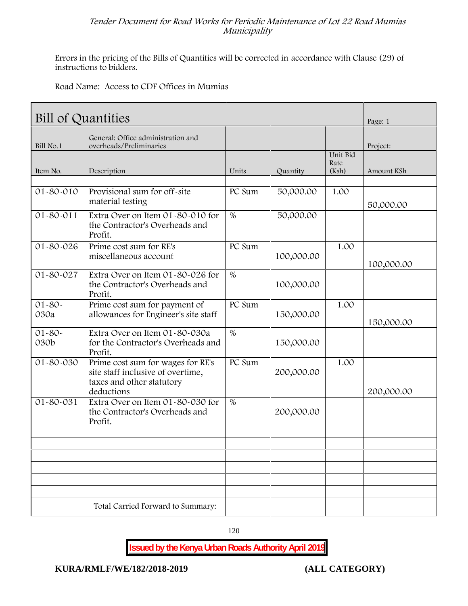Errors in the pricing of the Bills of Quantities will be corrected in accordance with Clause (29) of instructions to bidders.

**Road Name: Access to CDF Offices in Mumias**

| Bill of Quantities  | Page: 1                                                                                                           |        |            |                           |            |
|---------------------|-------------------------------------------------------------------------------------------------------------------|--------|------------|---------------------------|------------|
| Bill No.1           | General: Office administration and<br>overheads/Preliminaries                                                     |        |            |                           | Project:   |
| Item No.            | Description                                                                                                       | Units  | Quantity   | Unit Bid<br>Rate<br>(Ksh) | Amount KSh |
| 01-80-010           | Provisional sum for off-site<br>material testing                                                                  | PC Sum | 50,000.00  | 1.00                      | 50,000.00  |
| $01 - 80 - 011$     | Extra Over on Item 01-80-010 for<br>the Contractor's Overheads and<br>Profit.                                     | $\%$   | 50,000.00  |                           |            |
| 01-80-026           | Prime cost sum for RE's<br>miscellaneous account                                                                  | PC Sum | 100,000.00 | 1.00                      | 100,000.00 |
| 01-80-027           | Extra Over on Item 01-80-026 for<br>the Contractor's Overheads and<br>Profit.                                     | $\%$   | 100,000.00 |                           |            |
| $01 - 80 -$<br>030a | Prime cost sum for payment of<br>allowances for Engineer's site staff                                             | PC Sum | 150,000.00 | 1.00                      | 150,000.00 |
| $01 - 80 -$<br>030b | Extra Over on Item 01-80-030a<br>for the Contractor's Overheads and<br>Profit.                                    | $\%$   | 150,000.00 |                           |            |
| 01-80-030           | Prime cost sum for wages for RE's<br>site staff inclusive of overtime,<br>taxes and other statutory<br>deductions | PC Sum | 200,000.00 | 1.00                      | 200,000.00 |
| $01 - 80 - 031$     | Extra Over on Item 01-80-030 for<br>the Contractor's Overheads and<br>Profit.                                     | $\%$   | 200,000.00 |                           |            |
|                     |                                                                                                                   |        |            |                           |            |
|                     | Total Carried Forward to Summary:                                                                                 |        |            |                           |            |

120

**Issued by the Kenya Urban Roads Authority April 2019**

**KURA/RMLF/WE/182/2018-2019 (ALL CATEGORY)**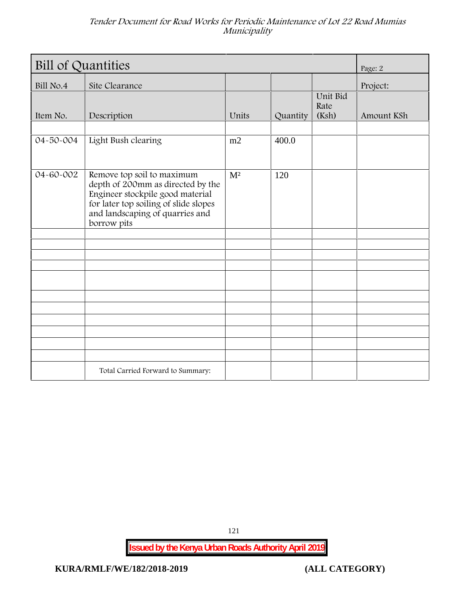| <b>Bill of Quantities</b> | Page: 2                                                                                                                                                                                        |                |          |                           |            |
|---------------------------|------------------------------------------------------------------------------------------------------------------------------------------------------------------------------------------------|----------------|----------|---------------------------|------------|
| Bill No.4                 | Site Clearance                                                                                                                                                                                 |                |          |                           | Project:   |
| Item No.                  | Description                                                                                                                                                                                    | Units          | Quantity | Unit Bid<br>Rate<br>(Ksh) | Amount KSh |
| 04-50-004                 | Light Bush clearing                                                                                                                                                                            | m2             | 400.0    |                           |            |
|                           |                                                                                                                                                                                                |                |          |                           |            |
| 04-60-002                 | Remove top soil to maximum<br>depth of 200mm as directed by the<br>Engineer stockpile good material<br>for later top soiling of slide slopes<br>and landscaping of quarries and<br>borrow pits | M <sup>2</sup> | 120      |                           |            |
|                           |                                                                                                                                                                                                |                |          |                           |            |
|                           |                                                                                                                                                                                                |                |          |                           |            |
|                           |                                                                                                                                                                                                |                |          |                           |            |
|                           |                                                                                                                                                                                                |                |          |                           |            |
|                           |                                                                                                                                                                                                |                |          |                           |            |
|                           |                                                                                                                                                                                                |                |          |                           |            |
|                           |                                                                                                                                                                                                |                |          |                           |            |
|                           |                                                                                                                                                                                                |                |          |                           |            |
|                           |                                                                                                                                                                                                |                |          |                           |            |
|                           | Total Carried Forward to Summary:                                                                                                                                                              |                |          |                           |            |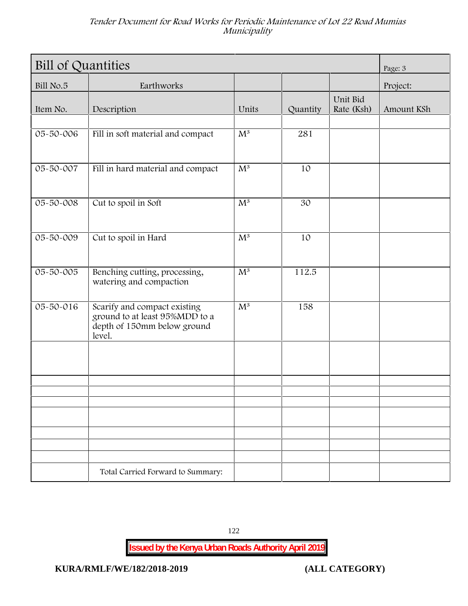| <b>Bill of Quantities</b> | Page: 3                                                                                                 |                  |          |                        |            |
|---------------------------|---------------------------------------------------------------------------------------------------------|------------------|----------|------------------------|------------|
| Bill No.5                 | Earthworks                                                                                              |                  |          |                        | Project:   |
| Item No.                  | Description                                                                                             | Units            | Quantity | Unit Bid<br>Rate (Ksh) | Amount KSh |
| 05-50-006                 | Fill in soft material and compact                                                                       | $\overline{M^3}$ | 281      |                        |            |
| 05-50-007                 | Fill in hard material and compact                                                                       | $\overline{M^3}$ | 10       |                        |            |
| 05-50-008                 | Cut to spoil in Soft                                                                                    | $M^3$            | 30       |                        |            |
| 05-50-009                 | Cut to spoil in Hard                                                                                    | $\overline{M^3}$ | 10       |                        |            |
| 05-50-005                 | Benching cutting, processing,<br>watering and compaction                                                | $M^3$            | 112.5    |                        |            |
| 05-50-016                 | Scarify and compact existing<br>ground to at least 95%MDD to a<br>depth of 150mm below ground<br>level. | $M^3$            | 158      |                        |            |
|                           |                                                                                                         |                  |          |                        |            |
|                           |                                                                                                         |                  |          |                        |            |
|                           |                                                                                                         |                  |          |                        |            |
|                           |                                                                                                         |                  |          |                        |            |
|                           |                                                                                                         |                  |          |                        |            |
|                           | Total Carried Forward to Summary:                                                                       |                  |          |                        |            |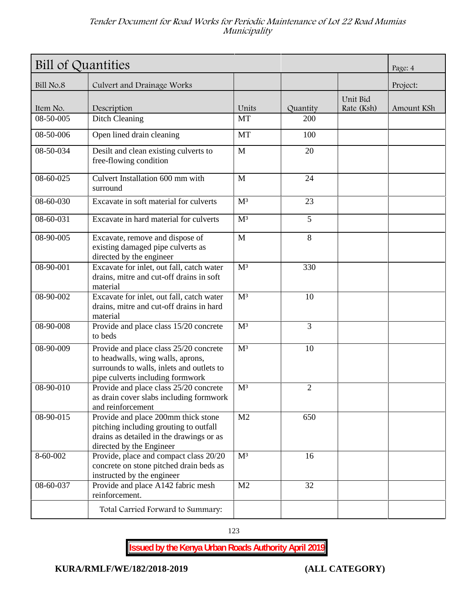| Bill of Quantities | Page: 4                                                                                                                                                      |                |                |                        |            |
|--------------------|--------------------------------------------------------------------------------------------------------------------------------------------------------------|----------------|----------------|------------------------|------------|
| Bill No.8          | Culvert and Drainage Works                                                                                                                                   |                |                |                        | Project:   |
| Item No.           | Description                                                                                                                                                  | Units          | Quantity       | Unit Bid<br>Rate (Ksh) | Amount KSh |
| 08-50-005          | Ditch Cleaning                                                                                                                                               | MT             | 200            |                        |            |
| 08-50-006          | Open lined drain cleaning                                                                                                                                    | MT             | 100            |                        |            |
| 08-50-034          | Desilt and clean existing culverts to<br>free-flowing condition                                                                                              | M              | 20             |                        |            |
| 08-60-025          | Culvert Installation 600 mm with<br>surround                                                                                                                 | M              | 24             |                        |            |
| 08-60-030          | Excavate in soft material for culverts                                                                                                                       | M <sup>3</sup> | 23             |                        |            |
| 08-60-031          | Excavate in hard material for culverts                                                                                                                       | M <sup>3</sup> | 5              |                        |            |
| 08-90-005          | Excavate, remove and dispose of<br>existing damaged pipe culverts as<br>directed by the engineer                                                             | M              | 8              |                        |            |
| 08-90-001          | Excavate for inlet, out fall, catch water<br>drains, mitre and cut-off drains in soft<br>material                                                            | M <sup>3</sup> | 330            |                        |            |
| 08-90-002          | Excavate for inlet, out fall, catch water<br>drains, mitre and cut-off drains in hard<br>material                                                            | M <sup>3</sup> | 10             |                        |            |
| 08-90-008          | Provide and place class 15/20 concrete<br>to beds                                                                                                            | M <sup>3</sup> | 3              |                        |            |
| 08-90-009          | Provide and place class 25/20 concrete<br>to headwalls, wing walls, aprons,<br>surrounds to walls, inlets and outlets to<br>pipe culverts including formwork | M <sup>3</sup> | 10             |                        |            |
| 08-90-010          | Provide and place class 25/20 concrete<br>as drain cover slabs including formwork<br>and reinforcement                                                       | M <sup>3</sup> | $\overline{2}$ |                        |            |
| 08-90-015          | Provide and place 200mm thick stone<br>pitching including grouting to outfall<br>drains as detailed in the drawings or as<br>directed by the Engineer        | M <sub>2</sub> | 650            |                        |            |
| 8-60-002           | Provide, place and compact class 20/20<br>concrete on stone pitched drain beds as<br>instructed by the engineer                                              | M <sup>3</sup> | 16             |                        |            |
| 08-60-037          | Provide and place A142 fabric mesh<br>reinforcement.                                                                                                         | M <sub>2</sub> | 32             |                        |            |
|                    | Total Carried Forward to Summary:                                                                                                                            |                |                |                        |            |

123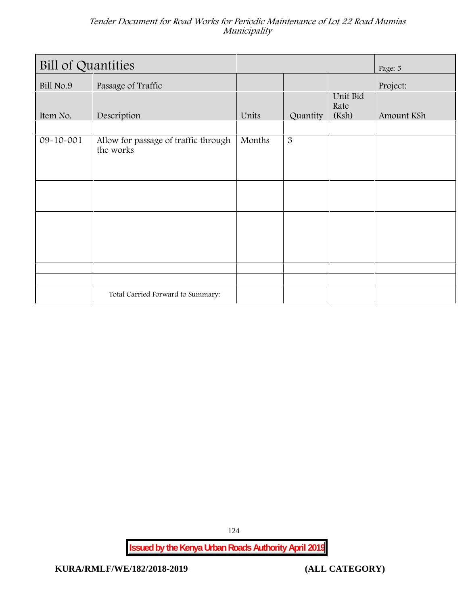| Bill of Quantities | Page: 5                                           |        |                |                           |            |
|--------------------|---------------------------------------------------|--------|----------------|---------------------------|------------|
| Bill No.9          | Passage of Traffic                                |        |                |                           | Project:   |
| Item No.           | Description                                       | Units  | Quantity       | Unit Bid<br>Rate<br>(Ksh) | Amount KSh |
| 09-10-001          | Allow for passage of traffic through<br>the works | Months | $\mathfrak{B}$ |                           |            |
|                    |                                                   |        |                |                           |            |
|                    |                                                   |        |                |                           |            |
|                    |                                                   |        |                |                           |            |
|                    | Total Carried Forward to Summary:                 |        |                |                           |            |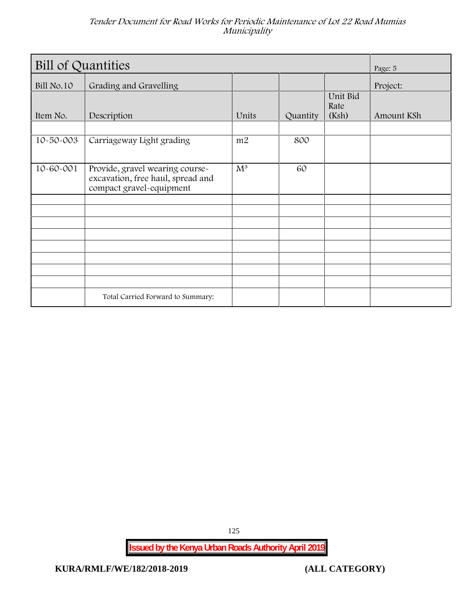| Bill of Quantities | Page: 5                                                                                          |                  |          |                           |            |
|--------------------|--------------------------------------------------------------------------------------------------|------------------|----------|---------------------------|------------|
| Bill No.10         | Grading and Gravelling                                                                           |                  |          |                           | Project:   |
| Item No.           | Description                                                                                      | Units            | Quantity | Unit Bid<br>Rate<br>(Ksh) | Amount KSh |
| 10-50-003          | Carriageway Light grading                                                                        | m2               | 800      |                           |            |
| 10-60-001          | Provide, gravel wearing course-<br>excavation, free haul, spread and<br>compact gravel-equipment | $\overline{M^3}$ | 60       |                           |            |
|                    |                                                                                                  |                  |          |                           |            |
|                    |                                                                                                  |                  |          |                           |            |
|                    |                                                                                                  |                  |          |                           |            |
|                    |                                                                                                  |                  |          |                           |            |
|                    | Total Carried Forward to Summary:                                                                |                  |          |                           |            |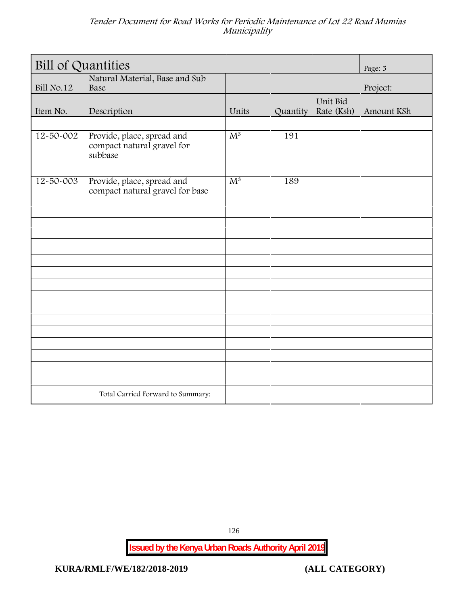| <b>Bill of Quantities</b> | Page: 5                                                             |                  |          |                        |            |
|---------------------------|---------------------------------------------------------------------|------------------|----------|------------------------|------------|
| Bill No.12                | Natural Material, Base and Sub<br>Base                              |                  |          |                        | Project:   |
| Item No.                  | Description                                                         | Units            | Quantity | Unit Bid<br>Rate (Ksh) | Amount KSh |
| 12-50-002                 | Provide, place, spread and<br>compact natural gravel for<br>subbase | $M^3$            | 191      |                        |            |
| 12-50-003                 | Provide, place, spread and<br>compact natural gravel for base       | $\overline{M^3}$ | 189      |                        |            |
|                           |                                                                     |                  |          |                        |            |
|                           |                                                                     |                  |          |                        |            |
|                           |                                                                     |                  |          |                        |            |
|                           |                                                                     |                  |          |                        |            |
|                           |                                                                     |                  |          |                        |            |
|                           |                                                                     |                  |          |                        |            |
|                           |                                                                     |                  |          |                        |            |
|                           |                                                                     |                  |          |                        |            |
|                           | Total Carried Forward to Summary:                                   |                  |          |                        |            |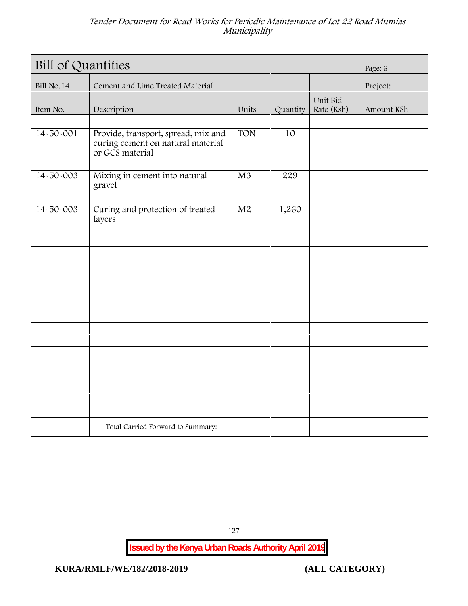| <b>Bill of Quantities</b> | Page: 6                                                                                     |                 |          |                        |            |
|---------------------------|---------------------------------------------------------------------------------------------|-----------------|----------|------------------------|------------|
| Bill No.14                | Cement and Lime Treated Material                                                            |                 |          |                        | Project:   |
| Item No.                  | Description                                                                                 | Units           | Quantity | Unit Bid<br>Rate (Ksh) | Amount KSh |
| 14-50-001                 | Provide, transport, spread, mix and<br>curing cement on natural material<br>or GCS material | <b>TON</b>      | 10       |                        |            |
| $14 - 50 - 003$           | Mixing in cement into natural<br>gravel                                                     | $\overline{M3}$ | 229      |                        |            |
| $14 - 50 - 003$           | Curing and protection of treated<br>layers                                                  | M <sub>2</sub>  | 1,260    |                        |            |
|                           |                                                                                             |                 |          |                        |            |
|                           |                                                                                             |                 |          |                        |            |
|                           |                                                                                             |                 |          |                        |            |
|                           |                                                                                             |                 |          |                        |            |
|                           |                                                                                             |                 |          |                        |            |
|                           |                                                                                             |                 |          |                        |            |
|                           |                                                                                             |                 |          |                        |            |
|                           |                                                                                             |                 |          |                        |            |
|                           |                                                                                             |                 |          |                        |            |
|                           |                                                                                             |                 |          |                        |            |
|                           |                                                                                             |                 |          |                        |            |
|                           | Total Carried Forward to Summary:                                                           |                 |          |                        |            |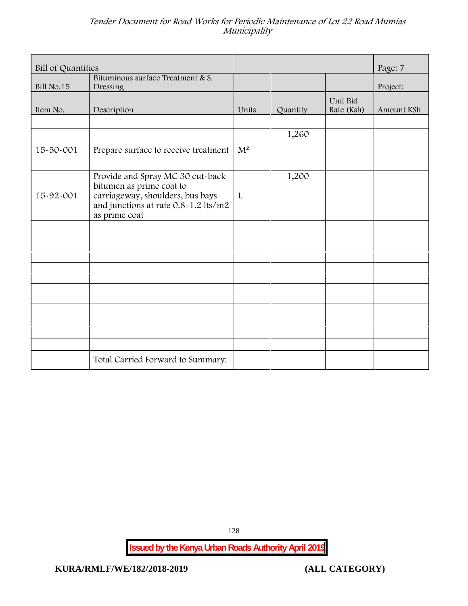| <b>Bill of Quantities</b> |                                                                                                                                                           |              |          |                        |            |  |
|---------------------------|-----------------------------------------------------------------------------------------------------------------------------------------------------------|--------------|----------|------------------------|------------|--|
| Bill No.15                | Bituminous surface Treatment & S.<br>Dressing                                                                                                             |              |          |                        | Project:   |  |
| Item No.                  | Description                                                                                                                                               | Units        | Quantity | Unit Bid<br>Rate (Ksh) | Amount KSh |  |
| 15-50-001                 | Prepare surface to receive treatment                                                                                                                      | $M^2$        | 1,260    |                        |            |  |
| 15-92-001                 | Provide and Spray MC 30 cut-back<br>bitumen as prime coat to<br>carriageway, shoulders, bus bays<br>and junctions at rate 0.8-1.2 lts/m2<br>as prime coat | $\mathbf{L}$ | 1,200    |                        |            |  |
|                           |                                                                                                                                                           |              |          |                        |            |  |
|                           |                                                                                                                                                           |              |          |                        |            |  |
|                           |                                                                                                                                                           |              |          |                        |            |  |
|                           |                                                                                                                                                           |              |          |                        |            |  |
|                           | Total Carried Forward to Summary:                                                                                                                         |              |          |                        |            |  |

128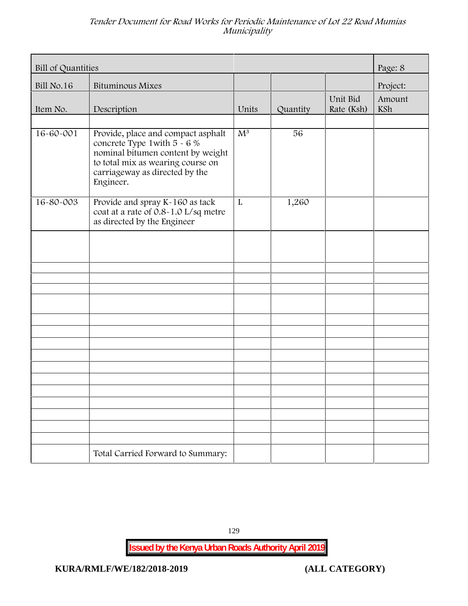| <b>Bill of Quantities</b> |                                                                                                                                                                                               |                  |          |                        |               |
|---------------------------|-----------------------------------------------------------------------------------------------------------------------------------------------------------------------------------------------|------------------|----------|------------------------|---------------|
| <b>Bill No.16</b>         | <b>Bituminous Mixes</b>                                                                                                                                                                       |                  |          |                        | Project:      |
| Item No.                  | Description                                                                                                                                                                                   | Units            | Quantity | Unit Bid<br>Rate (Ksh) | Amount<br>KSh |
| 16-60-001                 | Provide, place and compact asphalt<br>concrete Type 1 with $5 - 6 %$<br>nominal bitumen content by weight<br>to total mix as wearing course on<br>carriageway as directed by the<br>Engineer. | $\overline{M^3}$ | 56       |                        |               |
| $16 - 80 - 003$           | Provide and spray K-160 as tack<br>coat at a rate of 0.8-1.0 L/sq metre<br>as directed by the Engineer                                                                                        | L                | 1,260    |                        |               |
|                           |                                                                                                                                                                                               |                  |          |                        |               |
|                           |                                                                                                                                                                                               |                  |          |                        |               |
|                           |                                                                                                                                                                                               |                  |          |                        |               |
|                           |                                                                                                                                                                                               |                  |          |                        |               |
|                           |                                                                                                                                                                                               |                  |          |                        |               |
|                           |                                                                                                                                                                                               |                  |          |                        |               |
|                           |                                                                                                                                                                                               |                  |          |                        |               |
|                           | Total Carried Forward to Summary:                                                                                                                                                             |                  |          |                        |               |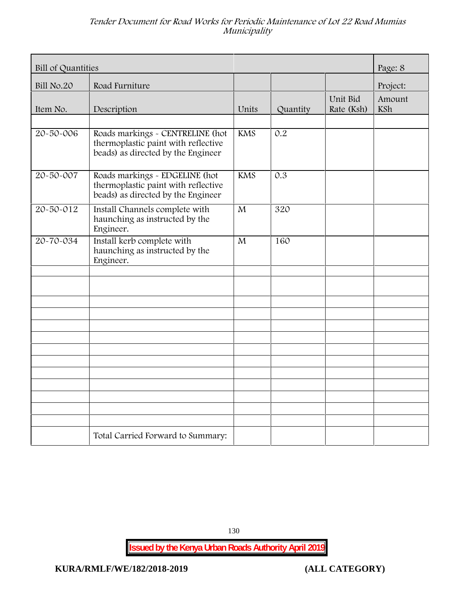| Bill of Quantities |                                                                                                               |              |                  |                        |               |
|--------------------|---------------------------------------------------------------------------------------------------------------|--------------|------------------|------------------------|---------------|
| Bill No.20         | Road Furniture                                                                                                |              |                  |                        | Project:      |
| Item No.           | Description                                                                                                   | Units        | Quantity         | Unit Bid<br>Rate (Ksh) | Amount<br>KSh |
| 20-50-006          | Roads markings - CENTRELINE (hot<br>thermoplastic paint with reflective<br>beads) as directed by the Engineer | <b>KMS</b>   | 0.2              |                        |               |
| 20-50-007          | Roads markings - EDGELINE (hot<br>thermoplastic paint with reflective<br>beads) as directed by the Engineer   | <b>KMS</b>   | $\overline{0.3}$ |                        |               |
| $20 - 50 - 012$    | Install Channels complete with<br>haunching as instructed by the<br>Engineer.                                 | $\mathbf{M}$ | 320              |                        |               |
| 20-70-034          | Install kerb complete with<br>haunching as instructed by the<br>Engineer.                                     | $\mathbf{M}$ | 160              |                        |               |
|                    |                                                                                                               |              |                  |                        |               |
|                    |                                                                                                               |              |                  |                        |               |
|                    |                                                                                                               |              |                  |                        |               |
|                    |                                                                                                               |              |                  |                        |               |
|                    |                                                                                                               |              |                  |                        |               |
|                    | Total Carried Forward to Summary:                                                                             |              |                  |                        |               |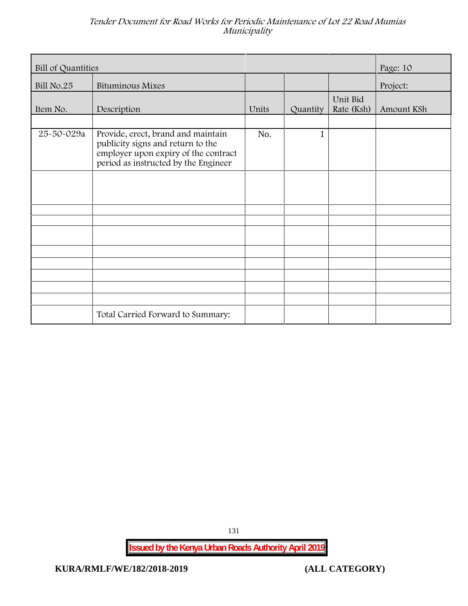| Bill of Quantities |                                                                                                                                                         |       |              |                        | Page: 10   |
|--------------------|---------------------------------------------------------------------------------------------------------------------------------------------------------|-------|--------------|------------------------|------------|
| Bill No.25         | <b>Bituminous Mixes</b>                                                                                                                                 |       |              |                        | Project:   |
| Item No.           | Description                                                                                                                                             | Units | Quantity     | Unit Bid<br>Rate (Ksh) | Amount KSh |
| 25-50-029a         | Provide, erect, brand and maintain<br>publicity signs and return to the<br>employer upon expiry of the contract<br>period as instructed by the Engineer | No.   | $\mathbf{1}$ |                        |            |
|                    |                                                                                                                                                         |       |              |                        |            |
|                    |                                                                                                                                                         |       |              |                        |            |
|                    |                                                                                                                                                         |       |              |                        |            |
|                    |                                                                                                                                                         |       |              |                        |            |
|                    |                                                                                                                                                         |       |              |                        |            |
|                    | Total Carried Forward to Summary:                                                                                                                       |       |              |                        |            |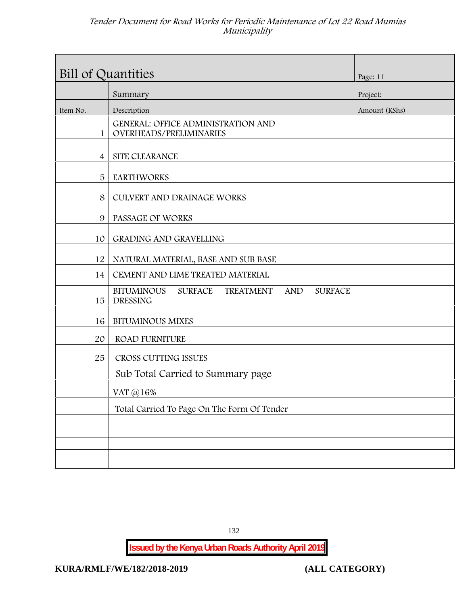| Bill of Quantities |                                                                                                            | Page: 11      |
|--------------------|------------------------------------------------------------------------------------------------------------|---------------|
|                    | Summary                                                                                                    | Project:      |
| Item No.           | Description                                                                                                | Amount (KShs) |
| $\mathbf{1}$       | <b>GENERAL: OFFICE ADMINISTRATION AND</b><br><b>OVERHEADS/PRELIMINARIES</b>                                |               |
| $\overline{4}$     | SITE CLEARANCE                                                                                             |               |
| 5                  | <b>EARTHWORKS</b>                                                                                          |               |
| 8                  | CULVERT AND DRAINAGE WORKS                                                                                 |               |
| 9                  | PASSAGE OF WORKS                                                                                           |               |
| 10                 | <b>GRADING AND GRAVELLING</b>                                                                              |               |
| 12                 | NATURAL MATERIAL, BASE AND SUB BASE                                                                        |               |
| 14                 | CEMENT AND LIME TREATED MATERIAL                                                                           |               |
| 15                 | <b>SURFACE</b><br><b>BITUMINOUS</b><br><b>TREATMENT</b><br><b>AND</b><br><b>SURFACE</b><br><b>DRESSING</b> |               |
| 16                 | <b>BITUMINOUS MIXES</b>                                                                                    |               |
| 20                 | <b>ROAD FURNITURE</b>                                                                                      |               |
| 25                 | CROSS CUTTING ISSUES                                                                                       |               |
|                    | Sub Total Carried to Summary page                                                                          |               |
|                    | VAT @16%                                                                                                   |               |
|                    | Total Carried To Page On The Form Of Tender                                                                |               |
|                    |                                                                                                            |               |
|                    |                                                                                                            |               |
|                    |                                                                                                            |               |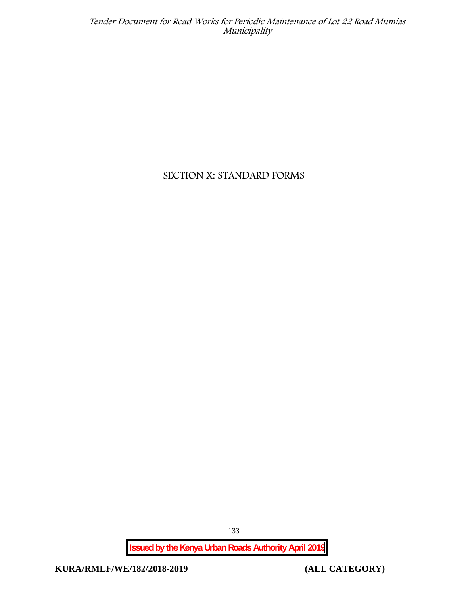## **SECTION X: STANDARD FORMS**

133

**Issued by the Kenya Urban Roads Authority April 2019**

**KURA/RMLF/WE/182/2018-2019 (ALL CATEGORY)**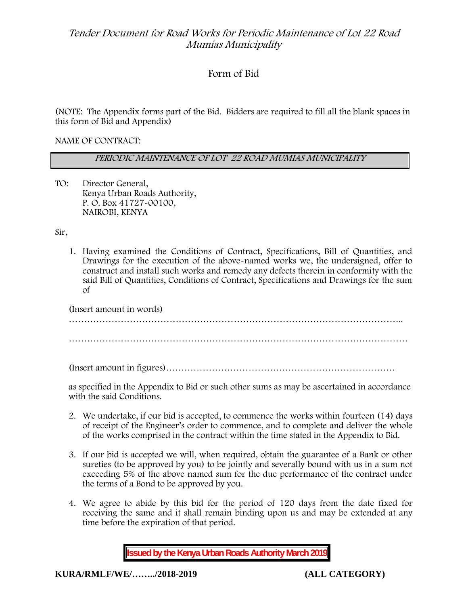## **Form of Bid**

(NOTE: The Appendix forms part of the Bid. Bidders are required to fill all the blank spaces in this form of Bid and Appendix)

**NAME OF CONTRACT:**

*PERIODIC MAINTENANCE OF LOT 22 ROAD MUMIAS MUNICIPALITY*

TO: Director General, Kenya Urban Roads Authority, P. O. Box 41727-00100, **NAIROBI, KENYA**

Sir,

1. Having examined the Conditions of Contract, Specifications, Bill of Quantities, and Drawings for the execution of the above-named works we, the undersigned, offer to construct and install such works and remedy any defects therein in conformity with the said Bill of Quantities, Conditions of Contract, Specifications and Drawings for the sum of

| (Insert amount in words) |  |
|--------------------------|--|
|                          |  |
|                          |  |
|                          |  |

(Insert amount in figures)…………………………………………………………………

as specified in the Appendix to Bid or such other sums as may be ascertained in accordance with the said Conditions.

- 2. We undertake, if our bid is accepted, to commence the works within fourteen (14) days of receipt of the Engineer's order to commence, and to complete and deliver the whole of the works comprised in the contract within the time stated in the Appendix to Bid.
- 3. If our bid is accepted we will, when required, obtain the guarantee of a Bank or other sureties (to be approved by you) to be jointly and severally bound with us in a sum not exceeding 5% of the above named sum for the due performance of the contract under the terms of a Bond to be approved by you.
- 4. We agree to abide by this bid for the period of 120 days from the date fixed for receiving the same and it shall remain binding upon us and may be extended at any time before the expiration of that period.

**Issued by the Kenya Urban Roads Authority March 2019**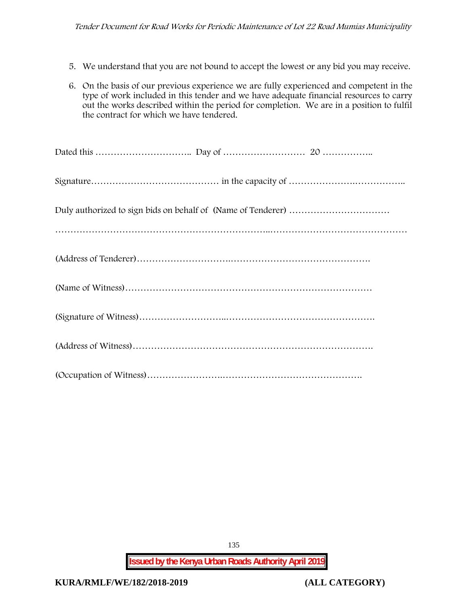- 5. We understand that you are not bound to accept the lowest or any bid you may receive.
- 6. On the basis of our previous experience we are fully experienced and competent in the type of work included in this tender and we have adequate financial resources to carry out the works described within the period for completion. We are in a position to fulfil the contract for which we have tendered.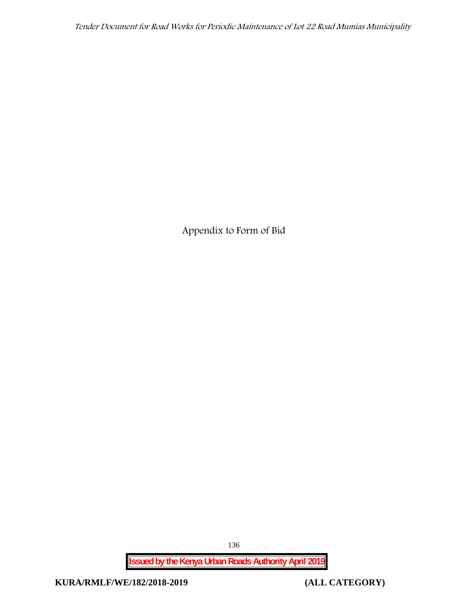**Appendix to Form of Bid**

**Issued by the Kenya Urban Roads Authority April 2019**

136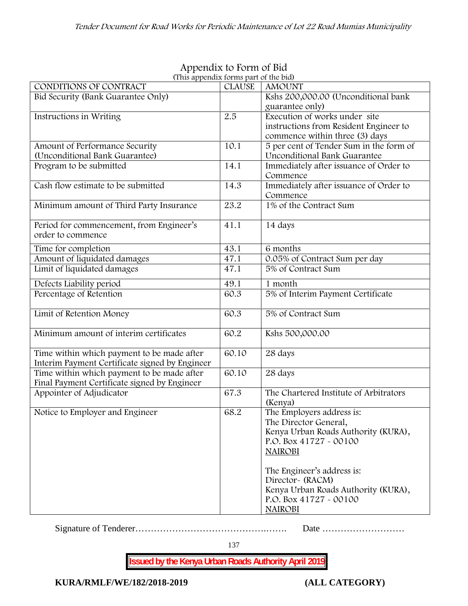| (This appendix forms part of the bid) |                                                                                                        |
|---------------------------------------|--------------------------------------------------------------------------------------------------------|
| <b>CLAUSE</b>                         | <b>AMOUNT</b>                                                                                          |
|                                       | Kshs 200,000.00 (Unconditional bank                                                                    |
|                                       | guarantee only)                                                                                        |
| 2.5                                   | Execution of works under site                                                                          |
|                                       | instructions from Resident Engineer to                                                                 |
|                                       | commence within three (3) days                                                                         |
|                                       | 5 per cent of Tender Sum in the form of                                                                |
|                                       | Unconditional Bank Guarantee                                                                           |
|                                       | Immediately after issuance of Order to                                                                 |
|                                       | Commence                                                                                               |
|                                       | Immediately after issuance of Order to                                                                 |
|                                       | Commence                                                                                               |
|                                       | 1% of the Contract Sum                                                                                 |
|                                       |                                                                                                        |
|                                       | 14 days                                                                                                |
|                                       |                                                                                                        |
| 43.1                                  | 6 months                                                                                               |
| 47.1                                  | 0.05% of Contract Sum per day                                                                          |
| 47.1                                  | 5% of Contract Sum                                                                                     |
|                                       | 1 month                                                                                                |
|                                       | 5% of Interim Payment Certificate                                                                      |
|                                       |                                                                                                        |
|                                       | 5% of Contract Sum                                                                                     |
|                                       |                                                                                                        |
|                                       | Kshs 500,000.00                                                                                        |
|                                       |                                                                                                        |
|                                       | 28 days                                                                                                |
|                                       |                                                                                                        |
|                                       | 28 days                                                                                                |
|                                       |                                                                                                        |
|                                       | The Chartered Institute of Arbitrators                                                                 |
|                                       | (Kenya)                                                                                                |
|                                       | The Employers address is:                                                                              |
|                                       | The Director General,                                                                                  |
|                                       | Kenya Urban Roads Authority (KURA),                                                                    |
|                                       | P.O. Box 41727 - 00100                                                                                 |
|                                       | <b>NAIROBI</b>                                                                                         |
|                                       |                                                                                                        |
|                                       | The Engineer's address is:                                                                             |
|                                       | Director~ (RACM)                                                                                       |
|                                       | Kenya Urban Roads Authority (KURA),                                                                    |
|                                       | P.O. Box 41727 - 00100                                                                                 |
|                                       | <b>NAIROBI</b>                                                                                         |
|                                       | 10.1<br>14.1<br>14.3<br>23.2<br>41.1<br>49.1<br>60.3<br>60.3<br>60.2<br>60.10<br>60.10<br>67.3<br>68.2 |

# **Appendix to Form of Bid**

Signature of Tenderer…………………………………….……. Date ………………………

137

**Issued by the Kenya Urban Roads Authority April 2019**

**KURA/RMLF/WE/182/2018-2019 (ALL CATEGORY)**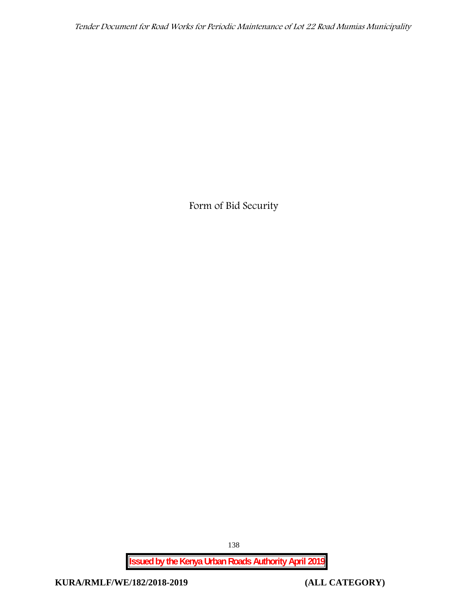**Form of Bid Security**

**Issued by the Kenya Urban Roads Authority April 2019**

138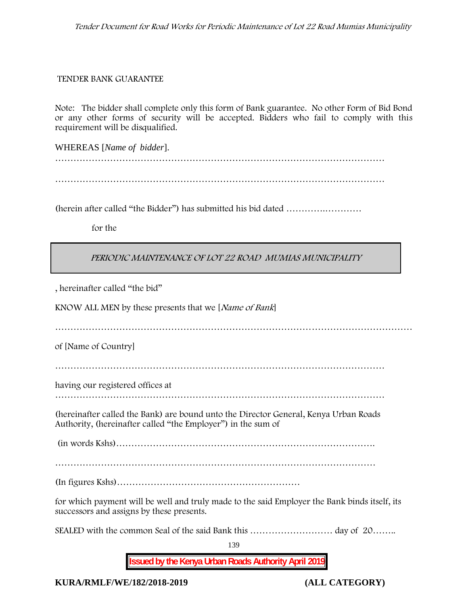#### **TENDER BANK GUARANTEE**

Note: The bidder shall complete only this form of Bank guarantee. No other Form of Bid Bond or any other forms of security will be accepted. Bidders who fail to comply with this requirement will be disqualified.

WHEREAS [*Name of bidder*]. ………………………………………………………………………………………………

………………………………………………………………………………………………

(herein after called "the Bidder") has submitted his bid dated ………….…………

**for the**

## *PERIODIC MAINTENANCE OF LOT 22 ROAD MUMIAS MUNICIPALITY*

, hereinafter called "the bid"

KNOW ALL MEN by these presents that we [*Name of Bank*]

………………………………………………………………………………………………………

of [Name of Country]

………………………………………………………………………………………………

having our registered offices at

………………………………………………………………………………………………

(hereinafter called the Bank) are bound unto the Director General, Kenya Urban Roads Authority, (hereinafter called "the Employer") in the sum of

(in words Kshs)………………………………………………………………………….

(In figures Kshs)……………………………………………………

for which payment will be well and truly made to the said Employer the Bank binds itself, its successors and assigns by these presents.

SEALED with the common Seal of the said Bank this ……………………… day of 20……..

139

**Issued by the Kenya Urban Roads Authority April 2019**

**KURA/RMLF/WE/182/2018-2019 (ALL CATEGORY)**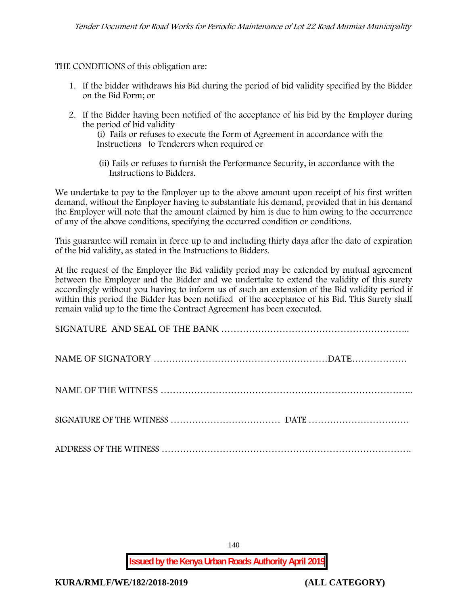THE CONDITIONS of this obligation are:

- 1. If the bidder withdraws his Bid during the period of bid validity specified by the Bidder on the Bid Form; or
- 2. If the Bidder having been notified of the acceptance of his bid by the Employer during the period of bid validity

(i) Fails or refuses to execute the Form of Agreement in accordance with the Instructions to Tenderers when required or

(ii) Fails or refuses to furnish the Performance Security, in accordance with the Instructions to Bidders.

We undertake to pay to the Employer up to the above amount upon receipt of his first written demand, without the Employer having to substantiate his demand, provided that in his demand the Employer will note that the amount claimed by him is due to him owing to the occurrence of any of the above conditions, specifying the occurred condition or conditions.

This guarantee will remain in force up to and including thirty days after the date of expiration of the bid validity, as stated in the Instructions to Bidders.

At the request of the Employer the Bid validity period may be extended by mutual agreement between the Employer and the Bidder and we undertake to extend the validity of this surety accordingly without you having to inform us of such an extension of the Bid validity period if within this period the Bidder has been notified of the acceptance of his Bid. This Surety shall remain valid up to the time the Contract Agreement has been executed.

140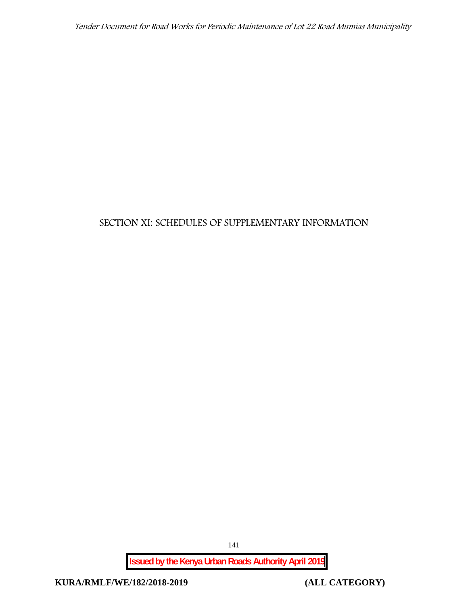## **SECTION XI: SCHEDULES OF SUPPLEMENTARY INFORMATION**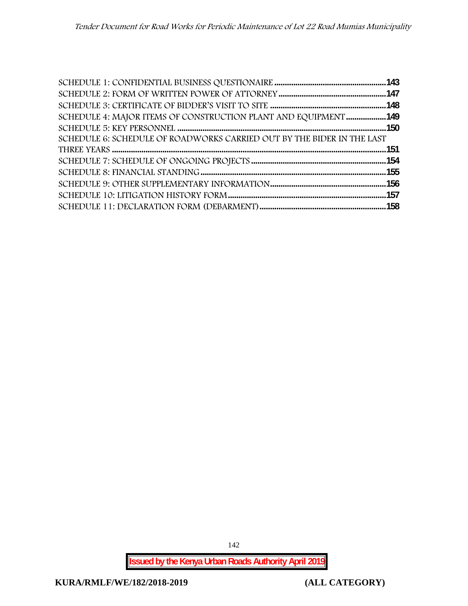| SCHEDULE 4: MAJOR ITEMS OF CONSTRUCTION PLANT AND EQUIPMENT 149        |  |
|------------------------------------------------------------------------|--|
|                                                                        |  |
| SCHEDULE 6: SCHEDULE OF ROADWORKS CARRIED OUT BY THE BIDER IN THE LAST |  |
|                                                                        |  |
|                                                                        |  |
|                                                                        |  |
|                                                                        |  |
|                                                                        |  |
|                                                                        |  |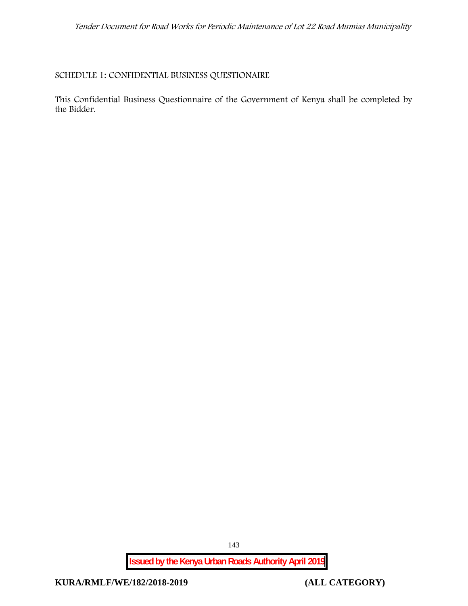## **SCHEDULE 1: CONFIDENTIAL BUSINESS QUESTIONAIRE**

This Confidential Business Questionnaire of the Government of Kenya shall be completed by the Bidder.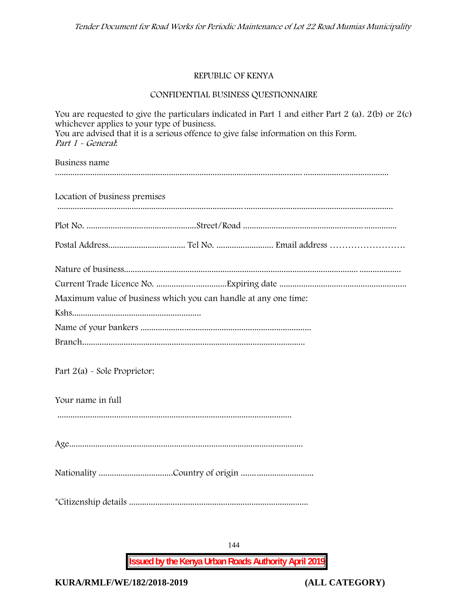## **REPUBLIC OF KENYA**

## **CONFIDENTIAL BUSINESS QUESTIONNAIRE**

| You are requested to give the particulars indicated in Part 1 and either Part 2 (a). $2(b)$ or $2(c)$<br>whichever applies to your type of business.<br>You are advised that it is a serious offence to give false information on this Form.<br>Part 1 - General. |  |  |  |  |
|-------------------------------------------------------------------------------------------------------------------------------------------------------------------------------------------------------------------------------------------------------------------|--|--|--|--|
| Business name                                                                                                                                                                                                                                                     |  |  |  |  |
| Location of business premises                                                                                                                                                                                                                                     |  |  |  |  |
|                                                                                                                                                                                                                                                                   |  |  |  |  |
|                                                                                                                                                                                                                                                                   |  |  |  |  |
| Maximum value of business which you can handle at any one time:<br>Part $2(a)$ - Sole Proprietor:<br>Your name in full                                                                                                                                            |  |  |  |  |
|                                                                                                                                                                                                                                                                   |  |  |  |  |
|                                                                                                                                                                                                                                                                   |  |  |  |  |

**Issued by the Kenya Urban Roads Authority April 2019**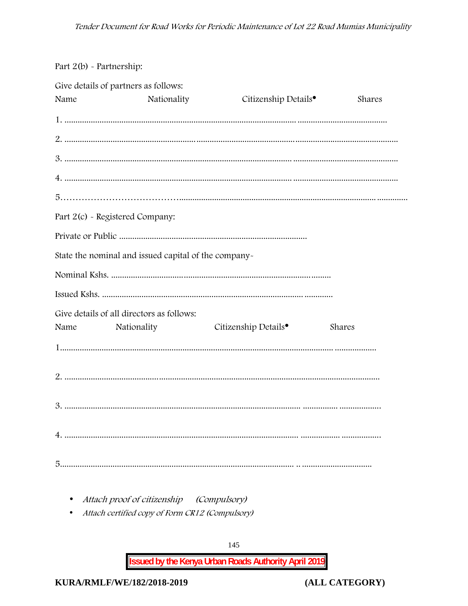## Part 2(b) - Partnership:

|      | Give details of partners as follows:                 |                                  |        |
|------|------------------------------------------------------|----------------------------------|--------|
| Name | Nationality                                          | Citizenship Details <sup>®</sup> | Shares |
|      |                                                      |                                  |        |
|      |                                                      |                                  |        |
|      |                                                      |                                  |        |
|      |                                                      |                                  |        |
|      |                                                      |                                  |        |
|      | Part 2(c) - Registered Company:                      |                                  |        |
|      |                                                      |                                  |        |
|      | State the nominal and issued capital of the company- |                                  |        |
|      |                                                      |                                  |        |
|      |                                                      |                                  |        |
|      | Give details of all directors as follows:            |                                  |        |
| Name | Nationality                                          | Citizenship Details <sup>•</sup> | Shares |
|      |                                                      |                                  |        |
|      |                                                      |                                  |        |
|      |                                                      |                                  |        |
|      |                                                      |                                  |        |
|      |                                                      |                                  |        |

- Attach proof of citizenship (Compulsory)
- Attach certified copy of Form CR12 (Compulsory)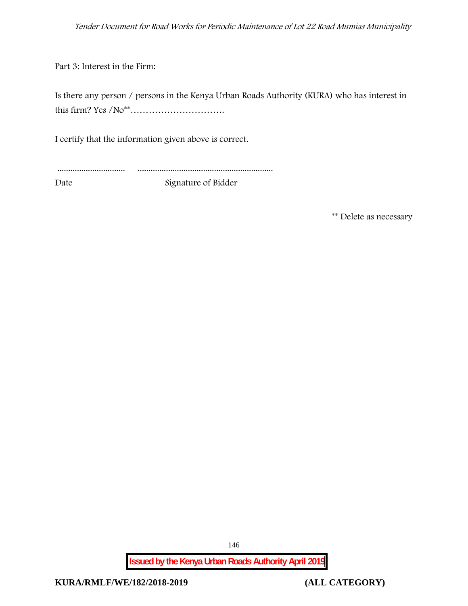Part 3: Interest in the Firm:

Is there any person / persons in the Kenya Urban Roads Authority (KURA) who has interest in this firm? Yes /No\*\*………………………….

I certify that the information given above is correct.

............................... ..............................................................

Date Signature of Bidder

**\*\* Delete as necessary**

**Issued by the Kenya Urban Roads Authority April 2019**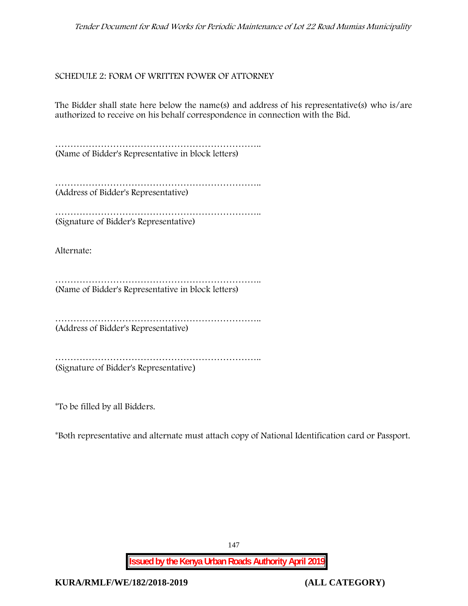*Tender Document for Road Works for Periodic Maintenance of Lot 22 Road Mumias Municipality*

## **SCHEDULE 2: FORM OF WRITTEN POWER OF ATTORNEY**

The Bidder shall state here below the name(s) and address of his representative(s) who is/are authorized to receive on his behalf correspondence in connection with the Bid.

………………………………………………………….. (Name of Bidder's Representative in block letters)

……………………………………………………………………… (Address of Bidder's Representative)

……………………………………………………………………… (Signature of Bidder's Representative)

Alternate:

………………………………………………………….. (Name of Bidder's Representative in block letters)

………………………………………………………….. (Address of Bidder's Representative)

………………………………………………………………………… (Signature of Bidder's Representative)

\*To be filled by all Bidders.

\*Both representative and alternate **must** attach copy of National Identification card or Passport.

147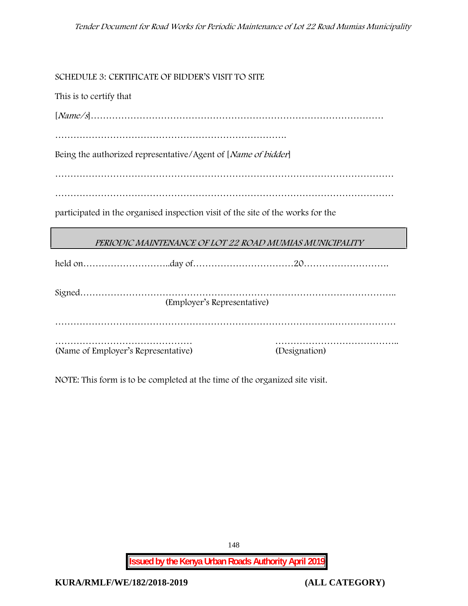## **SCHEDULE 3: CERTIFICATE OF BIDDER'S VISIT TO SITE**

This is to certify that

[*Name/s*]……………………………………………………………………………………

………………………………………………………………….

Being the authorized representative/Agent of [*Name of bidder*]

…………………………………………………………………………………………………

…………………………………………………………………………………………………

participated in the organised inspection visit of the site of the works for the

# *PERIODIC MAINTENANCE OF LOT 22 ROAD MUMIAS MUNICIPALITY*

|                                     | (Employer's Representative) |               |
|-------------------------------------|-----------------------------|---------------|
|                                     |                             |               |
| (Name of Employer's Representative) |                             | (Designation) |

NOTE: This form is to be completed at the time of the organized site visit.

**Issued by the Kenya Urban Roads Authority April 2019**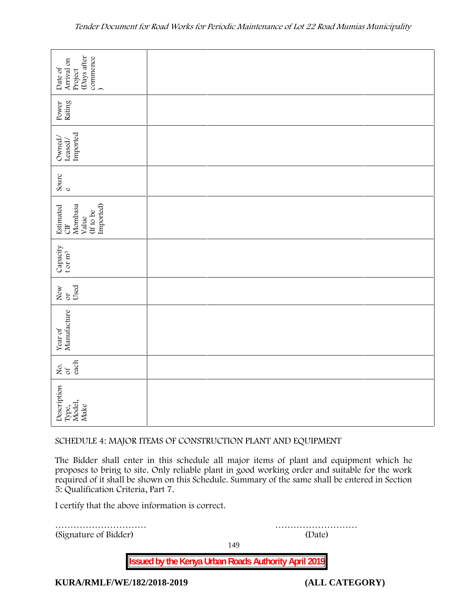| Days after<br>commence<br>)<br>Arrival on<br>Date of<br>Project |                                                                                                                                                                                                                                                                                              |
|-----------------------------------------------------------------|----------------------------------------------------------------------------------------------------------------------------------------------------------------------------------------------------------------------------------------------------------------------------------------------|
| Rating<br>Power                                                 |                                                                                                                                                                                                                                                                                              |
| Imported<br>Owned <sub>/</sub><br>Leased/                       |                                                                                                                                                                                                                                                                                              |
| Sourc<br>$\mathbf{o}$                                           |                                                                                                                                                                                                                                                                                              |
| Imported)<br>Estimated<br>Mombasa<br>(If to be<br>Value<br>5H   |                                                                                                                                                                                                                                                                                              |
| Capacity<br>$t$ or $m3$                                         |                                                                                                                                                                                                                                                                                              |
| Used<br>New<br>$\alpha$                                         |                                                                                                                                                                                                                                                                                              |
| Manufacture<br>Year of                                          |                                                                                                                                                                                                                                                                                              |
| each<br>Χo.<br>$\sigma$                                         |                                                                                                                                                                                                                                                                                              |
| Description<br>Type,<br>Model,<br>Make                          |                                                                                                                                                                                                                                                                                              |
|                                                                 | SCHEDULE 4: MAJOR ITEMS OF CONSTRUCTION PLANT AND EQUIPMENT                                                                                                                                                                                                                                  |
| 5: Qualification Criteria, Part 7.                              | The Bidder shall enter in this schedule all major items of plant and equipment which he<br>proposes to bring to site. Only reliable plant in good working order and suitable for the work<br>required of it shall be shown on this Schedule. Summary of the same shall be entered in Section |
| I certify that the above information is correct.                |                                                                                                                                                                                                                                                                                              |
| (Signature of Bidder)                                           | (Date)                                                                                                                                                                                                                                                                                       |

#### **SCHEDULE 4: MAJOR ITEMS OF CONSTRUCTION PLANT AND EQUIPMENT**

149

**Issued by the Kenya Urban Roads Authority April 2019**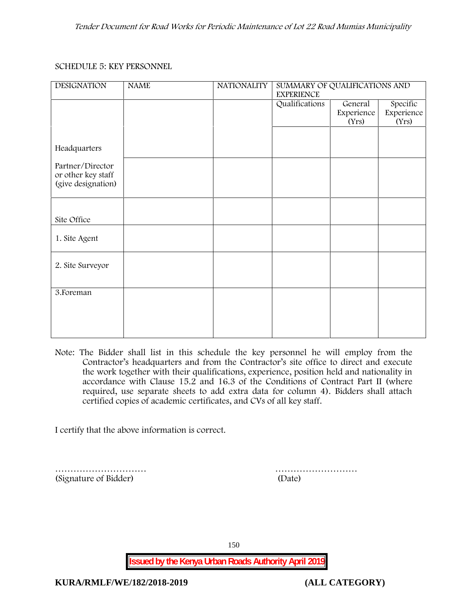## **SCHEDULE 5: KEY PERSONNEL**

| <b>DESIGNATION</b>                                           | <b>NAME</b> | <b>NATIONALITY</b> | SUMMARY OF QUALIFICATIONS AND<br><b>EXPERIENCE</b> |                                |                                 |
|--------------------------------------------------------------|-------------|--------------------|----------------------------------------------------|--------------------------------|---------------------------------|
|                                                              |             |                    | Qualifications                                     | General<br>Experience<br>(Yrs) | Specific<br>Experience<br>(Yrs) |
| Headquarters                                                 |             |                    |                                                    |                                |                                 |
| Partner/Director<br>or other key staff<br>(give designation) |             |                    |                                                    |                                |                                 |
|                                                              |             |                    |                                                    |                                |                                 |
| Site Office                                                  |             |                    |                                                    |                                |                                 |
| 1. Site Agent                                                |             |                    |                                                    |                                |                                 |
| 2. Site Surveyor                                             |             |                    |                                                    |                                |                                 |
| 3. Foreman                                                   |             |                    |                                                    |                                |                                 |
|                                                              |             |                    |                                                    |                                |                                 |

**Note:** The Bidder shall list in this schedule the key personnel he will employ from the Contractor's headquarters and from the Contractor's site office to direct and execute the work together with their qualifications, experience, position held and nationality in accordance with Clause 15.2 and 16.3 of the Conditions of Contract Part II (where required, use separate sheets to add extra data for column 4). Bidders shall attach certified copies of academic certificates, and CVs of all key staff.

I certify that the above information is correct.

(Signature of Bidder) (Date)

………………………… ………………………

150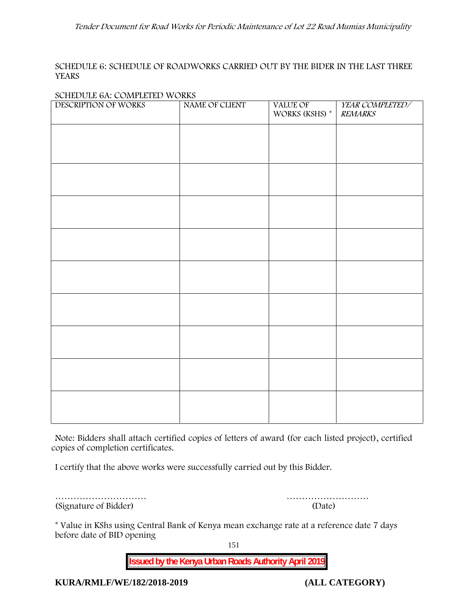#### **SCHEDULE 6: SCHEDULE OF ROADWORKS CARRIED OUT BY THE BIDER IN THE LAST THREE YEARS**

#### **SCHEDULE 6A: COMPLETED WORKS**

| DESCRIPTION OF WORKS | NAME OF CLIENT | VALUE OF<br>WORKS (KSHS) * | YEAR COMPLETED/<br><b>REMARKS</b> |
|----------------------|----------------|----------------------------|-----------------------------------|
|                      |                |                            |                                   |
|                      |                |                            |                                   |
|                      |                |                            |                                   |
|                      |                |                            |                                   |
|                      |                |                            |                                   |
|                      |                |                            |                                   |
|                      |                |                            |                                   |
|                      |                |                            |                                   |
|                      |                |                            |                                   |
|                      |                |                            |                                   |
|                      |                |                            |                                   |
|                      |                |                            |                                   |
|                      |                |                            |                                   |
|                      |                |                            |                                   |

**Note:** Bidders shall attach certified copies of letters of award (for each listed project), certified copies of completion certificates.

I certify that the above works were successfully carried out by this Bidder.

………………………… ……………………… (Signature of Bidder) (Date)

\* **Value in KShs using Central Bank of Kenya mean exchange rate at a reference date 7 days before date of BID opening**

151

**Issued by the Kenya Urban Roads Authority April 2019**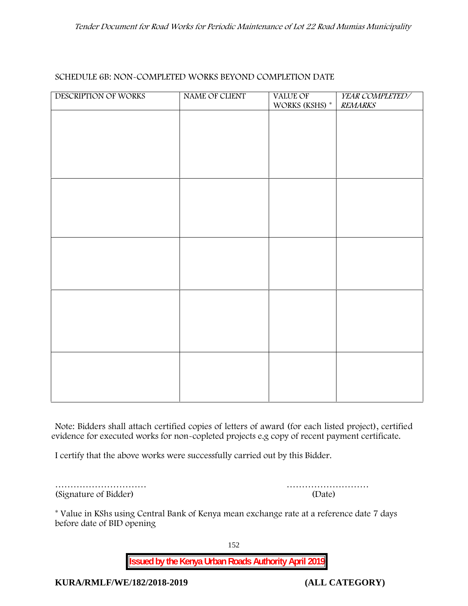| WORKS (KSHS) $^\ast$ | <b>REMARKS</b> |
|----------------------|----------------|
|                      |                |
|                      |                |
|                      |                |
|                      |                |
|                      |                |
|                      |                |
|                      |                |
|                      |                |
|                      |                |
|                      |                |
|                      |                |
|                      |                |
|                      |                |
|                      |                |
|                      |                |
|                      |                |
|                      |                |

**Note:** Bidders shall attach certified copies of letters of award (for each listed project), certified evidence for executed works for non-copleted projects e.g copy of recent payment certificate.

I certify that the above works were successfully carried out by this Bidder.

(Signature of Bidder) (Date)

………………………… ………………………

\* **Value in KShs using Central Bank of Kenya mean exchange rate at a reference date 7 days before date of BID opening**

152

**Issued by the Kenya Urban Roads Authority April 2019**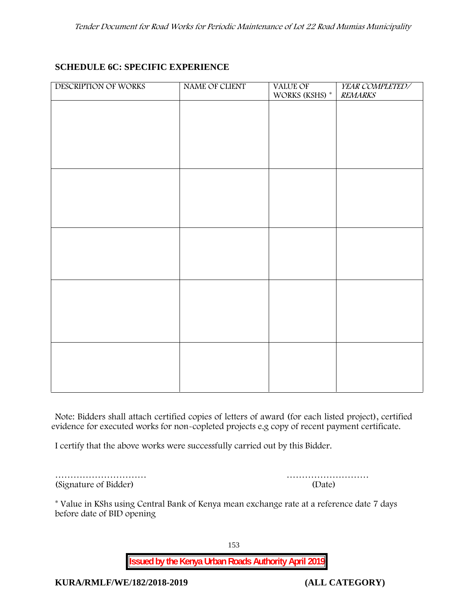## **SCHEDULE 6C: SPECIFIC EXPERIENCE**

| DESCRIPTION OF WORKS | NAME OF CLIENT | VALUE OF<br>WORKS (KSHS) * | YEAR COMPLETED/<br><b>REMARKS</b> |
|----------------------|----------------|----------------------------|-----------------------------------|
|                      |                |                            |                                   |
|                      |                |                            |                                   |
|                      |                |                            |                                   |
|                      |                |                            |                                   |
|                      |                |                            |                                   |
|                      |                |                            |                                   |
|                      |                |                            |                                   |
|                      |                |                            |                                   |
|                      |                |                            |                                   |
|                      |                |                            |                                   |
|                      |                |                            |                                   |
|                      |                |                            |                                   |
|                      |                |                            |                                   |
|                      |                |                            |                                   |
|                      |                |                            |                                   |
|                      |                |                            |                                   |

**Note:** Bidders shall attach certified copies of letters of award (for each listed project), certified evidence for executed works for non-copleted projects e.g copy of recent payment certificate.

I certify that the above works were successfully carried out by this Bidder.

| (Signature of Bidder) | (Date) |
|-----------------------|--------|

………………………… ………………………

\* **Value in KShs using Central Bank of Kenya mean exchange rate at a reference date 7 days before date of BID opening**

153

**Issued by the Kenya Urban Roads Authority April 2019**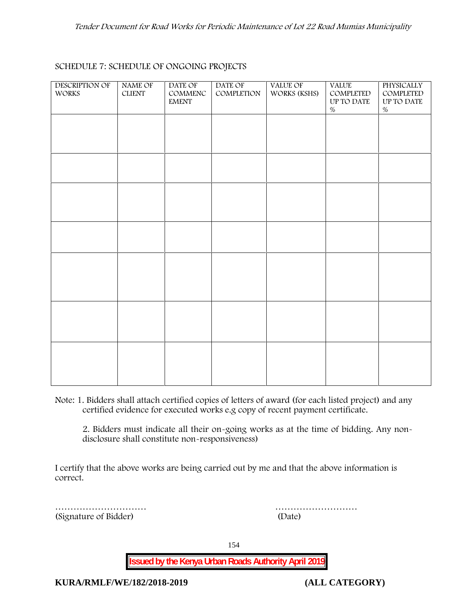## **SCHEDULE 7: SCHEDULE OF ONGOING PROJECTS**

| DESCRIPTION OF<br><b>WORKS</b> | <b>NAME OF</b><br><b>CLIENT</b> | DATE OF<br>COMMENC<br><b>EMENT</b> | DATE OF<br>COMPLETION | <b>VALUE OF</b><br>WORKS (KSHS) | <b>VALUE</b><br>COMPLETED<br>UP TO DATE<br>$\%$ | PHYSICALLY<br>COMPLETED<br>UP TO DATE<br>$\%$ |  |
|--------------------------------|---------------------------------|------------------------------------|-----------------------|---------------------------------|-------------------------------------------------|-----------------------------------------------|--|
|                                |                                 |                                    |                       |                                 |                                                 |                                               |  |
|                                |                                 |                                    |                       |                                 |                                                 |                                               |  |
|                                |                                 |                                    |                       |                                 |                                                 |                                               |  |
|                                |                                 |                                    |                       |                                 |                                                 |                                               |  |
|                                |                                 |                                    |                       |                                 |                                                 |                                               |  |
|                                |                                 |                                    |                       |                                 |                                                 |                                               |  |
|                                |                                 |                                    |                       |                                 |                                                 |                                               |  |
|                                |                                 |                                    |                       |                                 |                                                 |                                               |  |

**Note:** 1. Bidders shall attach certified copies of letters of award (for each listed project) and any certified evidence for executed works e.g copy of recent payment certificate.

2. Bidders must indicate all their on-going works as at the time of bidding. Any non disclosure shall constitute non-responsiveness)

I certify that the above works are being carried out by me and that the above information is correct.

(Signature of Bidder) (Date)

………………………… ………………………

154

**Issued by the Kenya Urban Roads Authority April 2019**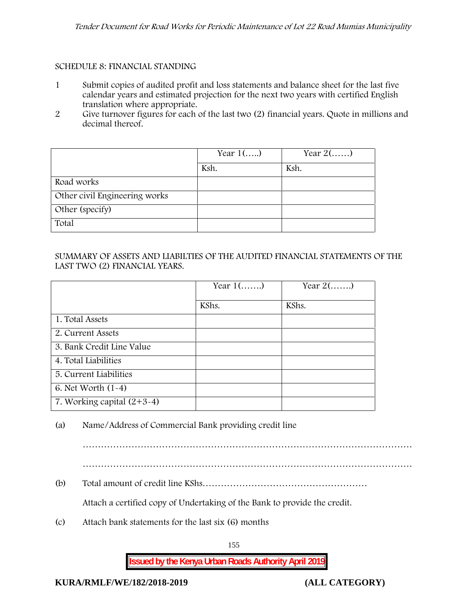## **SCHEDULE 8: FINANCIAL STANDING**

- 1 Submit copies of audited profit and loss statements and balance sheet for the last five calendar years and estimated projection for the next two years with certified English translation where appropriate.
- 2 Give turnover figures for each of the last two (2) financial years. Quote in millions and decimal thereof.

|                               | Year $1()$ | Year $2(\ldots)$ |
|-------------------------------|------------|------------------|
|                               | Ksh.       | Ksh.             |
| Road works                    |            |                  |
| Other civil Engineering works |            |                  |
| Other (specify)               |            |                  |
| Total                         |            |                  |

## SUMMARY OF ASSETS AND LIABILTIES OF THE AUDITED FINANCIAL STATEMENTS OF THE LAST TWO (2) FINANCIAL YEARS.

|                              | Year $1$ () | Year $2(\ldots)$ |
|------------------------------|-------------|------------------|
|                              | KShs.       | KShs.            |
| 1. Total Assets              |             |                  |
| 2. Current Assets            |             |                  |
| 3. Bank Credit Line Value    |             |                  |
| 4. Total Liabilities         |             |                  |
| 5. Current Liabilities       |             |                  |
| 6. Net Worth $(1-4)$         |             |                  |
| 7. Working capital $(2+3-4)$ |             |                  |

(a) Name/Address of Commercial Bank providing credit line

………………………………………………………………………………………………

………………………………………………………………………………………………

(b) Total amount of credit line KShs………………………………………………

Attach a certified copy of Undertaking of the Bank to provide the credit.

(c) Attach bank statements for the last six (6) months

155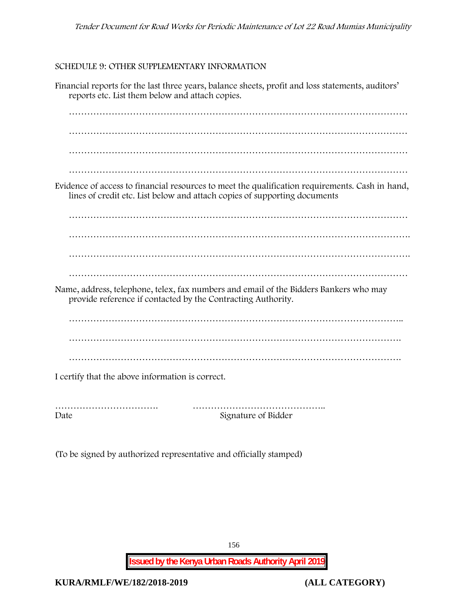## **SCHEDULE 9: OTHER SUPPLEMENTARY INFORMATION**

Financial reports for the last three years, balance sheets, profit and loss statements, auditors' reports etc. List them below and attach copies. ………………………………………………………………………………………………… ………………………………………………………………………………………………… ………………………………………………………………………………………………… ………………………………………………………………………………………………… Evidence of access to financial resources to meet the qualification requirements. Cash in hand, lines of credit etc. List below and attach copies of supporting documents ………………………………………………………………………………………………… …………………………………………………………………………………………………. …………………………………………………………………………………………………. Name, address, telephone, telex, fax numbers and email of the Bidders Bankers who may provide reference if contacted by the Contracting Authority. ……………………………………………………………………………………………….. ………………………………………………………………………………………………. ………………………………………………………………………………………………. I certify that the above information is correct. ……………………………. ……………………………………..

Date Signature of Bidder

(To be signed by authorized representative and officially stamped)

156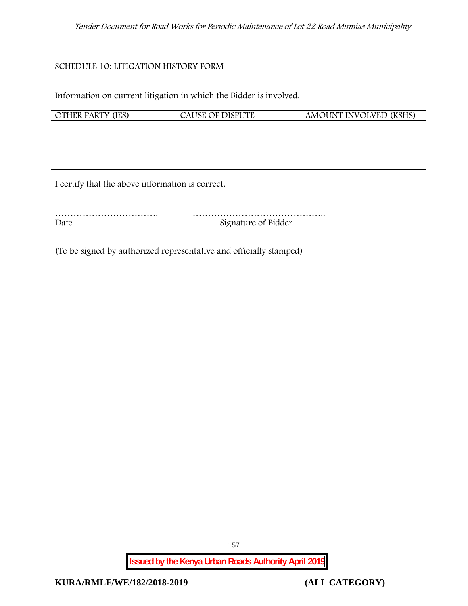#### **SCHEDULE 10: LITIGATION HISTORY FORM**

Information on current litigation in which the Bidder is involved.

| <b>OTHER PARTY (IES)</b> | CAUSE OF DISPUTE | AMOUNT INVOLVED (KSHS) |
|--------------------------|------------------|------------------------|
|                          |                  |                        |
|                          |                  |                        |
|                          |                  |                        |
|                          |                  |                        |

I certify that the above information is correct.

| Date | Signature of Bidder |
|------|---------------------|

(To be signed by authorized representative and officially stamped)

**Issued by the Kenya Urban Roads Authority April 2019**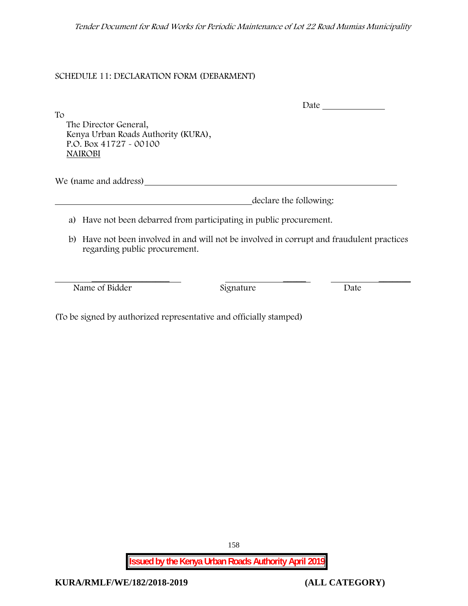*Tender Document for Road Works for Periodic Maintenance of Lot 22 Road Mumias Municipality*

## **SCHEDULE 11: DECLARATION FORM (DEBARMENT)**

To

Date

The Director General, Kenya Urban Roads Authority (KURA), P.O. Box 41727 - 00100 **NAIROBI**

We (name and address)

declare the following:

- a) Have not been debarred from participating in public procurement.
- b) Have not been involved in and will not be involved in corrupt and fraudulent practices regarding public procurement.

Name of Bidder Signature Date

 $\frac{1}{\sqrt{2}}$  ,  $\frac{1}{\sqrt{2}}$  ,  $\frac{1}{\sqrt{2}}$  ,  $\frac{1}{\sqrt{2}}$  ,  $\frac{1}{\sqrt{2}}$  ,  $\frac{1}{\sqrt{2}}$  ,  $\frac{1}{\sqrt{2}}$  ,  $\frac{1}{\sqrt{2}}$  ,  $\frac{1}{\sqrt{2}}$  ,  $\frac{1}{\sqrt{2}}$  ,  $\frac{1}{\sqrt{2}}$  ,  $\frac{1}{\sqrt{2}}$  ,  $\frac{1}{\sqrt{2}}$  ,  $\frac{1}{\sqrt{2}}$  ,  $\frac{1}{\sqrt{2}}$ 

(To be signed by authorized representative and officially stamped)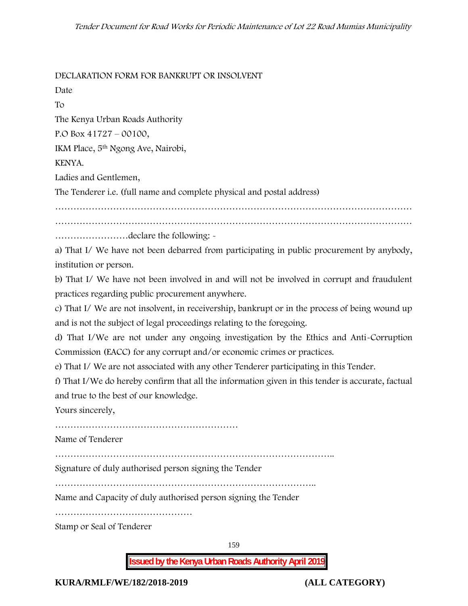**DECLARATION FORM FOR BANKRUPT OR INSOLVENT**

Date

To

The Kenya Urban Roads Authority

P.O Box 41727 – 00100,

IKM Place, 5th Ngong Ave, Nairobi,

## KENYA.

Ladies and Gentlemen,

The Tenderer i.e. (full name and complete physical and postal address)

……………………………………………………………………………………………………… ………………………………………………………………………………………………………

……………………declare the following: -

a) That I/ We have not been debarred from participating in public procurement by anybody, institution or person.

b) That I/ We have not been involved in and will not be involved in corrupt and fraudulent practices regarding public procurement anywhere.

c) That I/ We are not insolvent, in receivership, bankrupt or in the process of being wound up and is not the subject of legal proceedings relating to the foregoing.

d) That I/We are not under any ongoing investigation by the Ethics and Anti-Corruption Commission (EACC) for any corrupt and/or economic crimes or practices.

e) That I/ We are not associated with any other Tenderer participating in this Tender.

f) That I/We do hereby confirm that all the information given in this tender is accurate, factual and true to the best of our knowledge.

Yours sincerely,

……………………………………………………

Name of Tenderer

………………………………………………………………………………..

Signature of duly authorised person signing the Tender

…………………………………………………………………………..

Name and Capacity of duly authorised person signing the Tender

………………………………………

Stamp or Seal of Tenderer

159

**Issued by the Kenya Urban Roads Authority April 2019**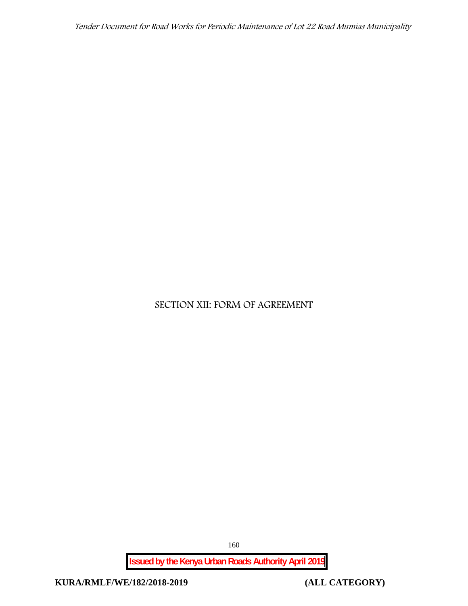# **SECTION XII: FORM OF AGREEMENT**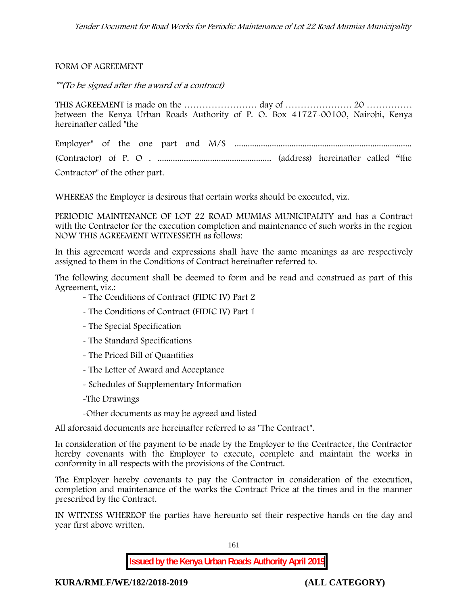#### FORM OF AGREEMENT

*\*\*(To be signed after the award of a contract)*

THIS AGREEMENT is made on the …………………… day of …………………. 20 …………… between the Kenya Urban Roads Authority of P. O. Box 41727-00100, Nairobi, Kenya hereinafter called "the

Employer" of the one part and M/S ................................................................................. (Contractor) of P. O . .................................................... (address) hereinafter called "the Contractor" of the other part.

WHEREAS the Employer is desirous that certain works should be executed, viz.

**PERIODIC MAINTENANCE OF LOT 22 ROAD MUMIAS MUNICIPALITY** and has a Contract with the Contractor for the execution completion and maintenance of such works in the region NOW THIS AGREEMENT WITNESSETH as follows:

In this agreement words and expressions shall have the same meanings as are respectively assigned to them in the Conditions of Contract hereinafter referred to.

The following document shall be deemed to form and be read and construed as part of this Agreement, viz.:

- The Conditions of Contract (FIDIC IV) Part 2
- The Conditions of Contract (FIDIC IV) Part 1
- The Special Specification
- The Standard Specifications
- The Priced Bill of Quantities
- The Letter of Award and Acceptance
- Schedules of Supplementary Information
- -The Drawings
- -Other documents as may be agreed and listed

All aforesaid documents are hereinafter referred to as "The Contract".

In consideration of the payment to be made by the Employer to the Contractor, the Contractor hereby covenants with the Employer to execute, complete and maintain the works in conformity in all respects with the provisions of the Contract.

The Employer hereby covenants to pay the Contractor in consideration of the execution, completion and maintenance of the works the Contract Price at the times and in the manner prescribed by the Contract.

IN WITNESS WHEREOF the parties have hereunto set their respective hands on the day and year first above written.

> **Issued by the Kenya Urban Roads Authority April 2019** 161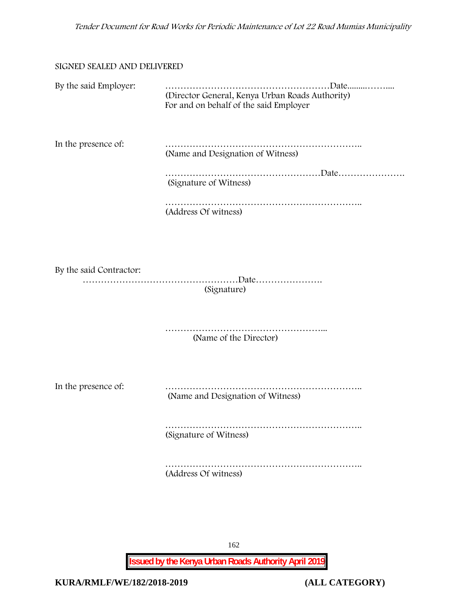#### SIGNED SEALED AND DELIVERED

| By the said Employer:   | (Director General, Kenya Urban Roads Authority)<br>For and on behalf of the said Employer |
|-------------------------|-------------------------------------------------------------------------------------------|
| In the presence of:     | (Name and Designation of Witness)                                                         |
|                         | (Signature of Witness)                                                                    |
|                         | (Address Of witness)                                                                      |
|                         |                                                                                           |
| By the said Contractor: | (Signature)                                                                               |
|                         | (Name of the Director)                                                                    |
| In the presence of:     | (Name and Designation of Witness)                                                         |
|                         | (Signature of Witness)                                                                    |
|                         | (Address Of witness)                                                                      |
|                         |                                                                                           |

162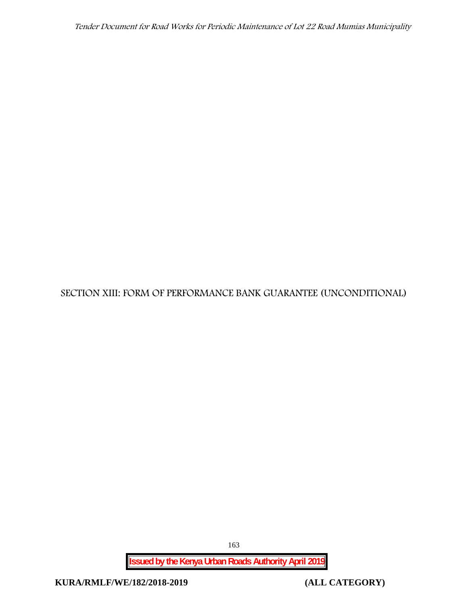**SECTION XIII: FORM OF PERFORMANCE BANK GUARANTEE (UNCONDITIONAL)**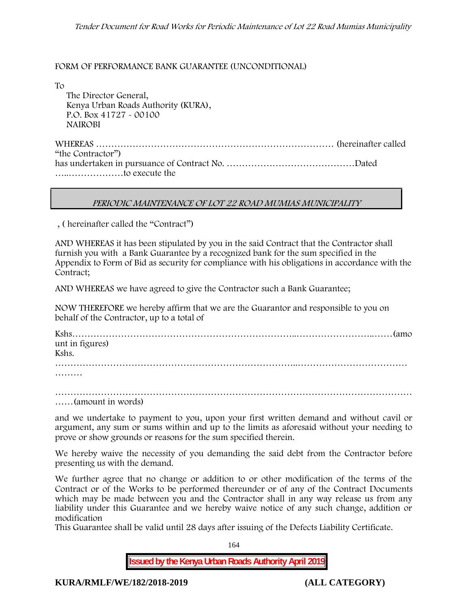## FORM OF PERFORMANCE BANK GUARANTEE (UNCONDITIONAL)

To

The Director General, Kenya Urban Roads Authority (KURA), P.O. Box 41727 - 00100 **NAIROBI**

WHEREAS …………………………………………………………………… (hereinafter called "the Contractor") has undertaken in pursuance of Contract No. ……………………………………Dated …..………………to execute the

## *PERIODIC MAINTENANCE OF LOT 22 ROAD MUMIAS MUNICIPALITY*

, ( hereinafter called the "Contract")

AND WHEREAS it has been stipulated by you in the said Contract that the Contractor shall furnish you with a Bank Guarantee by a recognized bank for the sum specified in the Appendix to Form of Bid as security for compliance with his obligations in accordance with the Contract;

AND WHEREAS we have agreed to give the Contractor such a Bank Guarantee;

NOW THEREFORE we hereby affirm that we are the Guarantor and responsible to you on behalf of the Contractor, up to a total of

| unt in figures) |  |
|-----------------|--|
| Kshs.           |  |
|                 |  |

………

……………………………………………………………………………………………………… ……(amount in words)

and we undertake to payment to you, upon your first written demand and without cavil or argument, any sum or sums within and up to the limits as aforesaid without your needing to prove or show grounds or reasons for the sum specified therein.

We hereby waive the necessity of you demanding the said debt from the Contractor before presenting us with the demand.

We further agree that no change or addition to or other modification of the terms of the Contract or of the Works to be performed thereunder or of any of the Contract Documents which may be made between you and the Contractor shall in any way release us from any liability under this Guarantee and we hereby waive notice of any such change, addition or modification

This Guarantee shall be valid until 28 days after issuing of the Defects Liability Certificate.

164

**Issued by the Kenya Urban Roads Authority April 2019**